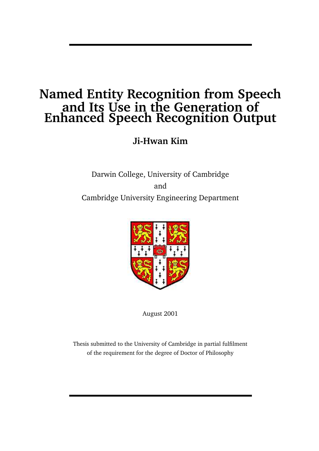## **Named Entity Recognition from Speech and Its Use in the Generation of Enhanced Speech Recognition Output**

**Ji-Hwan Kim**

Darwin College, University of Cambridge and Cambridge University Engineering Department



August 2001

Thesis submitted to the University of Cambridge in partial fulfilment of the requirement for the degree of Doctor of Philosophy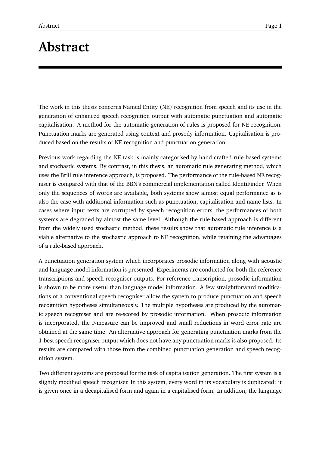# **Abstract**

The work in this thesis concerns Named Entity (NE) recognition from speech and its use in the generation of enhanced speech recognition output with automatic punctuation and automatic capitalisation. A method for the automatic generation of rules is proposed for NE recognition. Punctuation marks are generated using context and prosody information. Capitalisation is produced based on the results of NE recognition and punctuation generation.

Previous work regarding the NE task is mainly categorised by hand crafted rule-based systems and stochastic systems. By contrast, in this thesis, an automatic rule generating method, which uses the Brill rule inference approach, is proposed. The performance of the rule-based NE recogniser is compared with that of the BBN's commercial implementation called IdentiFinder. When only the sequences of words are available, both systems show almost equal performance as is also the case with additional information such as punctuation, capitalisation and name lists. In cases where input texts are corrupted by speech recognition errors, the performances of both systems are degraded by almost the same level. Although the rule-based approach is different from the widely used stochastic method, these results show that automatic rule inference is a viable alternative to the stochastic approach to NE recognition, while retaining the advantages of a rule-based approach.

A punctuation generation system which incorporates prosodic information along with acoustic and language model information is presented. Experiments are conducted for both the reference transcriptions and speech recogniser outputs. For reference transcription, prosodic information is shown to be more useful than language model information. A few straightforward modifications of a conventional speech recogniser allow the system to produce punctuation and speech recognition hypotheses simultaneously. The multiple hypotheses are produced by the automatic speech recogniser and are re-scored by prosodic information. When prosodic information is incorporated, the F-measure can be improved and small reductions in word error rate are obtained at the same time. An alternative approach for generating punctuation marks from the 1-best speech recogniser output which does not have any punctuation marks is also proposed. Its results are compared with those from the combined punctuation generation and speech recognition system.

Two different systems are proposed for the task of capitalisation generation. The first system is a slightly modified speech recogniser. In this system, every word in its vocabulary is duplicated: it is given once in a decapitalised form and again in a capitalised form. In addition, the language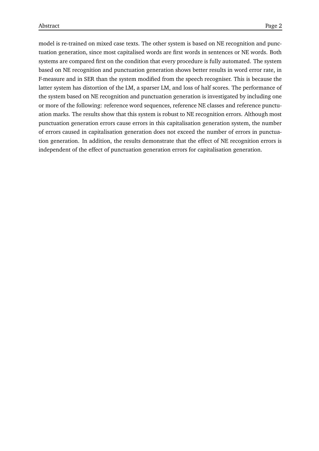model is re-trained on mixed case texts. The other system is based on NE recognition and punctuation generation, since most capitalised words are first words in sentences or NE words. Both systems are compared first on the condition that every procedure is fully automated. The system based on NE recognition and punctuation generation shows better results in word error rate, in F-measure and in SER than the system modified from the speech recogniser. This is because the latter system has distortion of the LM, a sparser LM, and loss of half scores. The performance of the system based on NE recognition and punctuation generation is investigated by including one or more of the following: reference word sequences, reference NE classes and reference punctuation marks. The results show that this system is robust to NE recognition errors. Although most punctuation generation errors cause errors in this capitalisation generation system, the number of errors caused in capitalisation generation does not exceed the number of errors in punctuation generation. In addition, the results demonstrate that the effect of NE recognition errors is independent of the effect of punctuation generation errors for capitalisation generation.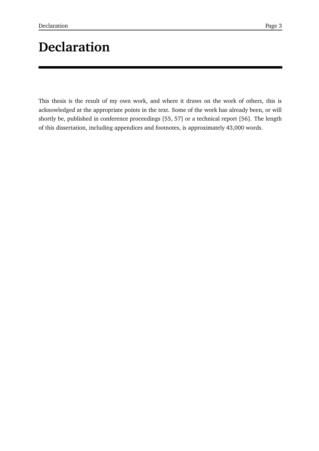# **Declaration**

This thesis is the result of my own work, and where it draws on the work of others, this is acknowledged at the appropriate points in the text. Some of the work has already been, or will shortly be, published in conference proceedings [55, 57] or a technical report [56]. The length of this dissertation, including appendices and footnotes, is approximately 43,000 words.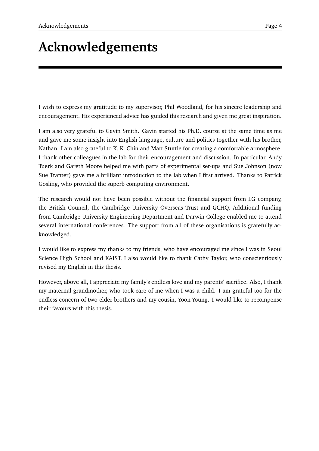# **Acknowledgements**

I wish to express my gratitude to my supervisor, Phil Woodland, for his sincere leadership and encouragement. His experienced advice has guided this research and given me great inspiration.

I am also very grateful to Gavin Smith. Gavin started his Ph.D. course at the same time as me and gave me some insight into English language, culture and politics together with his brother, Nathan. I am also grateful to K. K. Chin and Matt Stuttle for creating a comfortable atmosphere. I thank other colleagues in the lab for their encouragement and discussion. In particular, Andy Tuerk and Gareth Moore helped me with parts of experimental set-ups and Sue Johnson (now Sue Tranter) gave me a brilliant introduction to the lab when I first arrived. Thanks to Patrick Gosling, who provided the superb computing environment.

The research would not have been possible without the financial support from LG company, the British Council, the Cambridge University Overseas Trust and GCHQ. Additional funding from Cambridge University Engineering Department and Darwin College enabled me to attend several international conferences. The support from all of these organisations is gratefully acknowledged.

I would like to express my thanks to my friends, who have encouraged me since I was in Seoul Science High School and KAIST. I also would like to thank Cathy Taylor, who conscientiously revised my English in this thesis.

However, above all, I appreciate my family's endless love and my parents' sacrifice. Also, I thank my maternal grandmother, who took care of me when I was a child. I am grateful too for the endless concern of two elder brothers and my cousin, Yoon-Young. I would like to recompense their favours with this thesis.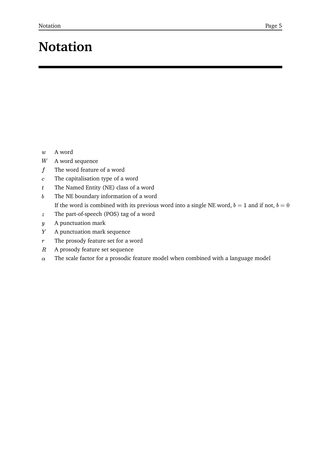# **Notation**

- A word
- $W$  A word sequence
- $\boldsymbol{f}$ The word feature of a word
- $c$  The capitalisation type of a word
- $t$  The Named Entity (NE) class of a word
- $b$  The NE boundary information of a word If the word is combined with its previous word into a single NE word,  $b = 1$  and if not,  $b = 0$
- The part-of-speech (POS) tag of a word
- $y$  A punctuation mark
- $Y$  A punctuation mark sequence
- $r$  The prosody feature set for a word
- $R$  A prosody feature set sequence
- $\alpha$  ). The scale factor for a prosodic feature model when combined with a language model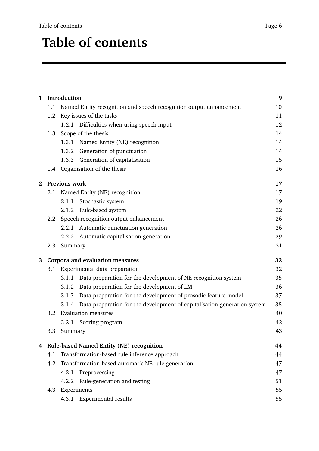# **Table of contents**

| $\mathbf{1}$ | Introduction                               |                                                                                   |    |
|--------------|--------------------------------------------|-----------------------------------------------------------------------------------|----|
|              | 1.1                                        | Named Entity recognition and speech recognition output enhancement                | 10 |
|              | 1.2                                        | Key issues of the tasks                                                           | 11 |
|              |                                            | 1.2.1 Difficulties when using speech input                                        | 12 |
|              | 1.3                                        | Scope of the thesis                                                               | 14 |
|              |                                            | Named Entity (NE) recognition<br>1.3.1                                            | 14 |
|              |                                            | 1.3.2 Generation of punctuation                                                   | 14 |
|              |                                            | Generation of capitalisation<br>1.3.3                                             | 15 |
|              |                                            | 1.4 Organisation of the thesis                                                    | 16 |
| $\bf{2}$     |                                            | Previous work                                                                     | 17 |
|              | 2.1                                        | Named Entity (NE) recognition                                                     | 17 |
|              |                                            | Stochastic system<br>2.1.1                                                        | 19 |
|              |                                            | 2.1.2 Rule-based system                                                           | 22 |
|              | 2.2                                        | Speech recognition output enhancement                                             | 26 |
|              |                                            | 2.2.1 Automatic punctuation generation                                            | 26 |
|              |                                            | 2.2.2 Automatic capitalisation generation                                         | 29 |
|              | 2.3                                        | Summary                                                                           | 31 |
| 3            |                                            | Corpora and evaluation measures                                                   | 32 |
|              | 3.1                                        | Experimental data preparation                                                     | 32 |
|              |                                            | 3.1.1 Data preparation for the development of NE recognition system               | 35 |
|              |                                            | 3.1.2 Data preparation for the development of LM                                  | 36 |
|              |                                            | 3.1.3 Data preparation for the development of prosodic feature model              | 37 |
|              |                                            | Data preparation for the development of capitalisation generation system<br>3.1.4 | 38 |
|              | 3.2                                        | <b>Evaluation measures</b>                                                        | 40 |
|              |                                            | 3.2.1<br>Scoring program                                                          | 42 |
|              | 3.3                                        | Summary                                                                           | 43 |
|              | 4 Rule-based Named Entity (NE) recognition |                                                                                   |    |
|              | 4.1                                        | Transformation-based rule inference approach                                      |    |
|              | 4.2                                        | Transformation-based automatic NE rule generation                                 | 47 |
|              |                                            | Preprocessing<br>4.2.1                                                            | 47 |
|              |                                            | Rule-generation and testing<br>4.2.2                                              | 51 |
|              | 4.3                                        | Experiments                                                                       | 55 |
|              |                                            | 4.3.1 Experimental results                                                        | 55 |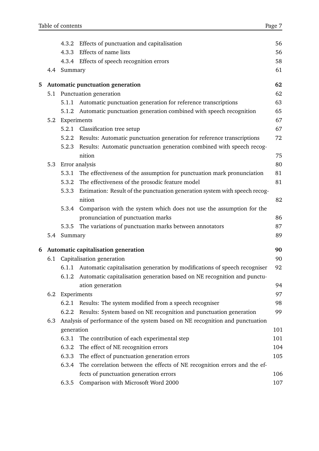|   |     | 4.3.2       | Effects of punctuation and capitalisation                                     | 56  |
|---|-----|-------------|-------------------------------------------------------------------------------|-----|
|   |     | 4.3.3       | Effects of name lists                                                         | 56  |
|   |     |             | 4.3.4 Effects of speech recognition errors                                    | 58  |
|   | 4.4 | Summary     |                                                                               | 61  |
| 5 |     |             | Automatic punctuation generation                                              | 62  |
|   | 5.1 |             | Punctuation generation                                                        | 62  |
|   |     | 5.1.1       | Automatic punctuation generation for reference transcriptions                 | 63  |
|   |     |             | 5.1.2 Automatic punctuation generation combined with speech recognition       | 65  |
|   | 5.2 | Experiments |                                                                               | 67  |
|   |     |             | 5.2.1 Classification tree setup                                               | 67  |
|   |     | 5.2.2       | Results: Automatic punctuation generation for reference transcriptions        | 72  |
|   |     | 5.2.3       | Results: Automatic punctuation generation combined with speech recog-         |     |
|   |     |             | nition                                                                        | 75  |
|   | 5.3 |             | Error analysis                                                                | 80  |
|   |     | 5.3.1       | The effectiveness of the assumption for punctuation mark pronunciation        | 81  |
|   |     | 5.3.2       | The effectiveness of the prosodic feature model                               | 81  |
|   |     | 5.3.3       | Estimation: Result of the punctuation generation system with speech recog-    |     |
|   |     |             | nition                                                                        | 82  |
|   |     |             | 5.3.4 Comparison with the system which does not use the assumption for the    |     |
|   |     |             | pronunciation of punctuation marks                                            | 86  |
|   |     | 5.3.5       | The variations of punctuation marks between annotators                        | 87  |
|   | 5.4 | Summary     |                                                                               | 89  |
| 6 |     |             | Automatic capitalisation generation                                           | 90  |
|   | 6.1 |             | Capitalisation generation                                                     | 90  |
|   |     | 6.1.1       | Automatic capitalisation generation by modifications of speech recogniser     | 92  |
|   |     |             | 6.1.2 Automatic capitalisation generation based on NE recognition and punctu- |     |
|   |     |             | ation generation                                                              | 94  |
|   | 6.2 |             | Experiments                                                                   | 97  |
|   |     |             | 6.2.1 Results: The system modified from a speech recogniser                   | 98  |
|   |     |             | 6.2.2 Results: System based on NE recognition and punctuation generation      | 99  |
|   | 6.3 |             | Analysis of performance of the system based on NE recognition and punctuation |     |
|   |     | generation  |                                                                               | 101 |
|   |     | 6.3.1       | The contribution of each experimental step                                    | 101 |
|   |     | 6.3.2       | The effect of NE recognition errors                                           | 104 |
|   |     | 6.3.3       | The effect of punctuation generation errors                                   | 105 |
|   |     | 6.3.4       | The correlation between the effects of NE recognition errors and the ef-      |     |
|   |     |             | fects of punctuation generation errors                                        | 106 |
|   |     | 6.3.5       | Comparison with Microsoft Word 2000                                           | 107 |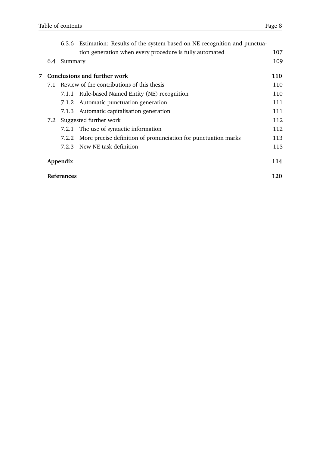|   |     |                   | 6.3.6 Estimation: Results of the system based on NE recognition and punctua- |     |
|---|-----|-------------------|------------------------------------------------------------------------------|-----|
|   |     |                   | tion generation when every procedure is fully automated                      | 107 |
|   | 6.4 | Summary           |                                                                              | 109 |
| 7 |     |                   | Conclusions and further work                                                 | 110 |
|   | 7.1 |                   | Review of the contributions of this thesis                                   | 110 |
|   |     |                   | 7.1.1 Rule-based Named Entity (NE) recognition                               | 110 |
|   |     |                   | 7.1.2 Automatic punctuation generation                                       | 111 |
|   |     |                   | 7.1.3 Automatic capitalisation generation                                    | 111 |
|   |     |                   | 7.2 Suggested further work                                                   | 112 |
|   |     |                   | 7.2.1 The use of syntactic information                                       | 112 |
|   |     | 7.2.2             | More precise definition of pronunciation for punctuation marks               | 113 |
|   |     | 7.2.3             | New NE task definition                                                       | 113 |
|   |     | Appendix          |                                                                              | 114 |
|   |     | <b>References</b> |                                                                              | 120 |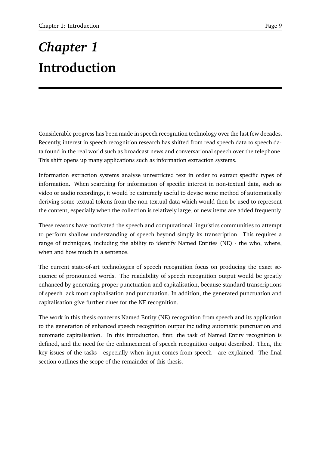# *Chapter 1* **Introduction**

Considerable progress has been made in speech recognition technology over the last few decades. Recently, interest in speech recognition research has shifted from read speech data to speech data found in the real world such as broadcast news and conversational speech over the telephone. This shift opens up many applications such as information extraction systems.

Information extraction systems analyse unrestricted text in order to extract specific types of information. When searching for information of specific interest in non-textual data, such as video or audio recordings, it would be extremely useful to devise some method of automatically deriving some textual tokens from the non-textual data which would then be used to represent the content, especially when the collection is relatively large, or new items are added frequently.

These reasons have motivated the speech and computational linguistics communities to attempt to perform shallow understanding of speech beyond simply its transcription. This requires a range of techniques, including the ability to identify Named Entities (NE) - the who, where, when and how much in a sentence.

The current state-of-art technologies of speech recognition focus on producing the exact sequence of pronounced words. The readability of speech recognition output would be greatly enhanced by generating proper punctuation and capitalisation, because standard transcriptions of speech lack most capitalisation and punctuation. In addition, the generated punctuation and capitalisation give further clues for the NE recognition.

The work in this thesis concerns Named Entity (NE) recognition from speech and its application to the generation of enhanced speech recognition output including automatic punctuation and automatic capitalisation. In this introduction, first, the task of Named Entity recognition is defined, and the need for the enhancement of speech recognition output described. Then, the key issues of the tasks - especially when input comes from speech - are explained. The final section outlines the scope of the remainder of this thesis.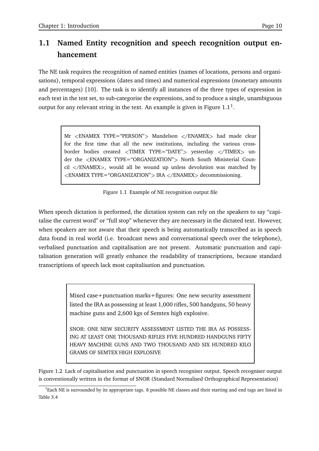## **1.1 Named Entity recognition and speech recognition output enhancement**

The NE task requires the recognition of named entities (names of locations, persons and organisations), temporal expressions (dates and times) and numerical expressions (monetary amounts and percentages) [10]. The task is to identify all instances of the three types of expression in each text in the test set, to sub-categorise the expressions, and to produce a single, unambiguous output for any relevant string in the text. An example is given in Figure  $1.1^1$ .

> Mr <ENAMEX TYPE="PERSON"> Mandelson </ENAMEX> had made clear for the first time that all the new institutions, including the various crossborder bodies created <TIMEX TYPE="DATE"> vesterday </TIMEX> under the <ENAMEX TYPE="ORGANIZATION"> North South Ministerial Coun $cil$   $\langle$ /ENAMEX $\rangle$ , would all be wound up unless devolution was matched by <ENAMEX TYPE="ORGANIZATION"> IRA </ENAMEX> decommissioning.

Figure 1.1 Example of NE recognition output file

When speech dictation is performed, the dictation system can rely on the speakers to say "capitalise the current word" or "full stop" whenever they are necessary in the dictated text. However, when speakers are not aware that their speech is being automatically transcribed as in speech data found in real world (i.e. broadcast news and conversational speech over the telephone), verbalised punctuation and capitalisation are not present. Automatic punctuation and capitalisation generation will greatly enhance the readability of transcriptions, because standard transcriptions of speech lack most capitalisation and punctuation.

> Mixed case+punctuation marks+figures: One new security assessment listed the IRA as possessing at least 1,000 rifles, 500 handguns, 50 heavy machine guns and 2,600 kgs of Semtex high explosive.

> SNOR: ONE NEW SECURITY ASSESSMENT LISTED THE IRA AS POSSESS-ING AT LEAST ONE THOUSAND RIFLES FIVE HUNDRED HANDGUNS FIFTY HEAVY MACHINE GUNS AND TWO THOUSAND AND SIX HUNDRED KILO GRAMS OF SEMTEX HIGH EXPLOSIVE

Figure 1.2 Lack of capitalisation and punctuation in speech recogniser output. Speech recogniser output is conventionally written in the format of SNOR (Standard Normalised Orthographical Representation)

 ${}^{1}$ Each NE is surrounded by its appropriate tags. 8 possible NE classes and their starting and end tags are listed in Table 3.4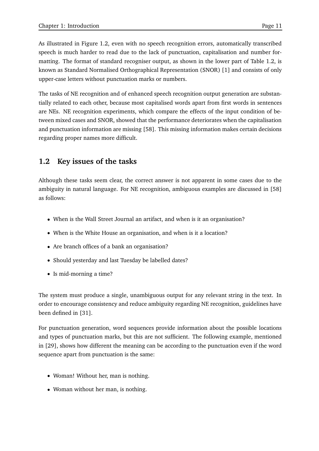As illustrated in Figure 1.2, even with no speech recognition errors, automatically transcribed speech is much harder to read due to the lack of punctuation, capitalisation and number formatting. The format of standard recogniser output, as shown in the lower part of Table 1.2, is known as Standard Normalised Orthographical Representation (SNOR) [1] and consists of only upper-case letters without punctuation marks or numbers.

The tasks of NE recognition and of enhanced speech recognition output generation are substantially related to each other, because most capitalised words apart from first words in sentences are NEs. NE recognition experiments, which compare the effects of the input condition of between mixed cases and SNOR, showed that the performance deteriorates when the capitalisation and punctuation information are missing [58]. This missing information makes certain decisions regarding proper names more difficult.

## **1.2 Key issues of the tasks**

Although these tasks seem clear, the correct answer is not apparent in some cases due to the ambiguity in natural language. For NE recognition, ambiguous examples are discussed in [58] as follows:

- When is the Wall Street Journal an artifact, and when is it an organisation?
- When is the White House an organisation, and when is it a location?
- Are branch offices of a bank an organisation?
- Should yesterday and last Tuesday be labelled dates?
- Is mid-morning a time?

The system must produce a single, unambiguous output for any relevant string in the text. In order to encourage consistency and reduce ambiguity regarding NE recognition, guidelines have been defined in [31].

For punctuation generation, word sequences provide information about the possible locations and types of punctuation marks, but this are not sufficient. The following example, mentioned in [29], shows how different the meaning can be according to the punctuation even if the word sequence apart from punctuation is the same:

- Woman! Without her, man is nothing.
- Woman without her man, is nothing.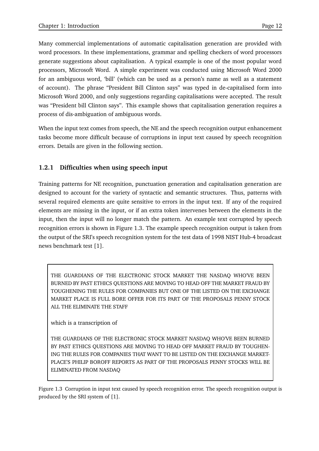Many commercial implementations of automatic capitalisation generation are provided with word processors. In these implementations, grammar and spelling checkers of word processors generate suggestions about capitalisation. A typical example is one of the most popular word processors, Microsoft Word. A simple experiment was conducted using Microsoft Word 2000 for an ambiguous word, 'bill' (which can be used as a person's name as well as a statement of account). The phrase "President Bill Clinton says" was typed in de-capitalised form into Microsoft Word 2000, and only suggestions regarding capitalisations were accepted. The result was "President bill Clinton says". This example shows that capitalisation generation requires a process of dis-ambiguation of ambiguous words.

When the input text comes from speech, the NE and the speech recognition output enhancement tasks become more difficult because of corruptions in input text caused by speech recognition errors. Details are given in the following section.

#### **1.2.1 Difficulties when using speech input**

Training patterns for NE recognition, punctuation generation and capitalisation generation are designed to account for the variety of syntactic and semantic structures. Thus, patterns with several required elements are quite sensitive to errors in the input text. If any of the required elements are missing in the input, or if an extra token intervenes between the elements in the input, then the input will no longer match the pattern. An example text corrupted by speech recognition errors is shown in Figure 1.3. The example speech recognition output is taken from the output of the SRI's speech recognition system for the test data of 1998 NIST Hub-4 broadcast news benchmark test [1].

THE GUARDIANS OF THE ELECTRONIC STOCK MARKET THE NASDAQ WHO'VE BEEN BURNED BY PAST ETHICS QUESTIONS ARE MOVING TO HEAD OFF THE MARKET FRAUD BY TOUGHENING THE RULES FOR COMPANIES BUT ONE OF THE LISTED ON THE EXCHANGE MARKET PLACE IS FULL BORE OFFER FOR ITS PART OF THE PROPOSALS PENNY STOCK ALL THE ELIMINATE THE STAFF

which is a transcription of

THE GUARDIANS OF THE ELECTRONIC STOCK MARKET NASDAQ WHO'VE BEEN BURNED BY PAST ETHICS QUESTIONS ARE MOVING TO HEAD OFF MARKET FRAUD BY TOUGHEN-ING THE RULES FOR COMPANIES THAT WANT TO BE LISTED ON THE EXCHANGE MARKET-PLACE'S PHILIP BOROFF REPORTS AS PART OF THE PROPOSALS PENNY STOCKS WILL BE ELIMINATED FROM NASDAQ

Figure 1.3 Corruption in input text caused by speech recognition error. The speech recognition output is produced by the SRI system of [1].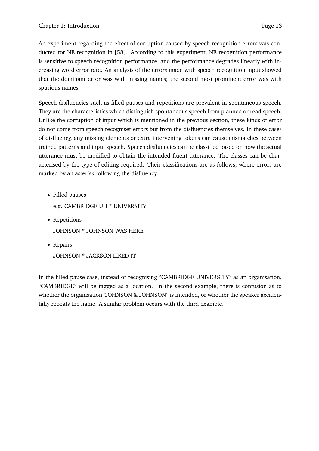An experiment regarding the effect of corruption caused by speech recognition errors was conducted for NE recognition in [58]. According to this experiment, NE recognition performance is sensitive to speech recognition performance, and the performance degrades linearly with increasing word error rate. An analysis of the errors made with speech recognition input showed that the dominant error was with missing names; the second most prominent error was with spurious names.

Speech disfluencies such as filled pauses and repetitions are prevalent in spontaneous speech. They are the characteristics which distinguish spontaneous speech from planned or read speech. Unlike the corruption of input which is mentioned in the previous section, these kinds of error do not come from speech recogniser errors but from the disfluencies themselves. In these cases of disfluency, any missing elements or extra intervening tokens can cause mismatches between trained patterns and input speech. Speech disfluencies can be classified based on how the actual utterance must be modified to obtain the intended fluent utterance. The classes can be characterised by the type of editing required. Their classifications are as follows, where errors are marked by an asterisk following the disfluency.

Filled pauses

e.g. CAMBRIDGE UH \* UNIVERSITY

- Repetitions JOHNSON \* JOHNSON WAS HERE
- Repairs JOHNSON \* JACKSON LIKED IT

In the filled pause case, instead of recognising "CAMBRIDGE UNIVERSITY" as an organisation, "CAMBRIDGE" will be tagged as a location. In the second example, there is confusion as to whether the organisation "JOHNSON & JOHNSON" is intended, or whether the speaker accidentally repeats the name. A similar problem occurs with the third example.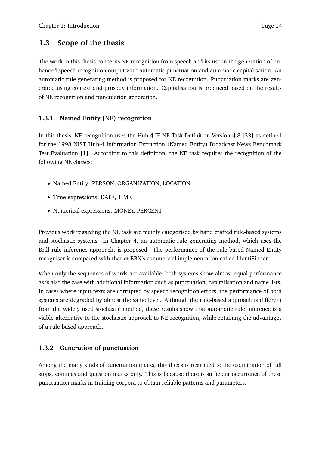### **1.3 Scope of the thesis**

The work in this thesis concerns NE recognition from speech and its use in the generation of enhanced speech recognition output with automatic punctuation and automatic capitalisation. An automatic rule generating method is proposed for NE recognition. Punctuation marks are generated using context and prosody information. Capitalisation is produced based on the results of NE recognition and punctuation generation.

#### **1.3.1 Named Entity (NE) recognition**

In this thesis, NE recognition uses the Hub-4 IE-NE Task Definition Version 4.8 [33] as defined for the 1998 NIST Hub-4 Information Extraction (Named Entity) Broadcast News Benchmark Test Evaluation [1]. According to this definition, the NE task requires the recognition of the following NE classes:

- Named Entity: PERSON, ORGANIZATION, LOCATION
- Time expressions: DATE, TIME
- Numerical expressions: MONEY, PERCENT

Previous work regarding the NE task are mainly categorised by hand crafted rule-based systems and stochastic systems. In Chapter 4, an automatic rule generating method, which uses the Brill rule inference approach, is proposed. The performance of the rule-based Named Entity recogniser is compared with that of BBN's commercial implementation called IdentiFinder.

When only the sequences of words are available, both systems show almost equal performance as is also the case with additional information such as punctuation, capitalisation and name lists. In cases where input texts are corrupted by speech recognition errors, the performance of both systems are degraded by almost the same level. Although the rule-based approach is different from the widely used stochastic method, these results show that automatic rule inference is a viable alternative to the stochastic approach to NE recognition, while retaining the advantages of a rule-based approach.

#### **1.3.2 Generation of punctuation**

Among the many kinds of punctuation marks, this thesis is restricted to the examination of full stops, commas and question marks only. This is because there is sufficient occurrence of these punctuation marks in training corpora to obtain reliable patterns and parameters.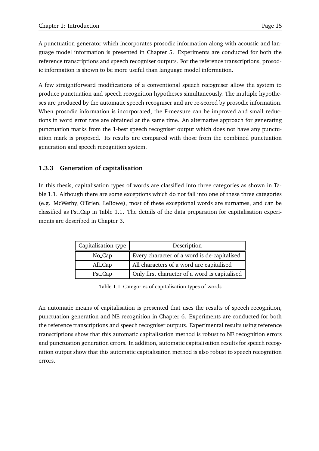A punctuation generator which incorporates prosodic information along with acoustic and language model information is presented in Chapter 5. Experiments are conducted for both the reference transcriptions and speech recogniser outputs. For the reference transcriptions, prosodic information is shown to be more useful than language model information.

A few straightforward modifications of a conventional speech recogniser allow the system to produce punctuation and speech recognition hypotheses simultaneously. The multiple hypotheses are produced by the automatic speech recogniser and are re-scored by prosodic information. When prosodic information is incorporated, the F-measure can be improved and small reductions in word error rate are obtained at the same time. An alternative approach for generating punctuation marks from the 1-best speech recogniser output which does not have any punctuation mark is proposed. Its results are compared with those from the combined punctuation generation and speech recognition system.

#### **1.3.3 Generation of capitalisation**

In this thesis, capitalisation types of words are classified into three categories as shown in Table 1.1. Although there are some exceptions which do not fall into one of these three categories (e.g. McWethy, O'Brien, LeBowe), most of these exceptional words are surnames, and can be classified as Fst Cap in Table 1.1. The details of the data preparation for capitalisation experiments are described in Chapter 3.

| Capitalisation type | Description                                   |
|---------------------|-----------------------------------------------|
| No_Cap              | Every character of a word is de-capitalised   |
| All_Cap             | All characters of a word are capitalised      |
| Fst_Cap             | Only first character of a word is capitalised |

Table 1.1 Categories of capitalisation types of words

An automatic means of capitalisation is presented that uses the results of speech recognition, punctuation generation and NE recognition in Chapter 6. Experiments are conducted for both the reference transcriptions and speech recogniser outputs. Experimental results using reference transcriptions show that this automatic capitalisation method is robust to NE recognition errors and punctuation generation errors. In addition, automatic capitalisation results for speech recognition output show that this automatic capitalisation method is also robust to speech recognition errors.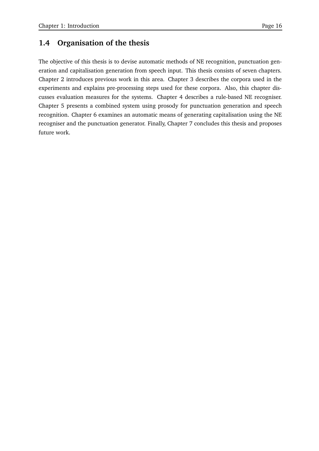## **1.4 Organisation of the thesis**

The objective of this thesis is to devise automatic methods of NE recognition, punctuation generation and capitalisation generation from speech input. This thesis consists of seven chapters. Chapter 2 introduces previous work in this area. Chapter 3 describes the corpora used in the experiments and explains pre-processing steps used for these corpora. Also, this chapter discusses evaluation measures for the systems. Chapter 4 describes a rule-based NE recogniser. Chapter 5 presents a combined system using prosody for punctuation generation and speech recognition. Chapter 6 examines an automatic means of generating capitalisation using the NE recogniser and the punctuation generator. Finally, Chapter 7 concludes this thesis and proposes future work.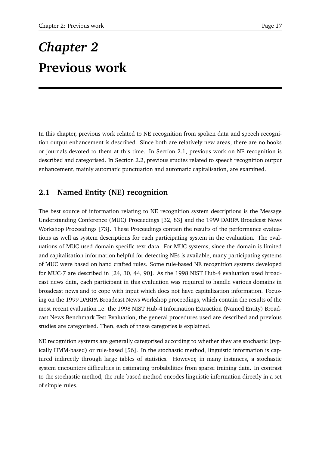# *Chapter 2* **Previous work**

In this chapter, previous work related to NE recognition from spoken data and speech recognition output enhancement is described. Since both are relatively new areas, there are no books or journals devoted to them at this time. In Section 2.1, previous work on NE recognition is described and categorised. In Section 2.2, previous studies related to speech recognition output enhancement, mainly automatic punctuation and automatic capitalisation, are examined.

## **2.1 Named Entity (NE) recognition**

The best source of information relating to NE recognition system descriptions is the Message Understanding Conference (MUC) Proceedings [32, 83] and the 1999 DARPA Broadcast News Workshop Proceedings [73]. These Proceedings contain the results of the performance evaluations as well as system descriptions for each participating system in the evaluation. The evaluations of MUC used domain specific text data. For MUC systems, since the domain is limited and capitalisation information helpful for detecting NEs is available, many participating systems of MUC were based on hand crafted rules. Some rule-based NE recognition systems developed for MUC-7 are described in [24, 30, 44, 90]. As the 1998 NIST Hub-4 evaluation used broadcast news data, each participant in this evaluation was required to handle various domains in broadcast news and to cope with input which does not have capitalisation information. Focusing on the 1999 DARPA Broadcast News Workshop proceedings, which contain the results of the most recent evaluation i.e. the 1998 NIST Hub-4 Information Extraction (Named Entity) Broadcast News Benchmark Test Evaluation, the general procedures used are described and previous studies are categorised. Then, each of these categories is explained.

NE recognition systems are generally categorised according to whether they are stochastic (typically HMM-based) or rule-based [56]. In the stochastic method, linguistic information is captured indirectly through large tables of statistics. However, in many instances, a stochastic system encounters difficulties in estimating probabilities from sparse training data. In contrast to the stochastic method, the rule-based method encodes linguistic information directly in a set of simple rules.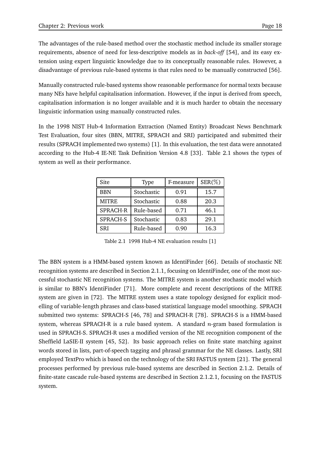The advantages of the rule-based method over the stochastic method include its smaller storage requirements, absence of need for less-descriptive models as in *back-off* [54], and its easy extension using expert linguistic knowledge due to its conceptually reasonable rules. However, a disadvantage of previous rule-based systems is that rules need to be manually constructed [56].

Manually constructed rule-based systems show reasonable performance for normal texts because many NEs have helpful capitalisation information. However, if the input is derived from speech, capitalisation information is no longer available and it is much harder to obtain the necessary linguistic information using manually constructed rules.

In the 1998 NIST Hub-4 Information Extraction (Named Entity) Broadcast News Benchmark Test Evaluation, four sites (BBN, MITRE, SPRACH and SRI) participated and submitted their results (SPRACH implemented two systems) [1]. In this evaluation, the test data were annotated according to the Hub-4 IE-NE Task Definition Version 4.8 [33]. Table 2.1 shows the types of system as well as their performance.

| Site         | <b>Type</b> | F-measure | $SER(\% )$ |
|--------------|-------------|-----------|------------|
| <b>BBN</b>   | Stochastic  | 0.91      | 15.7       |
| <b>MITRE</b> | Stochastic  | 0.88      | 20.3       |
| SPRACH-R     | Rule-based  | 0.71      | 46.1       |
| SPRACH-S     | Stochastic  | 0.83      | 29.1       |
| SRI          | Rule-based  | 0.90      | 16.3       |

Table 2.1 1998 Hub-4 NE evaluation results [1]

The BBN system is a HMM-based system known as IdentiFinder [66]. Details of stochastic NE recognition systems are described in Section 2.1.1, focusing on IdentiFinder, one of the most successful stochastic NE recognition systems. The MITRE system is another stochastic model which is similar to BBN's IdentiFinder [71]. More complete and recent descriptions of the MITRE system are given in [72]. The MITRE system uses a state topology designed for explicit modelling of variable-length phrases and class-based statistical language model smoothing. SPRACH submitted two systems: SPRACH-S [46, 78] and SPRACH-R [78]. SPRACH-S is a HMM-based system, whereas SPRACH-R is a rule based system. A standard  $n$ -gram based formulation is used in SPRACH-S. SPRACH-R uses a modified version of the NE recognition component of the Sheffield LaSIE-II system [45, 52]. Its basic approach relies on finite state matching against words stored in lists, part-of-speech tagging and phrasal grammar for the NE classes. Lastly, SRI employed TextPro which is based on the technology of the SRI FASTUS system [21]. The general processes performed by previous rule-based systems are described in Section 2.1.2. Details of finite-state cascade rule-based systems are described in Section 2.1.2.1, focusing on the FASTUS system.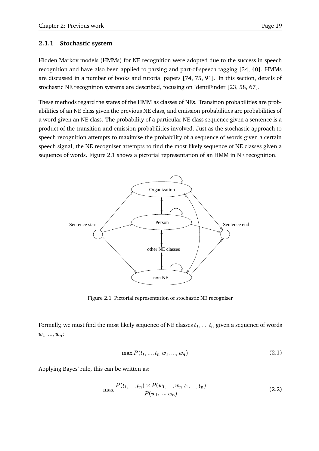#### **2.1.1 Stochastic system**

Hidden Markov models (HMMs) for NE recognition were adopted due to the success in speech recognition and have also been applied to parsing and part-of-speech tagging [34, 40]. HMMs are discussed in a number of books and tutorial papers [74, 75, 91]. In this section, details of stochastic NE recognition systems are described, focusing on IdentiFinder [23, 58, 67].

These methods regard the states of the HMM as classes of NEs. Transition probabilities are probabilities of an NE class given the previous NE class, and emission probabilities are probabilities of a word given an NE class. The probability of a particular NE class sequence given a sentence is a product of the transition and emission probabilities involved. Just as the stochastic approach to speech recognition attempts to maximise the probability of a sequence of words given a certain speech signal, the NE recogniser attempts to find the most likely sequence of NE classes given a sequence of words. Figure 2.1 shows a pictorial representation of an HMM in NE recognition.



Figure 2.1 Pictorial representation of stochastic NE recogniser

Formally, we must find the most likely sequence of NE classes  $t_1,...,t_n$  given a sequence of words  $w_1, ..., w_n$ :

$$
\max P(t_1, ..., t_n | w_1, ..., w_n)
$$
\n(2.1)

Applying Bayes' rule, this can be written as:

$$
\max \frac{P(t_1, ..., t_n) \times P(w_1, ..., w_n | t_1, ..., t_n)}{P(w_1, ..., w_n)}\tag{2.2}
$$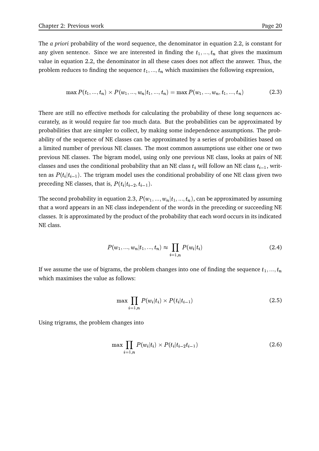The *a priori* probability of the word sequence, the denominator in equation 2.2, is constant for any given sentence. Since we are interested in finding the  $t_1, ..., t_n$  that gives the maximum value in equation 2.2, the denominator in all these cases does not affect the answer. Thus, the problem reduces to finding the sequence  $t_1, ..., t_n$  which maximises the following expression,

$$
\max P(t_1, ..., t_n) \times P(w_1, ..., w_n | t_1, ..., t_n) = \max P(w_1, ..., w_n, t_1, ..., t_n)
$$
\n(2.3)

There are still no effective methods for calculating the probability of these long sequences accurately, as it would require far too much data. But the probabilities can be approximated by probabilities that are simpler to collect, by making some independence assumptions. The probability of the sequence of NE classes can be approximated by a series of probabilities based on a limited number of previous NE classes. The most common assumptions use either one or two previous NE classes. The bigram model, using only one previous NE class, looks at pairs of NE classes and uses the conditional probability that an NE class  $t_i$  will follow an NE class  $t_{i-1}$ , written as  $P(t_i|t_{i-1})$ . The trigram model uses the conditional probability of one NE class given two preceding NE classes, that is,  $P(t_i|t_{i-2},t_{i-1}).$ 

The second probability in equation 2.3,  $P(w_1, ..., w_n | t_1, ..., t_n)$ , can be approximated by assuming that a word appears in an NE class independent of the words in the preceding or succeeding NE classes. It is approximated by the product of the probability that each word occurs in its indicated NE class.

$$
P(w_1, ..., w_n | t_1, ..., t_n) \approx \prod_{i=1,n} P(w_i | t_i)
$$
\n(2.4)

If we assume the use of bigrams, the problem changes into one of finding the sequence  $t_1,...,t_n$ which maximises the value as follows:

$$
\max \prod_{i=1,n} P(w_i|t_i) \times P(t_i|t_{i-1}) \tag{2.5}
$$

Using trigrams, the problem changes into

$$
\max \prod_{i=1,n} P(w_i|t_i) \times P(t_i|t_{i-2}t_{i-1})
$$
\n(2.6)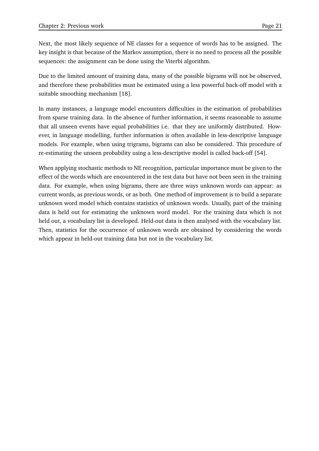Next, the most likely sequence of NE classes for a sequence of words has to be assigned. The key insight is that because of the Markov assumption, there is no need to process all the possible sequences: the assignment can be done using the Viterbi algorithm.

Due to the limited amount of training data, many of the possible bigrams will not be observed, and therefore these probabilities must be estimated using a less powerful back-off model with a suitable smoothing mechanism [18].

In many instances, a language model encounters difficulties in the estimation of probabilities from sparse training data. In the absence of further information, it seems reasonable to assume that all unseen events have equal probabilities i.e. that they are uniformly distributed. However, in language modelling, further information is often available in less-descriptive language models. For example, when using trigrams, bigrams can also be considered. This procedure of re-estimating the unseen probability using a less-descriptive model is called back-off [54].

When applying stochastic methods to NE recognition, particular importance must be given to the effect of the words which are encountered in the test data but have not been seen in the training data. For example, when using bigrams, there are three ways unknown words can appear: as current words, as previous words, or as both. One method of improvement is to build a separate unknown word model which contains statistics of unknown words. Usually, part of the training data is held out for estimating the unknown word model. For the training data which is not held out, a vocabulary list is developed. Held-out data is then analysed with the vocabulary list. Then, statistics for the occurrence of unknown words are obtained by considering the words which appear in held-out training data but not in the vocabulary list.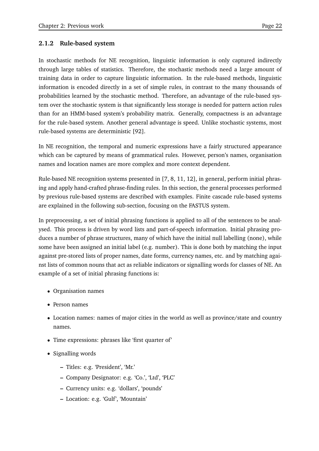#### **2.1.2 Rule-based system**

In stochastic methods for NE recognition, linguistic information is only captured indirectly through large tables of statistics. Therefore, the stochastic methods need a large amount of training data in order to capture linguistic information. In the rule-based methods, linguistic information is encoded directly in a set of simple rules, in contrast to the many thousands of probabilities learned by the stochastic method. Therefore, an advantage of the rule-based system over the stochastic system is that significantly less storage is needed for pattern action rules than for an HMM-based system's probability matrix. Generally, compactness is an advantage for the rule-based system. Another general advantage is speed. Unlike stochastic systems, most rule-based systems are deterministic [92].

In NE recognition, the temporal and numeric expressions have a fairly structured appearance which can be captured by means of grammatical rules. However, person's names, organisation names and location names are more complex and more context dependent.

Rule-based NE recognition systems presented in [7, 8, 11, 12], in general, perform initial phrasing and apply hand-crafted phrase-finding rules. In this section, the general processes performed by previous rule-based systems are described with examples. Finite cascade rule-based systems are explained in the following sub-section, focusing on the FASTUS system.

In preprocessing, a set of initial phrasing functions is applied to all of the sentences to be analysed. This process is driven by word lists and part-of-speech information. Initial phrasing produces a number of phrase structures, many of which have the initial null labelling (none), while some have been assigned an initial label (e.g. number). This is done both by matching the input against pre-stored lists of proper names, date forms, currency names, etc. and by matching against lists of common nouns that act as reliable indicators or signalling words for classes of NE. An example of a set of initial phrasing functions is:

- Organisation names
- Person names
- Location names: names of major cities in the world as well as province/state and country names.
- Time expressions: phrases like 'first quarter of'
- Signalling words
	- **–** Titles: e.g. 'President', 'Mr.'
	- **–** Company Designator: e.g. 'Co.', 'Ltd', 'PLC'
	- **–** Currency units: e.g. 'dollars', 'pounds'
	- **–** Location: e.g. 'Gulf', 'Mountain'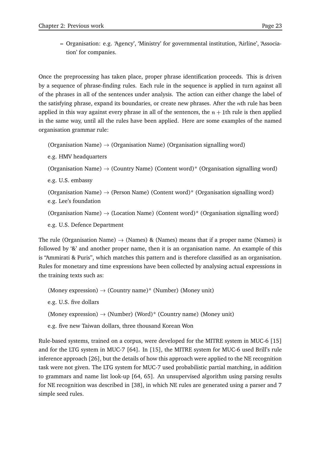**–** Organisation: e.g. 'Agency', 'Ministry' for governmental institution, 'Airline', 'Association' for companies.

Once the preprocessing has taken place, proper phrase identification proceeds. This is driven by a sequence of phrase-finding rules. Each rule in the sequence is applied in turn against all of the phrases in all of the sentences under analysis. The action can either change the label of the satisfying phrase, expand its boundaries, or create new phrases. After the  $n$ th rule has been applied in this way against every phrase in all of the sentences, the  $n+1$ th rule is then applied in the same way, until all the rules have been applied. Here are some examples of the named organisation grammar rule:

(Organisation Name)  $\rightarrow$  (Organisation Name) (Organisation signalling word)

e.g. HMV headquarters

```
(Organisation Name) \rightarrow (Country Name) (Content word)* (Organisation signalling word)
```
e.g. U.S. embassy

```
(Organisation Name) \rightarrow (Person Name) (Content word)* (Organisation signalling word)
e.g. Lee's foundation
```

```
(Organisation Name) \rightarrow (Location Name) (Content word)* (Organisation signalling word)
```
e.g. U.S. Defence Department

The rule (Organisation Name)  $\rightarrow$  (Names) & (Names) means that if a proper name (Names) is followed by '&' and another proper name, then it is an organisation name. An example of this is "Ammirati & Puris", which matches this pattern and is therefore classified as an organisation. Rules for monetary and time expressions have been collected by analysing actual expressions in the training texts such as:

(Money expression)  $\rightarrow$  (Country name)\* (Number) (Money unit) e.g. U.S. five dollars (Money expression)  $\rightarrow$  (Number) (Word)\* (Country name) (Money unit) e.g. five new Taiwan dollars, three thousand Korean Won

Rule-based systems, trained on a corpus, were developed for the MITRE system in MUC-6 [15] and for the LTG system in MUC-7 [64]. In [15], the MITRE system for MUC-6 used Brill's rule inference approach [26], but the details of how this approach were applied to the NE recognition task were not given. The LTG system for MUC-7 used probabilistic partial matching, in addition to grammars and name list look-up [64, 65]. An unsupervised algorithm using parsing results for NE recognition was described in [38], in which NE rules are generated using a parser and 7 simple seed rules.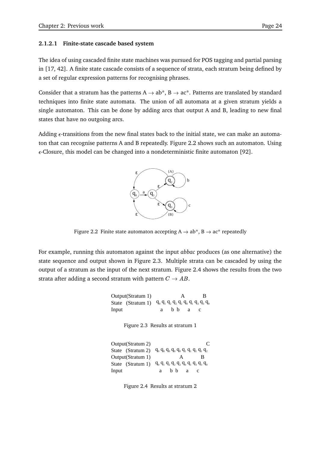#### **2.1.2.1 Finite-state cascade based system**

The idea of using cascaded finite state machines was pursued for POS tagging and partial parsing in [17, 42]. A finite state cascade consists of a sequence of strata, each stratum being defined by a set of regular expression patterns for recognising phrases.

Consider that a stratum has the patterns A  $\rightarrow$  ab\*, B  $\rightarrow$  ac\*. Patterns are translated by standard techniques into finite state automata. The union of all automata at a given stratum yields a single automaton. This can be done by adding arcs that output A and B, leading to new final states that have no outgoing arcs.

Adding  $\epsilon$ -transitions from the new final states back to the initial state, we can make an automaton that can recognise patterns A and B repeatedly. Figure 2.2 shows such an automaton. Using  $\epsilon$ -Closure, this model can be changed into a nondeterministic finite automaton [92].



Figure 2.2 Finite state automaton accepting  $A \rightarrow ab^*$ ,  $B \rightarrow ac^*$  repeatedly

For example, running this automaton against the input *abbac* produces (as one alternative) the state sequence and output shown in Figure 2.3. Multiple strata can be cascaded by using the output of a stratum as the input of the next stratum. Figure 2.4 shows the results from the two strata after adding a second stratum with pattern  $C\rightarrow AB.$ 

> State (Stratum 1)  $q_0 q_1 q_2 q_2 q_2 q_0 q_1 q_3 q_3 q_0$ B Output(Stratum 1) Input a b b a c A Figure 2.3 Results at stratum 1 State (Stratum 1)  $q_0$   $q_1$   $q_2$   $q_2$   $q_2$   $q_0$   $q_1$   $q_3$   $q_3$   $q_0$ State (Stratum 2)  $q_0$   $q_0$   $q_0$   $q_0$   $q_0$   $q_1$   $q_1$   $q_1$   $q_2$  $\mathcal{C}$ Output(Stratum 1) Input a b b a c A B Output(Stratum 2)

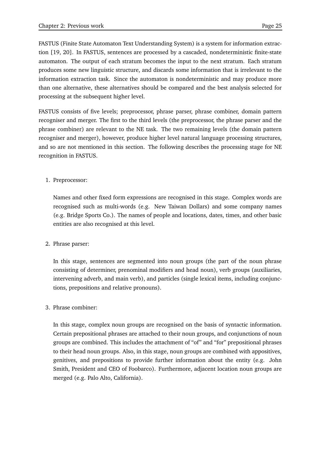FASTUS (Finite State Automaton Text Understanding System) is a system for information extraction [19, 20]. In FASTUS, sentences are processed by a cascaded, nondeterministic finite-state automaton. The output of each stratum becomes the input to the next stratum. Each stratum produces some new linguistic structure, and discards some information that is irrelevant to the information extraction task. Since the automaton is nondeterministic and may produce more than one alternative, these alternatives should be compared and the best analysis selected for processing at the subsequent higher level.

FASTUS consists of five levels; preprocessor, phrase parser, phrase combiner, domain pattern recogniser and merger. The first to the third levels (the preprocessor, the phrase parser and the phrase combiner) are relevant to the NE task. The two remaining levels (the domain pattern recogniser and merger), however, produce higher level natural language processing structures, and so are not mentioned in this section. The following describes the processing stage for NE recognition in FASTUS.

#### 1. Preprocessor:

Names and other fixed form expressions are recognised in this stage. Complex words are recognised such as multi-words (e.g. New Taiwan Dollars) and some company names (e.g. Bridge Sports Co.). The names of people and locations, dates, times, and other basic entities are also recognised at this level.

#### 2. Phrase parser:

In this stage, sentences are segmented into noun groups (the part of the noun phrase consisting of determiner, prenominal modifiers and head noun), verb groups (auxiliaries, intervening adverb, and main verb), and particles (single lexical items, including conjunctions, prepositions and relative pronouns).

#### 3. Phrase combiner:

In this stage, complex noun groups are recognised on the basis of syntactic information. Certain prepositional phrases are attached to their noun groups, and conjunctions of noun groups are combined. This includes the attachment of "of" and "for" prepositional phrases to their head noun groups. Also, in this stage, noun groups are combined with appositives, genitives, and prepositions to provide further information about the entity (e.g. John Smith, President and CEO of Foobarco). Furthermore, adjacent location noun groups are merged (e.g. Palo Alto, California).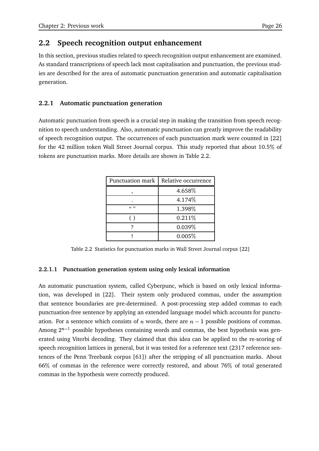### **2.2 Speech recognition output enhancement**

In this section, previous studies related to speech recognition output enhancement are examined. As standard transcriptions of speech lack most capitalisation and punctuation, the previous studies are described for the area of automatic punctuation generation and automatic capitalisation generation.

#### **2.2.1 Automatic punctuation generation**

Automatic punctuation from speech is a crucial step in making the transition from speech recognition to speech understanding. Also, automatic punctuation can greatly improve the readability of speech recognition output. The occurrences of each punctuation mark were counted in [22] for the 42 million token Wall Street Journal corpus. This study reported that about 10.5 of tokens are punctuation marks. More details are shown in Table 2.2.

| Punctuation mark | Relative occurrence |
|------------------|---------------------|
|                  | 4.658%              |
|                  | 4.174%              |
| (6, 22)          | 1.398%              |
|                  | 0.211%              |
|                  | 0.039%              |
|                  | 0.005%              |

Table 2.2 Statistics for punctuation marks in Wall Street Journal corpus [22]

#### **2.2.1.1 Punctuation generation system using only lexical information**

An automatic punctuation system, called Cyberpunc, which is based on only lexical information, was developed in [22]. Their system only produced commas, under the assumption that sentence boundaries are pre-determined. A post-processing step added commas to each punctuation-free sentence by applying an extended language model which accounts for punctuation. For a sentence which consists of  $n$  words, there are  $n-1$  possible positions of commas. Among  $2^{n-1}$  possible hypotheses containing words and commas, the best hypothesis was generated using Viterbi decoding. They claimed that this idea can be applied to the re-scoring of speech recognition lattices in general, but it was tested for a reference text (2317 reference sentences of the Penn Treebank corpus [61]) after the stripping of all punctuation marks. About 66 of commas in the reference were correctly restored, and about 76 of total generated commas in the hypothesis were correctly produced.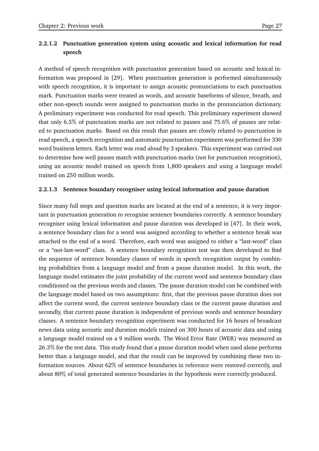#### **2.2.1.2 Punctuation generation system using acoustic and lexical information for read speech**

A method of speech recognition with punctuation generation based on acoustic and lexical information was proposed in [29]. When punctuation generation is performed simultaneously with speech recognition, it is important to assign acoustic pronunciations to each punctuation mark. Punctuation marks were treated as words, and acoustic baseforms of silence, breath, and other non-speech sounds were assigned to punctuation marks in the pronunciation dictionary. A preliminary experiment was conducted for read speech. This preliminary experiment showed that only 6.5% of punctuation marks are not related to pauses and 75.6% of pauses are related to punctuation marks. Based on this result that pauses are closely related to punctuation in read speech, a speech recognition and automatic punctuation experiment was performed for 330 word business letters. Each letter was read aloud by 3 speakers. This experiment was carried out to determine how well pauses match with punctuation marks (not for punctuation recognition), using an acoustic model trained on speech from 1,800 speakers and using a language model trained on 250 million words.

#### **2.2.1.3 Sentence boundary recogniser using lexical information and pause duration**

Since many full stops and question marks are located at the end of a sentence, it is very important in punctuation generation to recognise sentence boundaries correctly. A sentence boundary recogniser using lexical information and pause duration was developed in [47]. In their work, a sentence boundary class for a word was assigned according to whether a sentence break was attached to the end of a word. Therefore, each word was assigned to either a "last-word" class or a "not-last-word" class. A sentence boundary recognition test was then developed to find the sequence of sentence boundary classes of words in speech recognition output by combining probabilities from a language model and from a pause duration model. In this work, the language model estimates the joint probability of the current word and sentence boundary class conditioned on the previous words and classes. The pause duration model can be combined with the language model based on two assumptions: first, that the previous pause duration does not affect the current word, the current sentence boundary class or the current pause duration and secondly, that current pause duration is independent of previous words and sentence boundary classes. A sentence boundary recognition experiment was conducted for 16 hours of broadcast news data using acoustic and duration models trained on 300 hours of acoustic data and using a language model trained on a 9 million words. The Word Error Rate (WER) was measured as 26.3 for the test data. This study found that a pause duration model when used alone performs better than a language model, and that the result can be improved by combining these two information sources. About 62% of sentence boundaries in reference were restored correctly, and about 80% of total generated sentence boundaries in the hypothesis were correctly produced.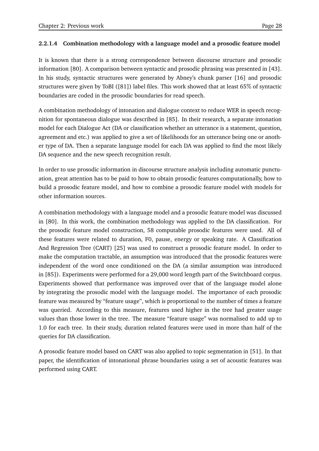#### **2.2.1.4 Combination methodology with a language model and a prosodic feature model**

It is known that there is a strong correspondence between discourse structure and prosodic information [80]. A comparison between syntactic and prosodic phrasing was presented in [43]. In his study, syntactic structures were generated by Abney's chunk parser [16] and prosodic structures were given by ToBI ([81]) label files. This work showed that at least 65 of syntactic boundaries are coded in the prosodic boundaries for read speech.

A combination methodology of intonation and dialogue context to reduce WER in speech recognition for spontaneous dialogue was described in [85]. In their research, a separate intonation model for each Dialogue Act (DA or classification whether an utterance is a statement, question, agreement and etc.) was applied to give a set of likelihoods for an utterance being one or another type of DA. Then a separate language model for each DA was applied to find the most likely DA sequence and the new speech recognition result.

In order to use prosodic information in discourse structure analysis including automatic punctuation, great attention has to be paid to how to obtain prosodic features computationally, how to build a prosodic feature model, and how to combine a prosodic feature model with models for other information sources.

A combination methodology with a language model and a prosodic feature model was discussed in [80]. In this work, the combination methodology was applied to the DA classification. For the prosodic feature model construction, 58 computable prosodic features were used. All of these features were related to duration, F0, pause, energy or speaking rate. A Classification And Regression Tree (CART) [25] was used to construct a prosodic feature model. In order to make the computation tractable, an assumption was introduced that the prosodic features were independent of the word once conditioned on the DA (a similar assumption was introduced in [85]). Experiments were performed for a 29,000 word length part of the Switchboard corpus. Experiments showed that performance was improved over that of the language model alone by integrating the prosodic model with the language model. The importance of each prosodic feature was measured by "feature usage", which is proportional to the number of times a feature was queried. According to this measure, features used higher in the tree had greater usage values than those lower in the tree. The measure "feature usage" was normalised to add up to 1.0 for each tree. In their study, duration related features were used in more than half of the queries for DA classification.

A prosodic feature model based on CART was also applied to topic segmentation in [51]. In that paper, the identification of intonational phrase boundaries using a set of acoustic features was performed using CART.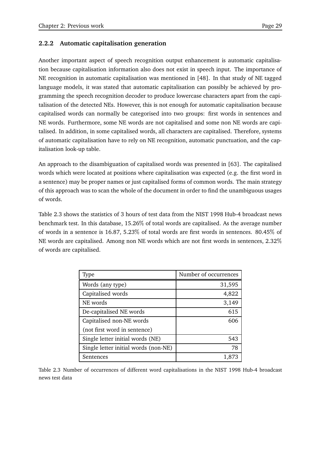#### **2.2.2 Automatic capitalisation generation**

Another important aspect of speech recognition output enhancement is automatic capitalisation because capitalisation information also does not exist in speech input. The importance of NE recognition in automatic capitalisation was mentioned in [48]. In that study of NE tagged language models, it was stated that automatic capitalisation can possibly be achieved by programming the speech recognition decoder to produce lowercase characters apart from the capitalisation of the detected NEs. However, this is not enough for automatic capitalisation because capitalised words can normally be categorised into two groups: first words in sentences and NE words. Furthermore, some NE words are not capitalised and some non NE words are capitalised. In addition, in some capitalised words, all characters are capitalised. Therefore, systems of automatic capitalisation have to rely on NE recognition, automatic punctuation, and the capitalisation look-up table.

An approach to the disambiguation of capitalised words was presented in [63]. The capitalised words which were located at positions where capitalisation was expected (e.g. the first word in a sentence) may be proper names or just capitalised forms of common words. The main strategy of this approach was to scan the whole of the document in order to find the unambiguous usages of words.

Table 2.3 shows the statistics of 3 hours of test data from the NIST 1998 Hub-4 broadcast news benchmark test. In this database, 15.26% of total words are capitalised. As the average number of words in a sentence is 16.87, 5.23 of total words are first words in sentences. 80.45 of NE words are capitalised. Among non NE words which are not first words in sentences, 2.32 of words are capitalised.

| <b>Type</b>                          | Number of occurrences |
|--------------------------------------|-----------------------|
| Words (any type)                     | 31,595                |
| Capitalised words                    | 4,822                 |
| NE words                             | 3,149                 |
| De-capitalised NE words              | 615                   |
| Capitalised non-NE words             | 606                   |
| (not first word in sentence)         |                       |
| Single letter initial words (NE)     | 543                   |
| Single letter initial words (non-NE) | 78                    |
| Sentences                            | 1.87.                 |

Table 2.3 Number of occurrences of different word capitalisations in the NIST 1998 Hub-4 broadcast news test data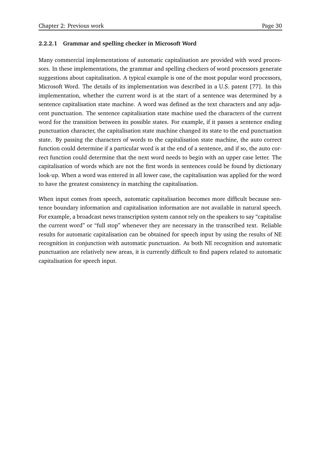#### **2.2.2.1 Grammar and spelling checker in Microsoft Word**

Many commercial implementations of automatic capitalisation are provided with word processors. In these implementations, the grammar and spelling checkers of word processors generate suggestions about capitalisation. A typical example is one of the most popular word processors, Microsoft Word. The details of its implementation was described in a U.S. patent [77]. In this implementation, whether the current word is at the start of a sentence was determined by a sentence capitalisation state machine. A word was defined as the text characters and any adjacent punctuation. The sentence capitalisation state machine used the characters of the current word for the transition between its possible states. For example, if it passes a sentence ending punctuation character, the capitalisation state machine changed its state to the end punctuation state. By passing the characters of words to the capitalisation state machine, the auto correct function could determine if a particular word is at the end of a sentence, and if so, the auto correct function could determine that the next word needs to begin with an upper case letter. The capitalisation of words which are not the first words in sentences could be found by dictionary look-up. When a word was entered in all lower case, the capitalisation was applied for the word to have the greatest consistency in matching the capitalisation.

When input comes from speech, automatic capitalisation becomes more difficult because sentence boundary information and capitalisation information are not available in natural speech. For example, a broadcast news transcription system cannot rely on the speakers to say "capitalise the current word" or "full stop" whenever they are necessary in the transcribed text. Reliable results for automatic capitalisation can be obtained for speech input by using the results of NE recognition in conjunction with automatic punctuation. As both NE recognition and automatic punctuation are relatively new areas, it is currently difficult to find papers related to automatic capitalisation for speech input.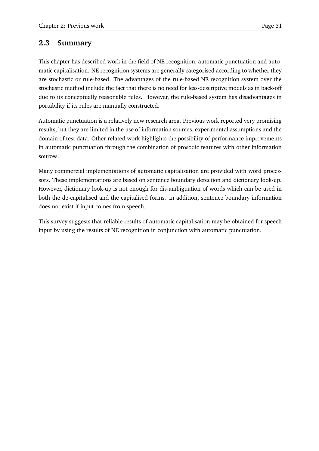## **2.3 Summary**

This chapter has described work in the field of NE recognition, automatic punctuation and automatic capitalisation. NE recognition systems are generally categorised according to whether they are stochastic or rule-based. The advantages of the rule-based NE recognition system over the stochastic method include the fact that there is no need for less-descriptive models as in back-off due to its conceptually reasonable rules. However, the rule-based system has disadvantages in portability if its rules are manually constructed.

Automatic punctuation is a relatively new research area. Previous work reported very promising results, but they are limited in the use of information sources, experimental assumptions and the domain of test data. Other related work highlights the possibility of performance improvements in automatic punctuation through the combination of prosodic features with other information sources.

Many commercial implementations of automatic capitalisation are provided with word processors. These implementations are based on sentence boundary detection and dictionary look-up. However, dictionary look-up is not enough for dis-ambiguation of words which can be used in both the de-capitalised and the capitalised forms. In addition, sentence boundary information does not exist if input comes from speech.

This survey suggests that reliable results of automatic capitalisation may be obtained for speech input by using the results of NE recognition in conjunction with automatic punctuation.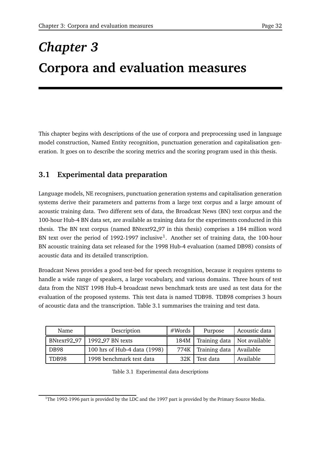# *Chapter 3* **Corpora and evaluation measures**

This chapter begins with descriptions of the use of corpora and preprocessing used in language model construction, Named Entity recognition, punctuation generation and capitalisation generation. It goes on to describe the scoring metrics and the scoring program used in this thesis.

## **3.1 Experimental data preparation**

Language models, NE recognisers, punctuation generation systems and capitalisation generation systems derive their parameters and patterns from a large text corpus and a large amount of acoustic training data. Two different sets of data, the Broadcast News (BN) text corpus and the 100-hour Hub-4 BN data set, are available as training data for the experiments conducted in this thesis. The BN text corpus (named BNtext92 97 in this thesis) comprises a 184 million word BN text over the period of 1992-1997 inclusive<sup>1</sup>. Another set of training data, the 100-hour BN acoustic training data set released for the 1998 Hub-4 evaluation (named DB98) consists of acoustic data and its detailed transcription.

Broadcast News provides a good test-bed for speech recognition, because it requires systems to handle a wide range of speakers, a large vocabulary, and various domains. Three hours of test data from the NIST 1998 Hub-4 broadcast news benchmark tests are used as test data for the evaluation of the proposed systems. This test data is named TDB98. TDB98 comprises 3 hours of acoustic data and the transcription. Table 3.1 summarises the training and test data.

| Name        | Description                  | #Words | Purpose                              | Acoustic data |
|-------------|------------------------------|--------|--------------------------------------|---------------|
| BNtext92_97 | 1992_97 BN texts             |        | 184M   Training data   Not available |               |
| DB98        | 100 hrs of Hub-4 data (1998) |        | 774K Training data                   | Available     |
| TDB98       | 1998 benchmark test data     | 32K    | Test data                            | Available     |

Table 3.1 Experimental data descriptions

<sup>&</sup>lt;sup>1</sup>The 1992-1996 part is provided by the LDC and the 1997 part is provided by the Primary Source Media.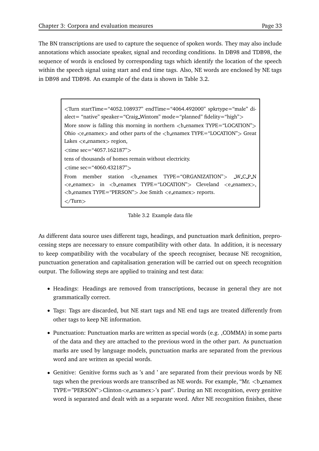The BN transcriptions are used to capture the sequence of spoken words. They may also include annotations which associate speaker, signal and recording conditions. In DB98 and TDB98, the sequence of words is enclosed by corresponding tags which identify the location of the speech within the speech signal using start and end time tags. Also, NE words are enclosed by NE tags in DB98 and TDB98. An example of the data is shown in Table 3.2.

```
Turn startTime="4052.108937" endTime="4064.492000" spkrtype="male" di-
alect= "native" speaker="Craig_Wintom" mode="planned" fidelity="high">
More snow is falling this morning in northern  enamex TYPE="LOCATION">
Ohio \leq e_enamex> and other parts of the \leq b_enamex TYPE="LOCATION"> Great
Lakes \lte enamex> region,
\timestime sec="4057.162187">
tens of thousands of homes remain without electricity. \timestime sec="4060.432187">
From member station <benamex TYPE="ORGANIZATION"> W C P N
<e_enamex> in <b_enamex TYPE="LOCATION"> Cleveland <e_enamex>,

\langleTurn\rangle
```
Table 3.2 Example data file

As different data source uses different tags, headings, and punctuation mark definition, preprocessing steps are necessary to ensure compatibility with other data. In addition, it is necessary to keep compatibility with the vocabulary of the speech recogniser, because NE recognition, punctuation generation and capitalisation generation will be carried out on speech recognition output. The following steps are applied to training and test data:

- Headings: Headings are removed from transcriptions, because in general they are not grammatically correct.
- Tags: Tags are discarded, but NE start tags and NE end tags are treated differently from other tags to keep NE information.
- Punctuation: Punctuation marks are written as special words (e.g. ,COMMA) in some parts of the data and they are attached to the previous word in the other part. As punctuation marks are used by language models, punctuation marks are separated from the previous word and are written as special words.
- Genitive: Genitive forms such as 's and ' are separated from their previous words by NE tags when the previous words are transcribed as NE words. For example, " $Mr. < b$  enamex  $TYPE="PERSON"$  > Clinton $\lt e$ \_enamex $>$ 's past". During an NE recognition, every genitive word is separated and dealt with as a separate word. After NE recognition finishes, these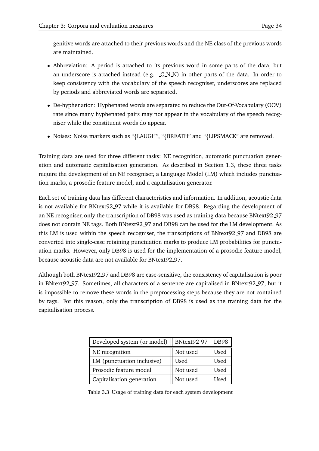genitive words are attached to their previous words and the NE class of the previous words are maintained.

- Abbreviation: A period is attached to its previous word in some parts of the data, but an underscore is attached instead (e.g.  $C_N$ N) in other parts of the data. In order to keep consistency with the vocabulary of the speech recogniser, underscores are replaced by periods and abbreviated words are separated.
- De-hyphenation: Hyphenated words are separated to reduce the Out-Of-Vocabulary (OOV) rate since many hyphenated pairs may not appear in the vocabulary of the speech recogniser while the constituent words do appear.
- Noises: Noise markers such as "{LAUGH", "{BREATH" and "{LIPSMACK" are removed.

Training data are used for three different tasks: NE recognition, automatic punctuation generation and automatic capitalisation generation. As described in Section 1.3, these three tasks require the development of an NE recogniser, a Language Model (LM) which includes punctuation marks, a prosodic feature model, and a capitalisation generator.

Each set of training data has different characteristics and information. In addition, acoustic data is not available for BNtext92 97 while it is available for DB98. Regarding the development of an NE recogniser, only the transcription of DB98 was used as training data because BNtext92 97 does not contain NE tags. Both BNtext92 97 and DB98 can be used for the LM development. As this LM is used within the speech recogniser, the transcriptions of BNtext92.97 and DB98 are converted into single-case retaining punctuation marks to produce LM probabilities for punctuation marks. However, only DB98 is used for the implementation of a prosodic feature model, because acoustic data are not available for BNtext92 97.

Although both BNtext92 97 and DB98 are case-sensitive, the consistency of capitalisation is poor in BNtext92 97. Sometimes, all characters of a sentence are capitalised in BNtext92 97, but it is impossible to remove these words in the preprocessing steps because they are not contained by tags. For this reason, only the transcription of DB98 is used as the training data for the capitalisation process.

| Developed system (or model) | BNtext92_97 | <b>DB98</b> |
|-----------------------------|-------------|-------------|
| NE recognition              | Not used    | Used        |
| LM (punctuation inclusive)  | Used        | Used        |
| Prosodic feature model      | Not used    | Used        |
| Capitalisation generation   | Not used    | Used        |

Table 3.3 Usage of training data for each system development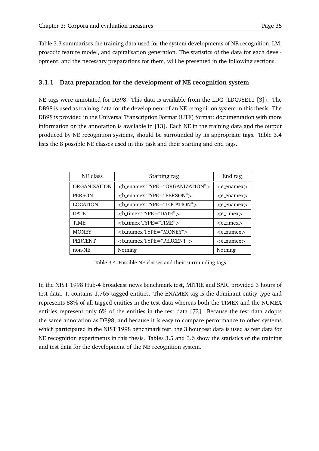Table 3.3 summarises the training data used for the system developments of NE recognition, LM, prosodic feature model, and capitalisation generation. The statistics of the data for each development, and the necessary preparations for them, will be presented in the following sections.

#### **3.1.1 Data preparation for the development of NE recognition system**

NE tags were annotated for DB98. This data is available from the LDC (LDC98E11 [3]). The DB98 is used as training data for the development of an NE recognition system in this thesis. The DB98 is provided in the Universal Transcription Format (UTF) format: documentation with more information on the annotation is available in [13]. Each NE in the training data and the output produced by NE recognition systems, should be surrounded by its appropriate tags. Table 3.4 lists the 8 possible NE classes used in this task and their starting and end tags.

| NE class            | Starting tag                          | End tag                      |
|---------------------|---------------------------------------|------------------------------|
| <b>ORGANIZATION</b> | $sub.$ enamex TYPE = "ORGANIZATION" > | $\langle e$ enamex $\rangle$ |
| <b>PERSON</b>       | $sub\_enames TYPE = "PERSON"$         | $\langle$ e_enamex $\rangle$ |
| <b>LOCATION</b>     | $ benamex TYPE = "LOCALION"$          | $\langle$ e_enamex $\rangle$ |
| <b>DATE</b>         | $sub_timex TYPE="DATE"$               | $\langle$ e_timex $\rangle$  |
| TIME                | $sub_timex TYPE="TIME"$               | $\langle$ e_timex $\rangle$  |
| <b>MONEY</b>        | $2$ -numex TYPE="MONEY"               | $\langle$ e_numex $\rangle$  |
| <b>PERCENT</b>      | $sub_number$ TYPE="PERCENT">          | $\leq$ e_numex $>$           |
| non-NE              | Nothing                               | Nothing                      |

Table 3.4 Possible NE classes and their surrounding tags

In the NIST 1998 Hub-4 broadcast news benchmark test, MITRE and SAIC provided 3 hours of test data. It contains 1,765 tagged entities. The ENAMEX tag is the dominant entity type and represents 88 of all tagged entities in the test data whereas both the TIMEX and the NUMEX entities represent only 6% of the entities in the test data [73]. Because the test data adopts the same annotation as DB98, and because it is easy to compare performance to other systems which participated in the NIST 1998 benchmark test, the 3 hour test data is used as test data for NE recognition experiments in this thesis. Tables 3.5 and 3.6 show the statistics of the training and test data for the development of the NE recognition system.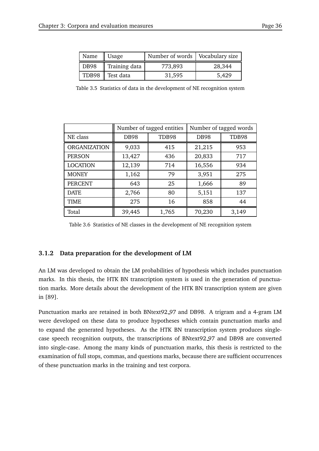| Name        | Usage           | Number of words   Vocabulary size |        |
|-------------|-----------------|-----------------------------------|--------|
| <b>DB98</b> | Training data   | 773,893                           | 28,344 |
|             | TDB98 Test data | 31,595                            | 5,429  |

Table 3.5 Statistics of data in the development of NE recognition system

|                     | Number of tagged entities |       |             | Number of tagged words |
|---------------------|---------------------------|-------|-------------|------------------------|
| NE class            | <b>DB98</b>               | TDB98 | <b>DB98</b> | TDB98                  |
| <b>ORGANIZATION</b> | 9,033                     | 415   | 21,215      | 953                    |
| <b>PERSON</b>       | 13,427                    | 436   | 20,833      | 717                    |
| <b>LOCATION</b>     | 12,139                    | 714   | 16,556      | 934                    |
| <b>MONEY</b>        | 1,162                     | 79    | 3,951       | 275                    |
| <b>PERCENT</b>      | 643                       | 25    | 1,666       | 89                     |
| <b>DATE</b>         | 2,766                     | 80    | 5,151       | 137                    |
| <b>TIME</b>         | 275                       | 16    | 858         | 44                     |
| Total               | 39,445                    | 1,765 | 70,230      | 3,149                  |

Table 3.6 Statistics of NE classes in the development of NE recognition system

#### **3.1.2 Data preparation for the development of LM**

An LM was developed to obtain the LM probabilities of hypothesis which includes punctuation marks. In this thesis, the HTK BN transcription system is used in the generation of punctuation marks. More details about the development of the HTK BN transcription system are given in [89].

Punctuation marks are retained in both BNtext92 97 and DB98. A trigram and a 4-gram LM were developed on these data to produce hypotheses which contain punctuation marks and to expand the generated hypotheses. As the HTK BN transcription system produces singlecase speech recognition outputs, the transcriptions of BNtext92 97 and DB98 are converted into single-case. Among the many kinds of punctuation marks, this thesis is restricted to the examination of full stops, commas, and questions marks, because there are sufficient occurrences of these punctuation marks in the training and test corpora.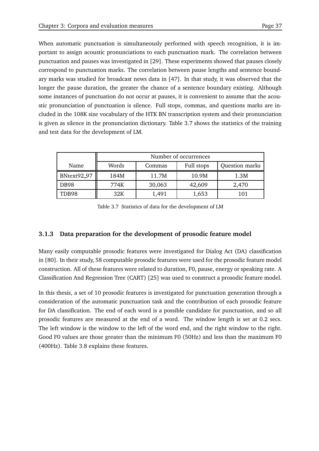When automatic punctuation is simultaneously performed with speech recognition, it is important to assign acoustic pronunciations to each punctuation mark. The correlation between punctuation and pauses was investigated in [29]. These experiments showed that pauses closely correspond to punctuation marks. The correlation between pause lengths and sentence boundary marks was studied for broadcast news data in [47]. In that study, it was observed that the longer the pause duration, the greater the chance of a sentence boundary existing. Although some instances of punctuation do not occur at pauses, it is convenient to assume that the acoustic pronunciation of punctuation is silence. Full stops, commas, and questions marks are included in the 108K size vocabulary of the HTK BN transcription system and their pronunciation is given as silence in the pronunciation dictionary. Table 3.7 shows the statistics of the training and test data for the development of LM.

|             |       |        | Number of occurrences |                |
|-------------|-------|--------|-----------------------|----------------|
| Name        | Words | Commas | Full stops            | Question marks |
| BNtext92_97 | 184M  | 11.7M  | 10.9M                 | 1.3M           |
| DB98        | 774K  | 30,063 | 42,609                | 2,470          |
| TDB98       | 32K   | 1,491  | 1,653                 | 101            |

Table 3.7 Statistics of data for the development of LM

#### **3.1.3 Data preparation for the development of prosodic feature model**

Many easily computable prosodic features were investigated for Dialog Act (DA) classification in [80]. In their study, 58 computable prosodic features were used for the prosodic feature model construction. All of these features were related to duration, F0, pause, energy or speaking rate. A Classification And Regression Tree (CART) [25] was used to construct a prosodic feature model.

In this thesis, a set of 10 prosodic features is investigated for punctuation generation through a consideration of the automatic punctuation task and the contribution of each prosodic feature for DA classification. The end of each word is a possible candidate for punctuation, and so all prosodic features are measured at the end of a word. The window length is set at 0.2 secs. The left window is the window to the left of the word end, and the right window to the right. Good F0 values are those greater than the minimum F0 (50Hz) and less than the maximum F0 (400Hz). Table 3.8 explains these features.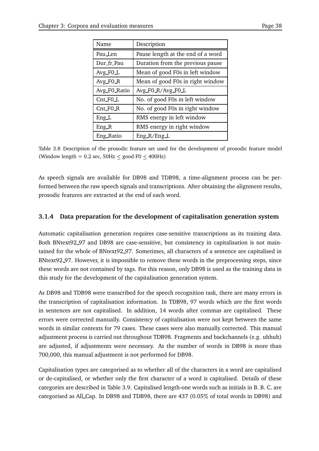| Name         | Description                       |
|--------------|-----------------------------------|
| Pau Len      | Pause length at the end of a word |
| Dur fr Pau   | Duration from the previous pause  |
| Avg_FO_L     | Mean of good F0s in left window   |
| $Avg_F0_R$   | Mean of good F0s in right window  |
| Avg F0 Ratio | Avg F0 R/Avg F0 L                 |
| Cnt_FO_L     | No. of good F0s in left window    |
| $Cnt_F0_R$   | No. of good F0s in right window   |
| $Eng\_L$     | RMS energy in left window         |
| $Eng_R$      | RMS energy in right window        |
| Eng_Ratio    | $Eng_R/Eng_L$                     |

Table 3.8 Description of the prosodic feature set used for the development of prosodic feature model (Window length =  $0.2$  sec,  $50$ Hz  $\le$  good F0  $\le$  400Hz)

As speech signals are available for DB98 and TDB98, a time-alignment process can be performed between the raw speech signals and transcriptions. After obtaining the alignment results, prosodic features are extracted at the end of each word.

#### **3.1.4 Data preparation for the development of capitalisation generation system**

Automatic capitalisation generation requires case-sensitive transcriptions as its training data. Both BNtext92 97 and DB98 are case-sensitive, but consistency in capitalisation is not maintained for the whole of BNtext92 97. Sometimes, all characters of a sentence are capitalised in BNtext92 97. However, it is impossible to remove these words in the preprocessing steps, since these words are not contained by tags. For this reason, only DB98 is used as the training data in this study for the development of the capitalisation generation system.

As DB98 and TDB98 were transcribed for the speech recognition task, there are many errors in the transcription of capitalisation information. In TDB98, 97 words which are the first words in sentences are not capitalised. In addition, 14 words after commas are capitalised. These errors were corrected manually. Consistency of capitalisation were not kept between the same words in similar contexts for 79 cases. These cases were also manually corrected. This manual adjustment process is carried out throughout TDB98. Fragments and backchannels (e.g. uhhuh) are adjusted, if adjustments were necessary. As the number of words in DB98 is more than 700,000, this manual adjustment is not performed for DB98.

Capitalisation types are categorised as to whether all of the characters in a word are capitalised or de-capitalised, or whether only the first character of a word is capitalised. Details of these categories are described in Table 3.9. Capitalised length-one words such as initials in B. B. C. are categorised as All Cap. In DB98 and TDB98, there are 437 (0.05 of total words in DB98) and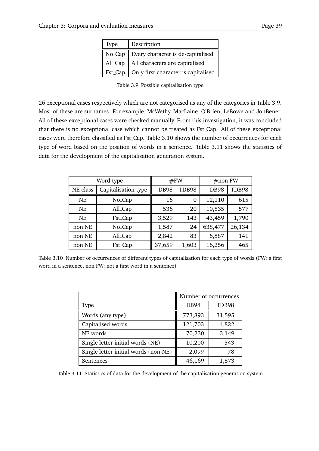| <b>Type</b> | Description                         |
|-------------|-------------------------------------|
| No Cap      | Every character is de-capitalised   |
| All_Cap     | All characters are capitalised      |
| Fst_Cap     | Only first character is capitalised |

Table 3.9 Possible capitalisation type

26 exceptional cases respectively which are not categorised as any of the categories in Table 3.9. Most of these are surnames. For example, McWethy, MacLaine, O'Brien, LeBowe and JonBenet. All of these exceptional cases were checked manually. From this investigation, it was concluded that there is no exceptional case which cannot be treated as Fst Cap. All of these exceptional cases were therefore classified as Fst Cap. Table 3.10 shows the number of occurrences for each type of word based on the position of words in a sentence. Table 3.11 shows the statistics of data for the development of the capitalisation generation system.

| Word type |                     | #FW         |       | $\#$ non FW |        |
|-----------|---------------------|-------------|-------|-------------|--------|
| NE class  | Capitalisation type | <b>DB98</b> | TDB98 | <b>DB98</b> | TDB98  |
| NE        | No_Cap              | 16          | 0     | 12,110      | 615    |
| <b>NE</b> | All_Cap             | 536         | 20    | 10,535      | 577    |
| NE        | Fst_Cap             | 3,529       | 143   | 43,459      | 1,790  |
| non NE    | No_Cap              | 1,587       | 24    | 638,477     | 26,134 |
| non NE    | All_Cap             | 2,842       | 83    | 6,887       | 141    |
| non NE    | Fst_Cap             | 37,659      | 1,603 | 16,256      | 465    |

Table 3.10 Number of occurrences of different types of capitalisation for each type of words (FW: a first word in a sentence, non FW: not a first word in a sentence)

|                                      |             | Number of occurrences |
|--------------------------------------|-------------|-----------------------|
| Type                                 | <b>DB98</b> | TDB98                 |
| Words (any type)                     | 773,893     | 31,595                |
| Capitalised words                    | 121,703     | 4,822                 |
| NE words                             | 70,230      | 3,149                 |
| Single letter initial words (NE)     | 10,200      | 543                   |
| Single letter initial words (non-NE) | 2,099       | 78                    |
| Sentences                            | 46,169      | 1,873                 |

Table 3.11 Statistics of data for the development of the capitalisation generation system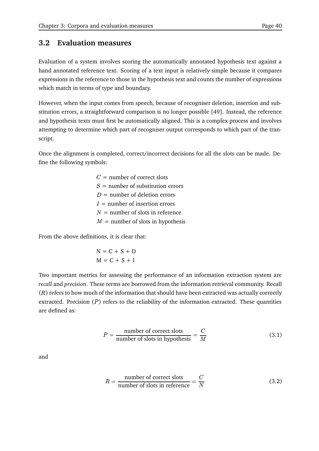## **3.2 Evaluation measures**

Evaluation of a system involves scoring the automatically annotated hypothesis text against a hand annotated reference text. Scoring of a text input is relatively simple because it compares expressions in the reference to those in the hypothesis text and counts the number of expressions which match in terms of type and boundary.

However, when the input comes from speech, because of recogniser deletion, insertion and substitution errors, a straightforward comparison is no longer possible [49]. Instead, the reference and hypothesis texts must first be automatically aligned. This is a complex process and involves attempting to determine which part of recogniser output corresponds to which part of the transcript.

Once the alignment is completed, correct/incorrect decisions for all the slots can be made. Define the following symbols:

> $C=$  number of correct slots  $S=$  number of substitution errors  $D =$  number of deletion errors  $I =$  number of insertion errors  $N =$  number of slots in reference  $M =$  number of slots in hypothesis

From the above definitions, it is clear that:

$$
N = C + S + D
$$

$$
M = C + S + I
$$

Two important metrics for assessing the performance of an information extraction system are *recall* and *precision*. These terms are borrowed from the information retrieval community. Recall  $(R)$  refers to how much of the information that should have been extracted was actually correctly extracted. Precision  $(P)$  refers to the reliability of the information extracted. These quantities are defined as:

$$
P = \frac{\text{number of correct slots}}{\text{number of slots in hypothesis}} = \frac{C}{M}
$$
 (3.1)

and

$$
R = \frac{\text{number of correct slots}}{\text{number of slots in reference}} = \frac{C}{N}
$$
 (3.2)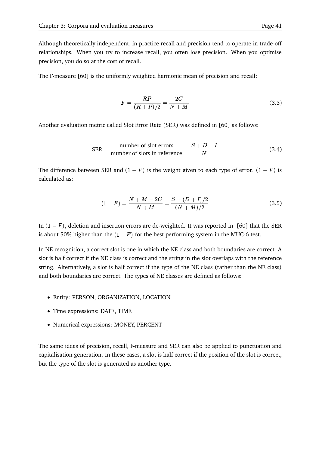Although theoretically independent, in practice recall and precision tend to operate in trade-off relationships. When you try to increase recall, you often lose precision. When you optimise precision, you do so at the cost of recall.

The F-measure [60] is the uniformly weighted harmonic mean of precision and recall:

$$
F = \frac{RP}{(R+P)/2} = \frac{2C}{N+M}
$$
\n(3.3)

Another evaluation metric called Slot Error Rate (SER) was defined in [60] as follows:

$$
SER = \frac{\text{number of slot errors}}{\text{number of slots in reference}} = \frac{S + D + I}{N}
$$
(3.4)

The difference between SER and  $(1 - F)$  is the weight given to each type of error.  $(1 - F)$  is calculated as:

$$
(1 - F) = \frac{N + M - 2C}{N + M} = \frac{S + (D + I)/2}{(N + M)/2}
$$
\n(3.5)

In  $(1 - F)$ , deletion and insertion errors are de-weighted. It was reported in [60] that the SER is about 50% higher than the  $(1 - F)$  for the best performing system in the MUC-6 test.

In NE recognition, a correct slot is one in which the NE class and both boundaries are correct. A slot is half correct if the NE class is correct and the string in the slot overlaps with the reference string. Alternatively, a slot is half correct if the type of the NE class (rather than the NE class) and both boundaries are correct. The types of NE classes are defined as follows:

- Entity: PERSON, ORGANIZATION, LOCATION
- Time expressions: DATE, TIME
- Numerical expressions: MONEY, PERCENT

The same ideas of precision, recall, F-measure and SER can also be applied to punctuation and capitalisation generation. In these cases, a slot is half correct if the position of the slot is correct, but the type of the slot is generated as another type.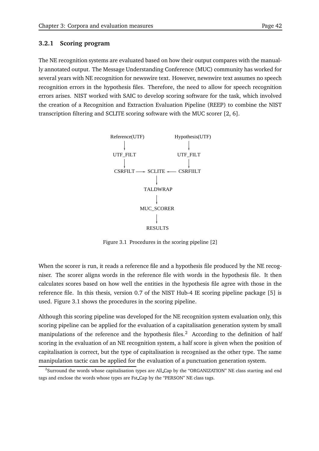#### **3.2.1 Scoring program**

The NE recognition systems are evaluated based on how their output compares with the manually annotated output. The Message Understanding Conference (MUC) community has worked for several years with NE recognition for newswire text. However, newswire text assumes no speech recognition errors in the hypothesis files. Therefore, the need to allow for speech recognition errors arises. NIST worked with SAIC to develop scoring software for the task, which involved the creation of a Recognition and Extraction Evaluation Pipeline (REEP) to combine the NIST transcription filtering and SCLITE scoring software with the MUC scorer [2, 6].



Figure 3.1 Procedures in the scoring pipeline [2]

When the scorer is run, it reads a reference file and a hypothesis file produced by the NE recogniser. The scorer aligns words in the reference file with words in the hypothesis file. It then calculates scores based on how well the entities in the hypothesis file agree with those in the reference file. In this thesis, version 0.7 of the NIST Hub-4 IE scoring pipeline package [5] is used. Figure 3.1 shows the procedures in the scoring pipeline.

Although this scoring pipeline was developed for the NE recognition system evaluation only, this scoring pipeline can be applied for the evaluation of a capitalisation generation system by small manipulations of the reference and the hypothesis files.<sup>2</sup> According to the definition of half scoring in the evaluation of an NE recognition system, a half score is given when the position of capitalisation is correct, but the type of capitalisation is recognised as the other type. The same manipulation tactic can be applied for the evaluation of a punctuation generation system.

<sup>&</sup>lt;sup>2</sup>Surround the words whose capitalisation types are All\_Cap by the "ORGANIZATION" NE class starting and end tags and enclose the words whose types are Fst Cap by the "PERSON" NE class tags.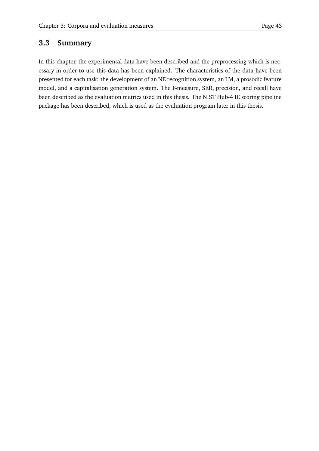## **3.3 Summary**

In this chapter, the experimental data have been described and the preprocessing which is necessary in order to use this data has been explained. The characteristics of the data have been presented for each task: the development of an NE recognition system, an LM, a prosodic feature model, and a capitalisation generation system. The F-measure, SER, precision, and recall have been described as the evaluation metrics used in this thesis. The NIST Hub-4 IE scoring pipeline package has been described, which is used as the evaluation program later in this thesis.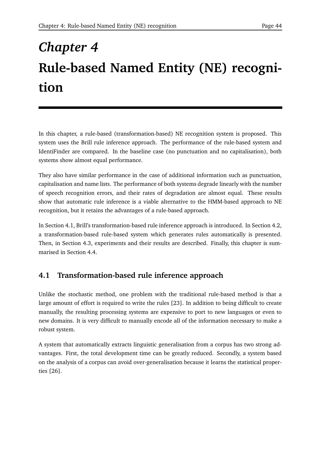# *Chapter 4* **Rule-based Named Entity (NE) recognition**

In this chapter, a rule-based (transformation-based) NE recognition system is proposed. This system uses the Brill rule inference approach. The performance of the rule-based system and IdentiFinder are compared. In the baseline case (no punctuation and no capitalisation), both systems show almost equal performance.

They also have similar performance in the case of additional information such as punctuation, capitalisation and name lists. The performance of both systems degrade linearly with the number of speech recognition errors, and their rates of degradation are almost equal. These results show that automatic rule inference is a viable alternative to the HMM-based approach to NE recognition, but it retains the advantages of a rule-based approach.

In Section 4.1, Brill's transformation-based rule inference approach is introduced. In Section 4.2, a transformation-based rule-based system which generates rules automatically is presented. Then, in Section 4.3, experiments and their results are described. Finally, this chapter is summarised in Section 4.4.

# **4.1 Transformation-based rule inference approach**

Unlike the stochastic method, one problem with the traditional rule-based method is that a large amount of effort is required to write the rules [23]. In addition to being difficult to create manually, the resulting processing systems are expensive to port to new languages or even to new domains. It is very difficult to manually encode all of the information necessary to make a robust system.

A system that automatically extracts linguistic generalisation from a corpus has two strong advantages. First, the total development time can be greatly reduced. Secondly, a system based on the analysis of a corpus can avoid over-generalisation because it learns the statistical properties [26].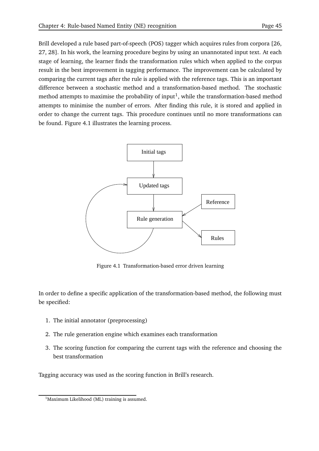Brill developed a rule based part-of-speech (POS) tagger which acquires rules from corpora [26, 27, 28]. In his work, the learning procedure begins by using an unannotated input text. At each stage of learning, the learner finds the transformation rules which when applied to the corpus result in the best improvement in tagging performance. The improvement can be calculated by comparing the current tags after the rule is applied with the reference tags. This is an important difference between a stochastic method and a transformation-based method. The stochastic method attempts to maximise the probability of input<sup>1</sup>, while the transformation-based method attempts to minimise the number of errors. After finding this rule, it is stored and applied in order to change the current tags. This procedure continues until no more transformations can be found. Figure 4.1 illustrates the learning process.



Figure 4.1 Transformation-based error driven learning

In order to define a specific application of the transformation-based method, the following must be specified:

- 1. The initial annotator (preprocessing)
- 2. The rule generation engine which examines each transformation
- 3. The scoring function for comparing the current tags with the reference and choosing the best transformation

Tagging accuracy was used as the scoring function in Brill's research.

<sup>&</sup>lt;sup>1</sup>Maximum Likelihood (ML) training is assumed.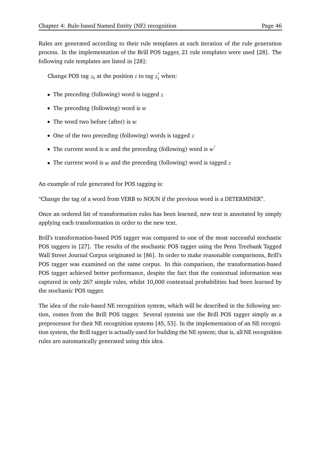Rules are generated according to their rule templates at each iteration of the rule generation process. In the implementation of the Brill POS tagger, 21 rule templates were used [28]. The following rule templates are listed in [28]:

Change POS tag  $z_i$  at the position *i* to tag  $z_i$  when:

- The preceding (following) word is tagged  $z$
- The preceding (following) word is  $w$
- The word two before (after) is  $w$
- One of the two preceding (following) words is tagged  $z$
- The current word is  $w$  and the preceding (following) word is  $w'$
- The current word is  $w$  and the preceding (following) word is tagged  $z$

An example of rule generated for POS tagging is:

"Change the tag of a word from VERB to NOUN if the previous word is a DETERMINER".

Once an ordered list of transformation rules has been learned, new text is annotated by simply applying each transformation in order to the new text.

Brill's transformation-based POS tagger was compared to one of the most successful stochastic POS taggers in [27]. The results of the stochastic POS tagger using the Penn Treebank Tagged Wall Street Journal Corpus originated in [86]. In order to make reasonable comparisons, Brill's POS tagger was examined on the same corpus. In this comparison, the transformation-based POS tagger achieved better performance, despite the fact that the contextual information was captured in only 267 simple rules, whilst 10,000 contextual probabilities had been learned by the stochastic POS tagger.

The idea of the rule-based NE recognition system, which will be described in the following section, comes from the Brill POS tagger. Several systems use the Brill POS tagger simply as a preprocessor for their NE recognition systems [45, 53]. In the implementation of an NE recognition system, the Brill tagger is actually used for building the NE system; that is, all NE recognition rules are automatically generated using this idea.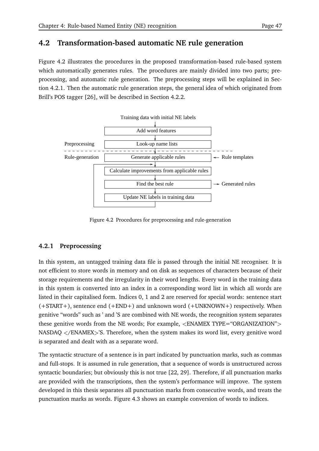## **4.2 Transformation-based automatic NE rule generation**

Figure 4.2 illustrates the procedures in the proposed transformation-based rule-based system which automatically generates rules. The procedures are mainly divided into two parts; preprocessing, and automatic rule generation. The preprocessing steps will be explained in Section 4.2.1. Then the automatic rule generation steps, the general idea of which originated from Brill's POS tagger [26], will be described in Section 4.2.2.



Figure 4.2 Procedures for preprocessing and rule-generation

## **4.2.1 Preprocessing**

In this system, an untagged training data file is passed through the initial NE recogniser. It is not efficient to store words in memory and on disk as sequences of characters because of their storage requirements and the irregularity in their word lengths. Every word in the training data in this system is converted into an index in a corresponding word list in which all words are listed in their capitalised form. Indices 0, 1 and 2 are reserved for special words: sentence start (+START+), sentence end (+END+) and unknown word (+UNKNOWN+) respectively. When genitive "words" such as ' and 'S are combined with NE words, the recognition system separates these genitive words from the NE words; For example, <ENAMEX TYPE="ORGANIZATION"> NASDAQ  $\langle$ /ENAMEX $>$ 'S. Therefore, when the system makes its word list, every genitive word is separated and dealt with as a separate word.

The syntactic structure of a sentence is in part indicated by punctuation marks, such as commas and full-stops. It is assumed in rule generation, that a sequence of words is unstructured across syntactic boundaries; but obviously this is not true [22, 29]. Therefore, if all punctuation marks are provided with the transcriptions, then the system's performance will improve. The system developed in this thesis separates all punctuation marks from consecutive words, and treats the punctuation marks as words. Figure 4.3 shows an example conversion of words to indices.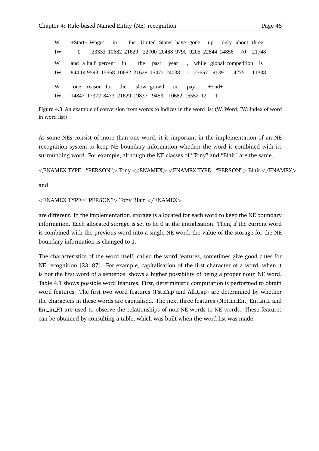and a half percent 844 14 9593 15668 10682 21629 15472 24038 11 23657 9139 year 14847 17372 8473 21629 19837 9453 15552 10682 12 one reason for 1 +End+ . W W IW W IW 10682 0 23333 21629 22700 20488 9790 9205 22844 14856 IW 21748 +Start+ Wages in the United States have gone up only about three while global competition is 70 21748 in the past , 4275 the slow growth in pay 11338

Figure 4.3 An example of conversion from words to indices in the word list (W: Word; IW: Index of word in word list)

As some NEs consist of more than one word, it is important in the implementation of an NE recognition system to keep NE boundary information whether the word is combined with its surrounding word. For example, although the NE classes of "Tony" and "Blair" are the same,

 $\epsilon$ ENAMEX TYPE="PERSON"> Tony  $\epsilon$ /ENAMEX>  $\epsilon$ ENAMEX TYPE="PERSON"> Blair  $\epsilon$ /ENAMEX>

and

 $\epsilon$ ENAMEX TYPE="PERSON" > Tony Blair  $\epsilon$ /ENAMEX >

are different. In the implementation, storage is allocated for each word to keep the NE boundary information. Each allocated storage is set to be 0 at the initialisation. Then, if the current word is combined with the previous word into a single NE word, the value of the storage for the NE boundary information is changed to 1.

The characteristics of the word itself, called the word features, sometimes give good clues for NE recognition [23, 87]. For example, capitalisation of the first character of a word, when it is not the first word of a sentence, shows a higher possibility of being a proper noun NE word. Table 4.1 shows possible word features. First, deterministic computation is performed to obtain word features. The first two word features (Fst Cap and All Cap) are determined by whether the characters in these words are capitalised. The next three features (Not in Ent, Ent in L and Ent in R) are used to observe the relationships of non-NE words to NE words. These features can be obtained by consulting a table, which was built when the word list was made.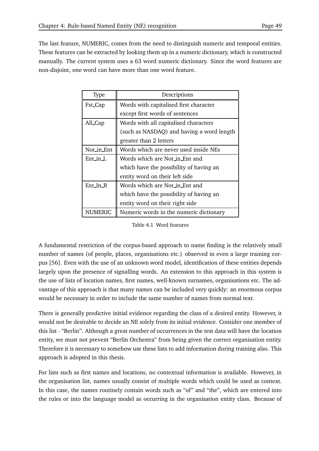The last feature, NUMERIC, comes from the need to distinguish numeric and temporal entities. These features can be extracted by looking them up in a numeric dictionary, which is constructed manually. The current system uses a 63 word numeric dictionary. Since the word features are non-disjoint, one word can have more than one word feature.

| Type       | Descriptions                              |
|------------|-------------------------------------------|
| Fst_Cap    | Words with capitalised first character    |
|            | except first words of sentences           |
| All_Cap    | Words with all capitalised characters     |
|            | (such as NASDAQ) and having a word length |
|            | greater than 2 letters                    |
| Not_in_Ent | Words which are never used inside NEs     |
| $Ent_in_L$ | Words which are Not_in_Ent and            |
|            | which have the possibility of having an   |
|            | entity word on their left side            |
| Ent_In_R   | Words which are Not in Ent and            |
|            | which have the possibility of having an   |
|            | entity word on their right side           |
| NUMERIC    | Numeric words in the numeric dictionary   |

Table 4.1 Word features

A fundamental restriction of the corpus-based approach to name finding is the relatively small number of names (of people, places, organisations etc.) observed in even a large training corpus [56]. Even with the use of an unknown word model, identification of these entities depends largely upon the presence of signalling words. An extension to this approach in this system is the use of lists of location names, first names, well-known surnames, organisations etc. The advantage of this approach is that many names can be included very quickly: an enormous corpus would be necessary in order to include the same number of names from normal text.

There is generally predictive initial evidence regarding the class of a desired entity. However, it would not be desirable to decide an NE solely from its initial evidence. Consider one member of this list - "Berlin". Although a great number of occurrences in the test data will have the location entity, we must not prevent "Berlin Orchestra" from being given the correct organisation entity. Therefore it is necessary to somehow use these lists to add information during training also. This approach is adopted in this thesis.

For lists such as first names and locations, no contextual information is available. However, in the organisation list, names usually consist of multiple words which could be used as context. In this case, the names routinely contain words such as "of" and "the", which are entered into the rules or into the language model as occurring in the organisation entity class. Because of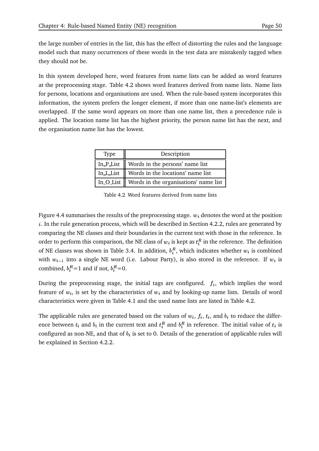the large number of entries in the list, this has the effect of distorting the rules and the language model such that many occurrences of these words in the test data are mistakenly tagged when they should not be.

In this system developed here, word features from name lists can be added as word features at the preprocessing stage. Table 4.2 shows word features derived from name lists. Name lists for persons, locations and organisations are used. When the rule-based system incorporates this information, the system prefers the longer element, if more than one name-list's elements are overlapped. If the same word appears on more than one name list, then a precedence rule is applied. The location name list has the highest priority, the person name list has the next, and the organisation name list has the lowest.

| <b>Type</b> | Description                                             |
|-------------|---------------------------------------------------------|
|             | In $P$ List $\parallel$ Words in the persons' name list |
|             | In L List $\parallel$ Words in the locations' name list |
|             | In $O$ List   Words in the organisations' name list     |

Table 4.2 Word features derived from name lists

Figure 4.4 summarises the results of the preprocessing stage.  $w_i$  denotes the word at the position . In the rule generation process, which will be described in Section 4.2.2, rules are generated by comparing the NE classes and their boundaries in the current text with those in the reference. In order to perform this comparison, the NE class of  $w_i$  is kept as  $t_i^R$  in the reference. The definition of NE classes was shown in Table 3.4. In addition,  $b_i^R$ , which indicates whether  $w_i$  is combined with  $w_{i-1}$  into a single NE word (i.e. Labour Party), is also stored in the reference. If  $w_i$  is combined,  $b_i^R = 1$  and if not,  $b_i^R = 0$ .

During the preprocessing stage, the initial tags are configured.  $f_i$ , which implies the word feature of  $w_i$ , is set by the characteristics of  $w_i$  and by looking-up name lists. Details of word characteristics were given in Table 4.1 and the used name lists are listed in Table 4.2.

The applicable rules are generated based on the values of  $w_i$ ,  $f_i$ ,  $t_i$ , and  $b_i$  to reduce the difference between  $t_i$  and  $b_i$  in the current text and  $t_i^R$  and  $b_i^R$  in reference. The initial value of  $t_i$  is configured as non-NE, and that of  $b_i$  is set to 0. Details of the generation of applicable rules will be explained in Section 4.2.2.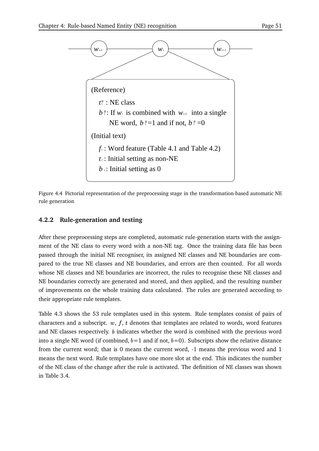

Figure 4.4 Pictorial representation of the preprocessing stage in the transformation-based automatic NE rule generation

#### **4.2.2 Rule-generation and testing**

After these preprocessing steps are completed, automatic rule-generation starts with the assignment of the NE class to every word with a non-NE tag. Once the training data file has been passed through the initial NE recogniser, its assigned NE classes and NE boundaries are compared to the true NE classes and NE boundaries, and errors are then counted. For all words whose NE classes and NE boundaries are incorrect, the rules to recognise these NE classes and NE boundaries correctly are generated and stored, and then applied, and the resulting number of improvements on the whole training data calculated. The rules are generated according to their appropriate rule templates.

Table 4.3 shows the 53 rule templates used in this system. Rule templates consist of pairs of characters and a subscript.  $w, f, t$  denotes that templates are related to words, word features and NE classes respectively. *b* indicates whether the word is combined with the previous word into a single NE word (if combined,  $b=1$  and if not,  $b=0$ ). Subscripts show the relative distance from the current word; that is 0 means the current word, -1 means the previous word and 1 means the next word. Rule templates have one more slot at the end. This indicates the number of the NE class of the change after the rule is activated. The definition of NE classes was shown in Table 3.4.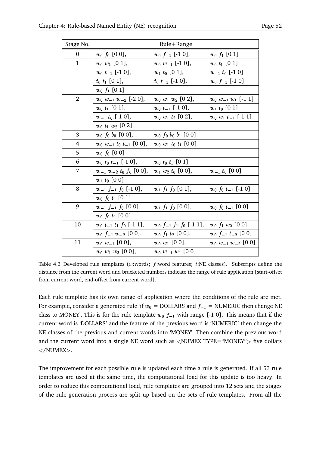| Stage No.        |                                                        | Rule+Range                         |                                |
|------------------|--------------------------------------------------------|------------------------------------|--------------------------------|
| $\boldsymbol{0}$ | $w_0 f_0 [0 0],$                                       | $w_0 f_{-1}$ [-1 0],               | $w_0 f_1$ [0 1]                |
| $\mathbf{1}$     | $w_0$ $w_1$ [0 1],                                     | $w_0$ $w_{-1}$ [-1 0],             | $w_0$ $t_1$ [0 1]              |
|                  | $w_0$ $t_{-1}$ [-1 0],                                 | $w_1$ t <sub>0</sub> [0 1],        | $w_{-1}$ t <sub>0</sub> [-1 0] |
|                  | $t_0$ $t_1$ [0 1],                                     | $t_0$ $t_{-1}$ [-1 0],             | $w_0$ $f_{-1}$ [-1 0]          |
|                  | $w_0 f_1$ [0 1]                                        |                                    |                                |
| $\overline{2}$   | $w_0 w_{-1} w_{-2}$ [-2 0],                            | $w_0$ $w_1$ $w_2$ [0 2],           | $w_0$ $w_{-1}$ $w_1$ [-1 1]    |
|                  | $w_0$ $t_1$ [0 1],                                     | $w_0$ $t_{-1}$ [-1 0],             | $w_1$ t <sub>0</sub> [0 1]     |
|                  | $w_{-1}$ t <sub>0</sub> [-1 0],                        | $w_0$ $w_1$ $t_2$ [0 2],           | $w_0$ $w_1$ $t_{-1}$ [-1 1]    |
|                  | $w_0$ $t_1$ $w_2$ [0 2]                                |                                    |                                |
| 3                | $w_0$ $f_0$ $b_0$ [O O],                               | $w_0$ $f_0$ $b_0$ $b_1$ [0 0]      |                                |
| 4                | $w_0 w_{-1} t_0 t_{-1}$ [0 0], $w_0 w_1 t_0 t_1$ [0 0] |                                    |                                |
| 5                | $w_0 f_0 [0 0]$                                        |                                    |                                |
| 6                | $w_0$ $t_0$ $t_{-1}$ [-1 0],                           | $w_0$ $t_0$ $t_1$ [0 1]            |                                |
| 7                | $w_{-1}$ $w_{-2}$ $t_0$ $f_0$ [0 0],                   | $w_1 w_2 t_0 [0 0],$               | $w_{-1}$ t <sub>0</sub> [0 0]  |
|                  | $w_1$ t <sub>0</sub> [0 0]                             |                                    |                                |
| 8                | $w_{-1} f_{-1} f_0$ [-1 0],                            | $w_1 f_1 f_0$ [0 1],               | $w_0$ $f_0$ $t_{-1}$ [-1 0]    |
|                  | $w_0$ $f_0$ $t_1$ [0 1]                                |                                    |                                |
| 9                | $w_{-1} f_{-1} f_0 [0 0],$                             | $w_1 f_1 f_0$ [0 0],               | $w_0$ $f_0$ $t_{-1}$ [0 0]     |
|                  | $w_0 f_0 t_1 [0 0]$                                    |                                    |                                |
| 10               | $w_0$ $t_{-1}$ $t_1$ $f_0$ [-1 1],                     | $w_0$ $f_{-1}$ $f_1$ $f_0$ [-1 1], | $w_0 f_1 w_2 [0 0]$            |
|                  | $w_0$ $f_{-1}$ $w_{-2}$ [0 0],                         | $w_0 f_1 t_2 [0 0],$               | $w_0 f_{-1} t_{-2} [0 0]$      |
| 11               | $w_0$ $w_{-1}$ [0 0],                                  | $w_0$ $w_1$ [0 0],                 | $w_0$ $w_{-1}$ $w_{-2}$ [0 0]  |
|                  | $w_0$ $w_1$ $w_2$ [0 0],                               | $w_0 w_{-1} w_1 [0 0]$             |                                |

Table 4.3 Developed rule templates (w:words;  $f:$  word features;  $t:$  NE classes). Subscripts define the distance from the current word and bracketed numbers indicate the range of rule application [start-offset from current word, end-offset from current word].

Each rule template has its own range of application where the conditions of the rule are met. For example, consider a generated rule 'if  $w_0 = {\rm DOLLARS}$  and  $f_{-1} = {\rm NUMERIC}$  then change NE class to MONEY'. This is for the rule template  $w_0$   $f_{-1}$  with range [-1 0]. This means that if the current word is 'DOLLARS' and the feature of the previous word is 'NUMERIC' then change the NE classes of the previous and current words into 'MONEY'. Then combine the previous word and the current word into a single NE word such as  $\langle$ NUMEX TYPE="MONEY" $>$  five dollars  $\langle$  /NUMEX $>$ .

The improvement for each possible rule is updated each time a rule is generated. If all 53 rule templates are used at the same time, the computational load for this update is too heavy. In order to reduce this computational load, rule templates are grouped into 12 sets and the stages of the rule generation process are split up based on the sets of rule templates. From all the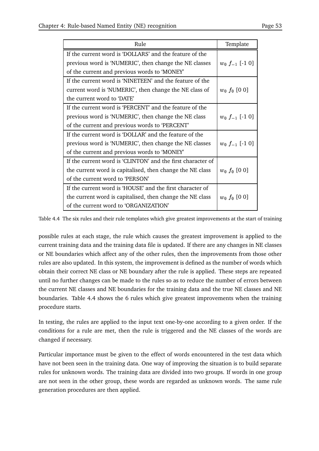| Rule                                                        | Template            |
|-------------------------------------------------------------|---------------------|
| If the current word is 'DOLLARS' and the feature of the     |                     |
| previous word is 'NUMERIC', then change the NE classes      | $w_0 f_{-1}$ [-1 0] |
| of the current and previous words to 'MONEY'                |                     |
| If the current word is 'NINETEEN' and the feature of the    |                     |
| current word is 'NUMERIC', then change the NE class of      | $w_0 f_0 [0 0]$     |
| the current word to 'DATE'                                  |                     |
| If the current word is 'PERCENT' and the feature of the     |                     |
| previous word is 'NUMERIC', then change the NE class        | $w_0 f_{-1}$ [-1 0] |
| of the current and previous words to 'PERCENT'              |                     |
| If the current word is 'DOLLAR' and the feature of the      |                     |
| previous word is 'NUMERIC', then change the NE classes      | $w_0 f_{-1}$ [-1 0] |
| of the current and previous words to 'MONEY'                |                     |
| If the current word is 'CLINTON' and the first character of |                     |
| the current word is capitalised, then change the NE class   | $w_0 f_0 [0 0]$     |
| of the current word to 'PERSON'                             |                     |
| If the current word is 'HOUSE' and the first character of   |                     |
| the current word is capitalised, then change the NE class   | $w_0 f_0 [0 0]$     |
| of the current word to 'ORGANIZATION'                       |                     |

Table 4.4 The six rules and their rule templates which give greatest improvements at the start of training

possible rules at each stage, the rule which causes the greatest improvement is applied to the current training data and the training data file is updated. If there are any changes in NE classes or NE boundaries which affect any of the other rules, then the improvements from those other rules are also updated. In this system, the improvement is defined as the number of words which obtain their correct NE class or NE boundary after the rule is applied. These steps are repeated until no further changes can be made to the rules so as to reduce the number of errors between the current NE classes and NE boundaries for the training data and the true NE classes and NE boundaries. Table 4.4 shows the 6 rules which give greatest improvements when the training procedure starts.

In testing, the rules are applied to the input text one-by-one according to a given order. If the conditions for a rule are met, then the rule is triggered and the NE classes of the words are changed if necessary.

Particular importance must be given to the effect of words encountered in the test data which have not been seen in the training data. One way of improving the situation is to build separate rules for unknown words. The training data are divided into two groups. If words in one group are not seen in the other group, these words are regarded as unknown words. The same rule generation procedures are then applied.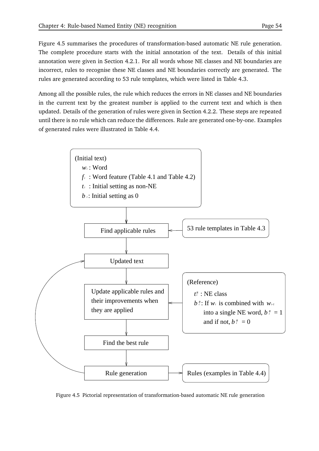Figure 4.5 summarises the procedures of transformation-based automatic NE rule generation. The complete procedure starts with the initial annotation of the text. Details of this initial annotation were given in Section 4.2.1. For all words whose NE classes and NE boundaries are incorrect, rules to recognise these NE classes and NE boundaries correctly are generated. The rules are generated according to 53 rule templates, which were listed in Table 4.3.

Among all the possible rules, the rule which reduces the errors in NE classes and NE boundaries in the current text by the greatest number is applied to the current text and which is then updated. Details of the generation of rules were given in Section 4.2.2. These steps are repeated until there is no rule which can reduce the differences. Rule are generated one-by-one. Examples of generated rules were illustrated in Table 4.4.



Figure 4.5 Pictorial representation of transformation-based automatic NE rule generation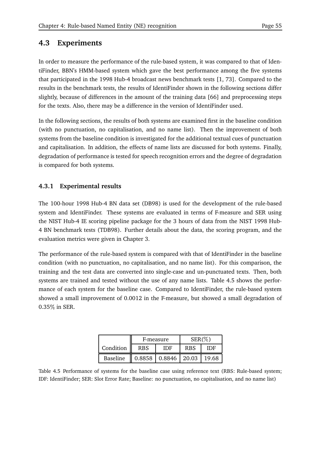## **4.3 Experiments**

In order to measure the performance of the rule-based system, it was compared to that of IdentiFinder, BBN's HMM-based system which gave the best performance among the five systems that participated in the 1998 Hub-4 broadcast news benchmark tests [1, 73]. Compared to the results in the benchmark tests, the results of IdentiFinder shown in the following sections differ slightly, because of differences in the amount of the training data [66] and preprocessing steps for the texts. Also, there may be a difference in the version of IdentiFinder used.

In the following sections, the results of both systems are examined first in the baseline condition (with no punctuation, no capitalisation, and no name list). Then the improvement of both systems from the baseline condition is investigated for the additional textual cues of punctuation and capitalisation. In addition, the effects of name lists are discussed for both systems. Finally, degradation of performance is tested for speech recognition errors and the degree of degradation is compared for both systems.

## **4.3.1 Experimental results**

The 100-hour 1998 Hub-4 BN data set (DB98) is used for the development of the rule-based system and IdentiFinder. These systems are evaluated in terms of F-measure and SER using the NIST Hub-4 IE scoring pipeline package for the 3 hours of data from the NIST 1998 Hub-4 BN benchmark tests (TDB98). Further details about the data, the scoring program, and the evaluation metrics were given in Chapter 3.

The performance of the rule-based system is compared with that of IdentiFinder in the baseline condition (with no punctuation, no capitalisation, and no name list). For this comparison, the training and the test data are converted into single-case and un-punctuated texts. Then, both systems are trained and tested without the use of any name lists. Table 4.5 shows the performance of each system for the baseline case. Compared to IdentiFinder, the rule-based system showed a small improvement of 0.0012 in the F-measure, but showed a small degradation of  $0.35\%$  in SER.

|           | F-measure                                   |     | $SER(\%)$  |     |
|-----------|---------------------------------------------|-----|------------|-----|
| Condition | <b>RBS</b>                                  | IDF | <b>RBS</b> | IDE |
| Baseline  | $\parallel$ 0.8858   0.8846   20.03   19.68 |     |            |     |

Table 4.5 Performance of systems for the baseline case using reference text (RBS: Rule-based system; IDF: IdentiFinder; SER: Slot Error Rate; Baseline: no punctuation, no capitalisation, and no name list)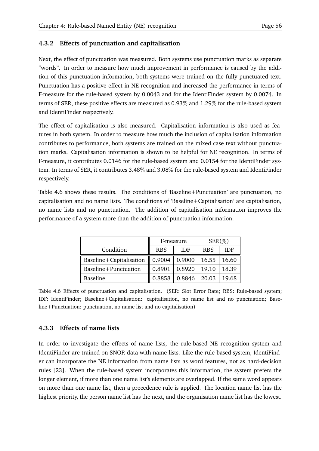## **4.3.2 Effects of punctuation and capitalisation**

Next, the effect of punctuation was measured. Both systems use punctuation marks as separate "words". In order to measure how much improvement in performance is caused by the addition of this punctuation information, both systems were trained on the fully punctuated text. Punctuation has a positive effect in NE recognition and increased the performance in terms of F-measure for the rule-based system by 0.0043 and for the IdentiFinder system by 0.0074. In terms of SER, these positive effects are measured as 0.93 and 1.29 for the rule-based system and IdentiFinder respectively.

The effect of capitalisation is also measured. Capitalisation information is also used as features in both system. In order to measure how much the inclusion of capitalisation information contributes to performance, both systems are trained on the mixed case text without punctuation marks. Capitalisation information is shown to be helpful for NE recognition. In terms of F-measure, it contributes 0.0146 for the rule-based system and 0.0154 for the IdentiFinder system. In terms of SER, it contributes 3.48% and 3.08% for the rule-based system and IdentiFinder respectively.

Table 4.6 shows these results. The conditions of 'Baseline+Punctuation' are punctuation, no capitalisation and no name lists. The conditions of 'Baseline+Capitalisation' are capitalisation, no name lists and no punctuation. The addition of capitalisation information improves the performance of a system more than the addition of punctuation information.

|                         | F-measure                           |                                  | $SER(\%)$       |       |
|-------------------------|-------------------------------------|----------------------------------|-----------------|-------|
| Condition               | <b>RBS</b>                          | <b>IDF</b>                       | <b>RBS</b>      | IDF   |
| Baseline+Capitalisation | $\parallel$ 0.9004   0.9000   16.55 |                                  |                 | 16.60 |
| Baseline+Punctuation    | 0.8901                              | 0.8920                           | $ 19.10\rangle$ | 18.39 |
| Baseline                | 0.8858                              | $\vert 0.8846 \vert 20.03 \vert$ |                 | 19.68 |

Table 4.6 Effects of punctuation and capitalisation. (SER: Slot Error Rate; RBS: Rule-based system; IDF: IdentiFinder; Baseline+Capitalisation: capitalisation, no name list and no punctuation; Baseline+Punctuation: punctuation, no name list and no capitalisation)

#### **4.3.3 Effects of name lists**

In order to investigate the effects of name lists, the rule-based NE recognition system and IdentiFinder are trained on SNOR data with name lists. Like the rule-based system, IdentiFinder can incorporate the NE information from name lists as word features, not as hard-decision rules [23]. When the rule-based system incorporates this information, the system prefers the longer element, if more than one name list's elements are overlapped. If the same word appears on more than one name list, then a precedence rule is applied. The location name list has the highest priority, the person name list has the next, and the organisation name list has the lowest.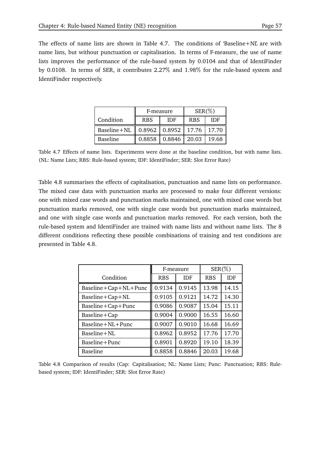The effects of name lists are shown in Table 4.7. The conditions of 'Baseline+NL' are with name lists, but without punctuation or capitalisation. In terms of F-measure, the use of name lists improves the performance of the rule-based system by 0.0104 and that of IdentiFinder by 0.0108. In terms of SER, it contributes 2.27 and 1.98 for the rule-based system and IdentiFinder respectively.

|                                                  | F-measure  |                           | $SER(\%)$  |       |
|--------------------------------------------------|------------|---------------------------|------------|-------|
| Condition                                        | <b>RBS</b> | <b>IDF</b>                | <b>RBS</b> | IDE   |
| Baseline + NL    0.8962   0.8952   17.76   17.70 |            |                           |            |       |
| Baseline                                         |            | $0.8858$   0.8846   20.03 |            | 19.68 |

Table 4.7 Effects of name lists. Experiments were done at the baseline condition, but with name lists. (NL: Name Lists; RBS: Rule-based system; IDF: IdentiFinder; SER: Slot Error Rate)

Table 4.8 summarises the effects of capitalisation, punctuation and name lists on performance. The mixed case data with punctuation marks are processed to make four different versions: one with mixed case words and punctuation marks maintained, one with mixed case words but punctuation marks removed, one with single case words but punctuation marks maintained, and one with single case words and punctuation marks removed. For each version, both the rule-based system and IdentiFinder are trained with name lists and without name lists. The 8 different conditions reflecting these possible combinations of training and test conditions are presented in Table 4.8.

|                              | F-measure  |            | $SER(\% )$ |       |
|------------------------------|------------|------------|------------|-------|
| Condition                    | <b>RBS</b> | <b>IDF</b> | <b>RBS</b> | IDF   |
| $Baseline + Cap + NL + Punc$ | 0.9134     | 0.9145     | 13.98      | 14.15 |
| Baseline+Cap+NL              | 0.9105     | 0.9121     | 14.72      | 14.30 |
| Baseline+Cap+Punc            | 0.9086     | 0.9087     | 15.04      | 15.11 |
| Baseline+Cap                 | 0.9004     | 0.9000     | 16.55      | 16.60 |
| Baseline+NL+Punc             | 0.9007     | 0.9010     | 16.68      | 16.69 |
| Baseline+NL                  | 0.8962     | 0.8952     | 17.76      | 17.70 |
| Baseline+Punc                | 0.8901     | 0.8920     | 19.10      | 18.39 |
| <b>Baseline</b>              | 0.8858     | 0.8846     | 20.03      | 19.68 |

Table 4.8 Comparison of results (Cap: Capitalisation; NL: Name Lists; Punc: Punctuation; RBS: Rulebased system; IDF: IdentiFinder; SER: Slot Error Rate)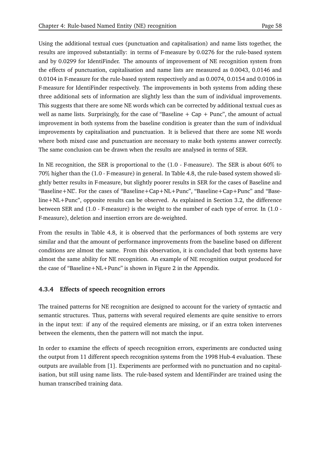Using the additional textual cues (punctuation and capitalisation) and name lists together, the results are improved substantially: in terms of F-measure by 0.0276 for the rule-based system and by 0.0299 for IdentiFinder. The amounts of improvement of NE recognition system from the effects of punctuation, capitalisation and name lists are measured as 0.0043, 0.0146 and 0.0104 in F-measure for the rule-based system respectively and as 0.0074, 0.0154 and 0.0106 in F-measure for IdentiFinder respectively. The improvements in both systems from adding these three additional sets of information are slightly less than the sum of individual improvements. This suggests that there are some NE words which can be corrected by additional textual cues as well as name lists. Surprisingly, for the case of "Baseline  $+$  Cap  $+$  Punc", the amount of actual improvement in both systems from the baseline condition is greater than the sum of individual improvements by capitalisation and punctuation. It is believed that there are some NE words where both mixed case and punctuation are necessary to make both systems answer correctly. The same conclusion can be drawn when the results are analysed in terms of SER.

In NE recognition, the SER is proportional to the (1.0 - F-measure). The SER is about 60% to 70 higher than the (1.0 - F-measure) in general. In Table 4.8, the rule-based system showed slightly better results in F-measure, but slightly poorer results in SER for the cases of Baseline and "Baseline+NL". For the cases of "Baseline+Cap+NL+Punc", "Baseline+Cap+Punc" and "Baseline+NL+Punc", opposite results can be observed. As explained in Section 3.2, the difference between SER and (1.0 - F-measure) is the weight to the number of each type of error. In (1.0 - F-measure), deletion and insertion errors are de-weighted.

From the results in Table 4.8, it is observed that the performances of both systems are very similar and that the amount of performance improvements from the baseline based on different conditions are almost the same. From this observation, it is concluded that both systems have almost the same ability for NE recognition. An example of NE recognition output produced for the case of "Baseline+NL+Punc" is shown in Figure 2 in the Appendix.

## **4.3.4 Effects of speech recognition errors**

The trained patterns for NE recognition are designed to account for the variety of syntactic and semantic structures. Thus, patterns with several required elements are quite sensitive to errors in the input text: if any of the required elements are missing, or if an extra token intervenes between the elements, then the pattern will not match the input.

In order to examine the effects of speech recognition errors, experiments are conducted using the output from 11 different speech recognition systems from the 1998 Hub-4 evaluation. These outputs are available from [1]. Experiments are performed with no punctuation and no capitalisation, but still using name lists. The rule-based system and IdentiFinder are trained using the human transcribed training data.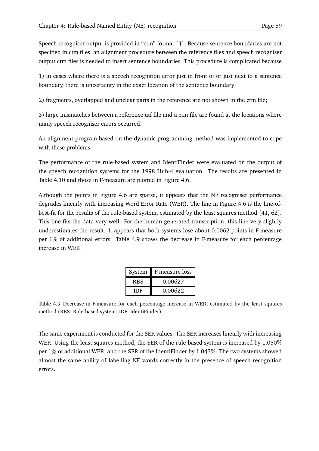Speech recogniser output is provided in "ctm" format [4]. Because sentence boundaries are not specified in ctm files, an alignment procedure between the reference files and speech recogniser output ctm files is needed to insert sentence boundaries. This procedure is complicated because

1) in cases where there is a speech recognition error just in front of or just next to a sentence boundary, there is uncertainty in the exact location of the sentence boundary;

2) fragments, overlapped and unclear parts in the reference are not shown in the ctm file;

3) large mismatches between a reference utf file and a ctm file are found at the locations where many speech recogniser errors occurred.

An alignment program based on the dynamic programming method was implemented to cope with these problems.

The performance of the rule-based system and IdentiFinder were evaluated on the output of the speech recognition systems for the 1998 Hub-4 evaluation. The results are presented in Table 4.10 and those in F-measure are plotted in Figure 4.6.

Although the points in Figure 4.6 are sparse, it appears that the NE recogniser performance degrades linearly with increasing Word Error Rate (WER). The line in Figure 4.6 is the line-ofbest-fit for the results of the rule-based system, estimated by the least squares method [41, 62]. This line fits the data very well. For the human generated transcription, this line very slightly underestimates the result. It appears that both systems lose about 0.0062 points in F-measure per 1% of additional errors. Table 4.9 shows the decrease in F-measure for each percentage increase in WER.

| System     | F-measure loss |
|------------|----------------|
| <b>RBS</b> | 0.00627        |
| IDE        | 0.00622        |

Table 4.9 Decrease in F-measure for each percentage increase in WER, estimated by the least squares method (RBS: Rule-based system; IDF: IdentiFinder)

The same experiment is conducted for the SER values. The SER increases linearly with increasing WER. Using the least squares method, the SER of the rule-based system is increased by 1.050% per 1% of additional WER, and the SER of the IdentiFinder by 1.043%. The two systems showed almost the same ability of labelling NE words correctly in the presence of speech recognition errors.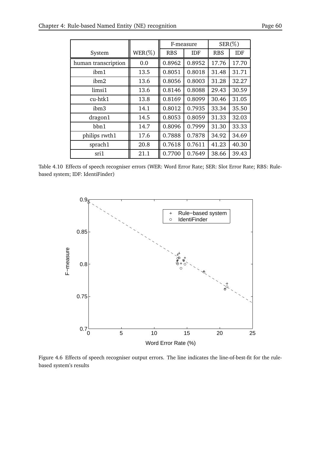|                     |           | F-measure  |            | $SER(\%)$  |            |
|---------------------|-----------|------------|------------|------------|------------|
| System              | $WER(\%)$ | <b>RBS</b> | <b>IDF</b> | <b>RBS</b> | <b>IDF</b> |
| human transcription | 0.0       | 0.8962     | 0.8952     | 17.76      | 17.70      |
| ibm1                | 13.5      | 0.8051     | 0.8018     | 31.48      | 31.71      |
| ibm2                | 13.6      | 0.8056     | 0.8003     | 31.28      | 32.27      |
| limsi1              | 13.6      | 0.8146     | 0.8088     | 29.43      | 30.59      |
| cu-htk1             | 13.8      | 0.8169     | 0.8099     | 30.46      | 31.05      |
| ibm <sub>3</sub>    | 14.1      | 0.8012     | 0.7935     | 33.34      | 35.50      |
| dragon1             | 14.5      | 0.8053     | 0.8059     | 31.33      | 32.03      |
| bbn1                | 14.7      | 0.8096     | 0.7999     | 31.30      | 33.33      |
| philips rwth1       | 17.6      | 0.7888     | 0.7878     | 34.92      | 34.69      |

sprach1 20.8 0.7618 0.7611 41.23 40.30 sri1  $\parallel$  21.1  $\parallel$  0.7700 0.7649 38.66 39.43

Table 4.10 Effects of speech recogniser errors (WER: Word Error Rate; SER: Slot Error Rate; RBS: Rulebased system; IDF: IdentiFinder)



Figure 4.6 Effects of speech recogniser output errors. The line indicates the line-of-best-fit for the rulebased system's results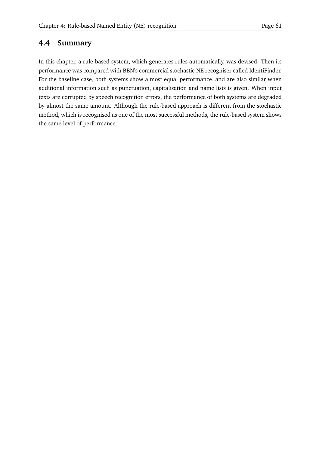## **4.4 Summary**

In this chapter, a rule-based system, which generates rules automatically, was devised. Then its performance was compared with BBN's commercial stochastic NE recogniser called IdentiFinder. For the baseline case, both systems show almost equal performance, and are also similar when additional information such as punctuation, capitalisation and name lists is given. When input texts are corrupted by speech recognition errors, the performance of both systems are degraded by almost the same amount. Although the rule-based approach is different from the stochastic method, which is recognised as one of the most successful methods, the rule-based system shows the same level of performance.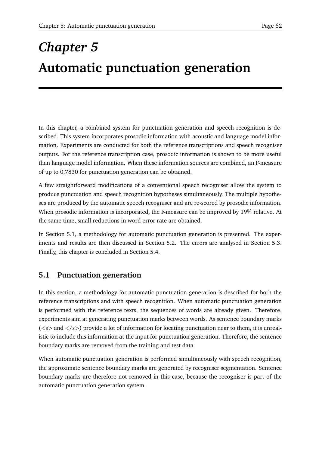# *Chapter 5* **Automatic punctuation generation**

In this chapter, a combined system for punctuation generation and speech recognition is described. This system incorporates prosodic information with acoustic and language model information. Experiments are conducted for both the reference transcriptions and speech recogniser outputs. For the reference transcription case, prosodic information is shown to be more useful than language model information. When these information sources are combined, an F-measure of up to 0.7830 for punctuation generation can be obtained.

A few straightforward modifications of a conventional speech recogniser allow the system to produce punctuation and speech recognition hypotheses simultaneously. The multiple hypotheses are produced by the automatic speech recogniser and are re-scored by prosodic information. When prosodic information is incorporated, the F-measure can be improved by 19 relative. At the same time, small reductions in word error rate are obtained.

In Section 5.1, a methodology for automatic punctuation generation is presented. The experiments and results are then discussed in Section 5.2. The errors are analysed in Section 5.3. Finally, this chapter is concluded in Section 5.4.

## **5.1 Punctuation generation**

In this section, a methodology for automatic punctuation generation is described for both the reference transcriptions and with speech recognition. When automatic punctuation generation is performed with the reference texts, the sequences of words are already given. Therefore, experiments aim at generating punctuation marks between words. As sentence boundary marks  $(*s*)$  and  $<*s*)$  provide a lot of information for locating punctuation near to them, it is unrealistic to include this information at the input for punctuation generation. Therefore, the sentence boundary marks are removed from the training and test data.

When automatic punctuation generation is performed simultaneously with speech recognition, the approximate sentence boundary marks are generated by recogniser segmentation. Sentence boundary marks are therefore not removed in this case, because the recogniser is part of the automatic punctuation generation system.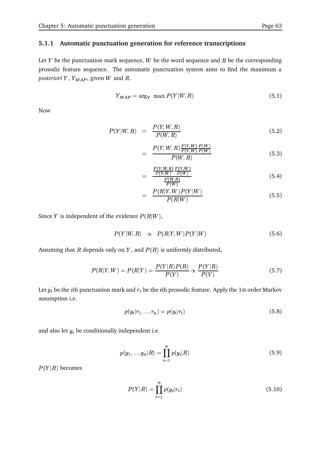#### **5.1.1 Automatic punctuation generation for reference transcriptions**

Let Y be the punctuation mark sequence, W be the word sequence and R be the corresponding prosodic feature sequence. The automatic punctuation system aims to find the maximum *a*  $\emph{posteriori}$   $Y$  ,  $\emph{Y}_{MAP}$  , given  $W$  and  $R$ .

$$
Y_{MAP} = \arg_Y \max P(Y|W, R) \tag{5.1}
$$

Now

$$
P(Y|W,R) = \frac{P(Y,W,R)}{P(W,R)} \tag{5.2}
$$

$$
= \frac{P(Y, W, R) \frac{P(Y, W)}{P(Y, W)} \frac{P(W)}{P(W)}}{P(W, R)}
$$
(5.3)

$$
= \frac{\frac{P(Y,W,R)}{P(Y,W)} \frac{P(Y,W)}{P(W)}}{\frac{P(W,R)}{P(W,B)}}
$$
(5.4)

$$
= \frac{P(R|Y,W)P(Y|W)}{P(R|W)} \tag{5.5}
$$

Since Y is independent of the evidence  $P(R|W)$ ,

$$
P(Y|W,R) \propto P(R|Y,W)P(Y|W) \tag{5.6}
$$

Assuming that R depends only on Y, and  $P(R)$  is uniformly distributed,

$$
P(R|Y,W) = P(R|Y) = \frac{P(Y|R)P(R)}{P(Y)} \propto \frac{P(Y|R)}{P(Y)}
$$
\n(5.7)

Let  $y_i$  be the  $i$ th punctuation mark and  $r_i$  be the  $i$ th prosodic feature. Apply the 1st order Markov assumption i.e.

$$
p(y_i|r_1, ..., r_n) = p(y_i|r_i)
$$
\n(5.8)

and also let  $y_i$  be conditionally independent i.e.

$$
p(y_1, ..., y_n | R) = \prod_{i=1}^{n} p(y_i | R)
$$
\n(5.9)

 $P(Y|R)$  becomes

$$
P(Y|R) = \prod_{i=1}^{n} p(y_i|r_i)
$$
 (5.10)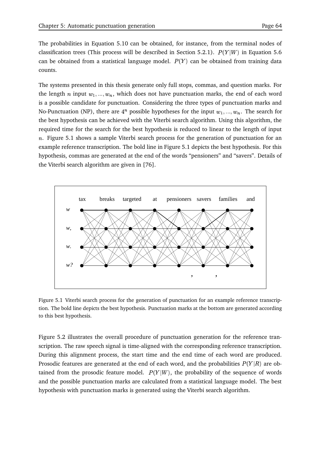The probabilities in Equation 5.10 can be obtained, for instance, from the terminal nodes of classification trees (This process will be described in Section 5.2.1).  $P(Y|W)$  in Equation 5.6 can be obtained from a statistical language model.  $P(Y)$  can be obtained from training data counts.

The systems presented in this thesis generate only full stops, commas, and question marks. For the length n input  $w_1, ..., w_n$ , which does not have punctuation marks, the end of each word is a possible candidate for punctuation. Considering the three types of punctuation marks and No-Punctuation (NP), there are  $4^n$  possible hypotheses for the input  $w_1, ..., w_n$ . The search for the best hypothesis can be achieved with the Viterbi search algorithm. Using this algorithm, the required time for the search for the best hypothesis is reduced to linear to the length of input  $n.$  Figure 5.1 shows a sample Viterbi search process for the generation of punctuation for an example reference transcription. The bold line in Figure 5.1 depicts the best hypothesis. For this hypothesis, commas are generated at the end of the words "pensioners" and "savers". Details of the Viterbi search algorithm are given in [76].



Figure 5.1 Viterbi search process for the generation of punctuation for an example reference transcription. The bold line depicts the best hypothesis. Punctuation marks at the bottom are generated according to this best hypothesis.

Figure 5.2 illustrates the overall procedure of punctuation generation for the reference transcription. The raw speech signal is time-aligned with the corresponding reference transcription. During this alignment process, the start time and the end time of each word are produced. Prosodic features are generated at the end of each word, and the probabilities  $P(Y\vert R)$  are obtained from the prosodic feature model.  $P(Y|W)$ , the probability of the sequence of words and the possible punctuation marks are calculated from a statistical language model. The best hypothesis with punctuation marks is generated using the Viterbi search algorithm.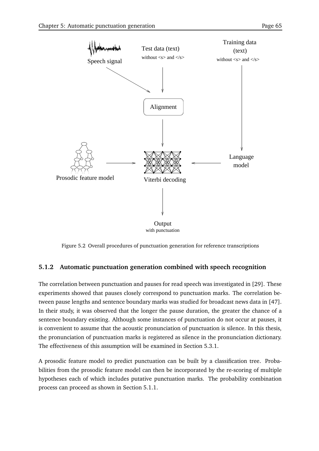

Figure 5.2 Overall procedures of punctuation generation for reference transcriptions

## **5.1.2 Automatic punctuation generation combined with speech recognition**

The correlation between punctuation and pauses for read speech was investigated in [29]. These experiments showed that pauses closely correspond to punctuation marks. The correlation between pause lengths and sentence boundary marks was studied for broadcast news data in [47]. In their study, it was observed that the longer the pause duration, the greater the chance of a sentence boundary existing. Although some instances of punctuation do not occur at pauses, it is convenient to assume that the acoustic pronunciation of punctuation is silence. In this thesis, the pronunciation of punctuation marks is registered as silence in the pronunciation dictionary. The effectiveness of this assumption will be examined in Section 5.3.1.

A prosodic feature model to predict punctuation can be built by a classification tree. Probabilities from the prosodic feature model can then be incorporated by the re-scoring of multiple hypotheses each of which includes putative punctuation marks. The probability combination process can proceed as shown in Section 5.1.1.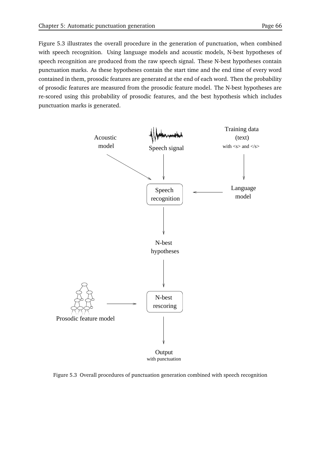Figure 5.3 illustrates the overall procedure in the generation of punctuation, when combined with speech recognition. Using language models and acoustic models, N-best hypotheses of speech recognition are produced from the raw speech signal. These N-best hypotheses contain punctuation marks. As these hypotheses contain the start time and the end time of every word contained in them, prosodic features are generated at the end of each word. Then the probability of prosodic features are measured from the prosodic feature model. The N-best hypotheses are re-scored using this probability of prosodic features, and the best hypothesis which includes punctuation marks is generated.



#### Figure 5.3 Overall procedures of punctuation generation combined with speech recognition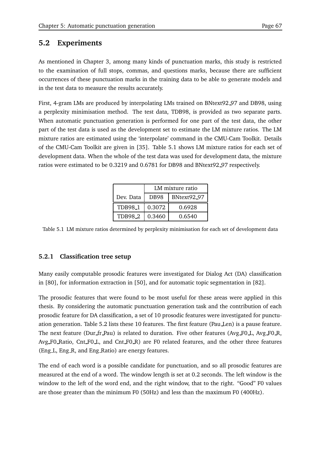## **5.2 Experiments**

As mentioned in Chapter 3, among many kinds of punctuation marks, this study is restricted to the examination of full stops, commas, and questions marks, because there are sufficient occurrences of these punctuation marks in the training data to be able to generate models and in the test data to measure the results accurately.

First, 4-gram LMs are produced by interpolating LMs trained on BNtext92 97 and DB98, using a perplexity minimisation method. The test data, TDB98, is provided as two separate parts. When automatic punctuation generation is performed for one part of the test data, the other part of the test data is used as the development set to estimate the LM mixture ratios. The LM mixture ratios are estimated using the 'interpolate' command in the CMU-Cam Toolkit. Details of the CMU-Cam Toolkit are given in [35]. Table 5.1 shows LM mixture ratios for each set of development data. When the whole of the test data was used for development data, the mixture ratios were estimated to be 0.3219 and 0.6781 for DB98 and BNtext92 97 respectively.

|                | LM mixture ratio |             |  |
|----------------|------------------|-------------|--|
| Dev. Data      | DB98             | BNtext92_97 |  |
| <b>TDB98_1</b> | 0.3072           | 0.6928      |  |
| <b>TDB982</b>  | 0.3460           | 0.6540      |  |

Table 5.1 LM mixture ratios determined by perplexity minimisation for each set of development data

## **5.2.1 Classification tree setup**

Many easily computable prosodic features were investigated for Dialog Act (DA) classification in [80], for information extraction in [50], and for automatic topic segmentation in [82].

The prosodic features that were found to be most useful for these areas were applied in this thesis. By considering the automatic punctuation generation task and the contribution of each prosodic feature for DA classification, a set of 10 prosodic features were investigated for punctuation generation. Table 5.2 lists these 10 features. The first feature (Pau Len) is a pause feature. The next feature (Dur\_fr\_Pau) is related to duration. Five other features (Avg\_F0\_L, Avg\_F0\_R, Avg F0 Ratio, Cnt F0 L, and Cnt F0 R) are F0 related features, and the other three features (Eng L, Eng R, and Eng Ratio) are energy features.

The end of each word is a possible candidate for punctuation, and so all prosodic features are measured at the end of a word. The window length is set at 0.2 seconds. The left window is the window to the left of the word end, and the right window, that to the right. "Good" F0 values are those greater than the minimum F0 (50Hz) and less than the maximum F0 (400Hz).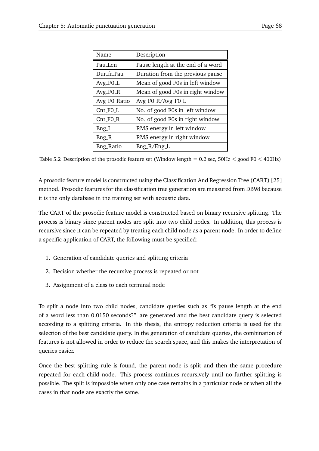| Name         | Description                       |
|--------------|-----------------------------------|
| Pau Len      | Pause length at the end of a word |
| Dur fr Pau   | Duration from the previous pause  |
| $Avg_F0_L$   | Mean of good F0s in left window   |
| Avg_FO_R     | Mean of good F0s in right window  |
| Avg F0 Ratio | Avg F0 R/Avg F0 L                 |
| $Cnt_F0_L$   | No. of good F0s in left window    |
| $Cnt_F0_R$   | No. of good F0s in right window   |
| Eng L        | RMS energy in left window         |
| Eng_R        | RMS energy in right window        |
| Eng_Ratio    | $Eng_R/Eng_L$                     |

Table 5.2 Description of the prosodic feature set (Window length  $= 0.2$  sec, 50Hz  $<$  good F0  $<$  400Hz)

A prosodic feature model is constructed using the Classification And Regression Tree (CART) [25] method. Prosodic features for the classification tree generation are measured from DB98 because it is the only database in the training set with acoustic data.

The CART of the prosodic feature model is constructed based on binary recursive splitting. The process is binary since parent nodes are split into two child nodes. In addition, this process is recursive since it can be repeated by treating each child node as a parent node. In order to define a specific application of CART, the following must be specified:

- 1. Generation of candidate queries and splitting criteria
- 2. Decision whether the recursive process is repeated or not
- 3. Assignment of a class to each terminal node

To split a node into two child nodes, candidate queries such as "Is pause length at the end of a word less than 0.0150 seconds?" are generated and the best candidate query is selected according to a splitting criteria. In this thesis, the entropy reduction criteria is used for the selection of the best candidate query. In the generation of candidate queries, the combination of features is not allowed in order to reduce the search space, and this makes the interpretation of queries easier.

Once the best splitting rule is found, the parent node is split and then the same procedure repeated for each child node. This process continues recursively until no further splitting is possible. The split is impossible when only one case remains in a particular node or when all the cases in that node are exactly the same.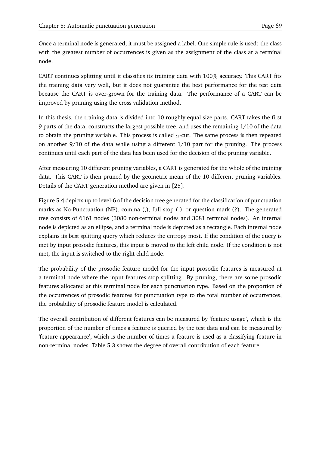Once a terminal node is generated, it must be assigned a label. One simple rule is used: the class with the greatest number of occurrences is given as the assignment of the class at a terminal node.

CART continues splitting until it classifies its training data with 100 accuracy. This CART fits the training data very well, but it does not guarantee the best performance for the test data because the CART is over-grown for the training data. The performance of a CART can be improved by pruning using the cross validation method.

In this thesis, the training data is divided into 10 roughly equal size parts. CART takes the first 9 parts of the data, constructs the largest possible tree, and uses the remaining 1/10 of the data to obtain the pruning variable. This process is called  $\alpha$ -cut. The same process is then repeated on another 9/10 of the data while using a different 1/10 part for the pruning. The process continues until each part of the data has been used for the decision of the pruning variable.

After measuring 10 different pruning variables, a CART is generated for the whole of the training data. This CART is then pruned by the geometric mean of the 10 different pruning variables. Details of the CART generation method are given in [25].

Figure 5.4 depicts up to level-6 of the decision tree generated for the classification of punctuation marks as No-Punctuation (NP), comma (,), full stop (.) or question mark (?). The generated tree consists of 6161 nodes (3080 non-terminal nodes and 3081 terminal nodes). An internal node is depicted as an ellipse, and a terminal node is depicted as a rectangle. Each internal node explains its best splitting query which reduces the entropy most. If the condition of the query is met by input prosodic features, this input is moved to the left child node. If the condition is not met, the input is switched to the right child node.

The probability of the prosodic feature model for the input prosodic features is measured at a terminal node where the input features stop splitting. By pruning, there are some prosodic features allocated at this terminal node for each punctuation type. Based on the proportion of the occurrences of prosodic features for punctuation type to the total number of occurrences, the probability of prosodic feature model is calculated.

The overall contribution of different features can be measured by 'feature usage', which is the proportion of the number of times a feature is queried by the test data and can be measured by 'feature appearance', which is the number of times a feature is used as a classifying feature in non-terminal nodes. Table 5.3 shows the degree of overall contribution of each feature.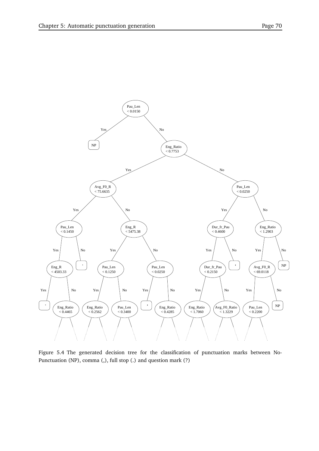

Figure 5.4 The generated decision tree for the classification of punctuation marks between No-Punctuation (NP), comma (,), full stop (.) and question mark (?)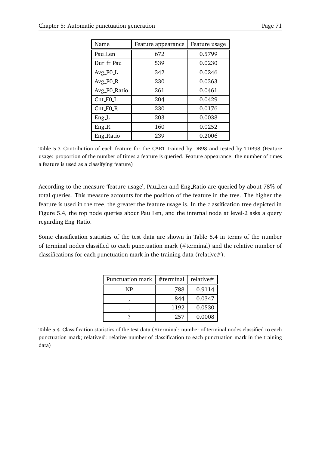| Name         | Feature appearance | Feature usage |
|--------------|--------------------|---------------|
| Pau_Len      | 672                | 0.5799        |
| Dur_fr_Pau   | 539                | 0.0230        |
| $Avg_F0_L$   | 342                | 0.0246        |
| Avg_FO_R     | 230                | 0.0363        |
| Avg F0 Ratio | 261                | 0.0461        |
| Cnt_FO_L     | 204                | 0.0429        |
| Cnt_FO_R     | 230                | 0.0176        |
| Eng L        | 203                | 0.0038        |
| $Eng_R$      | 160                | 0.0252        |
| Eng_Ratio    | 239                | 0.2006        |

Table 5.3 Contribution of each feature for the CART trained by DB98 and tested by TDB98 (Feature usage: proportion of the number of times a feature is queried. Feature appearance: the number of times a feature is used as a classifying feature)

According to the measure 'feature usage', Pau Len and Eng Ratio are queried by about 78 of total queries. This measure accounts for the position of the feature in the tree. The higher the feature is used in the tree, the greater the feature usage is. In the classification tree depicted in Figure 5.4, the top node queries about Pau Len, and the internal node at level-2 asks a query regarding Eng Ratio.

Some classification statistics of the test data are shown in Table 5.4 in terms of the number of terminal nodes classified to each punctuation mark (#terminal) and the relative number of classifications for each punctuation mark in the training data (relative#).

| Punctuation mark | $#$ terminal | relative# |
|------------------|--------------|-----------|
| NP               | 788          | 0.9114    |
|                  | 844          | 0.0347    |
|                  | 1192         | 0.0530    |
|                  | 257          | 0.0008    |

Table 5.4 Classification statistics of the test data (#terminal: number of terminal nodes classified to each punctuation mark; relative#: relative number of classification to each punctuation mark in the training data)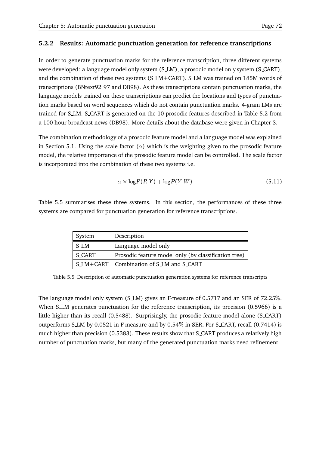#### **5.2.2 Results: Automatic punctuation generation for reference transcriptions**

In order to generate punctuation marks for the reference transcription, three different systems were developed: a language model only system (S LM), a prosodic model only system (S CART), and the combination of these two systems (S LM+CART). S LM was trained on 185M words of transcriptions (BNtext92 97 and DB98). As these transcriptions contain punctuation marks, the language models trained on these transcriptions can predict the locations and types of punctuation marks based on word sequences which do not contain punctuation marks. 4-gram LMs are trained for S LM. S CART is generated on the 10 prosodic features described in Table 5.2 from a 100 hour broadcast news (DB98). More details about the database were given in Chapter 3.

The combination methodology of a prosodic feature model and a language model was explained in Section 5.1. Using the scale factor ( $\alpha$ ) which is the weighting given to the prosodic feature model, the relative importance of the prosodic feature model can be controlled. The scale factor is incorporated into the combination of these two systems i.e.

$$
\alpha \times \log P(R|Y) + \log P(Y|W) \tag{5.11}
$$

Table 5.5 summarises these three systems. In this section, the performances of these three systems are compared for punctuation generation for reference transcriptions.

| System | Description                                          |
|--------|------------------------------------------------------|
| S_LM   | Language model only                                  |
| S CART | Prosodic feature model only (by classification tree) |
|        | S_LM+CART   Combination of S_LM and S_CART           |

Table 5.5 Description of automatic punctuation generation systems for reference transcripts

The language model only system (S LM) gives an F-measure of 0.5717 and an SER of 72.25 . When SLM generates punctuation for the reference transcription, its precision (0.5966) is a little higher than its recall (0.5488). Surprisingly, the prosodic feature model alone (S CART) outperforms S LM by 0.0521 in F-measure and by 0.54 in SER. For S CART, recall (0.7414) is much higher than precision (0.5383). These results show that S CART produces a relatively high number of punctuation marks, but many of the generated punctuation marks need refinement.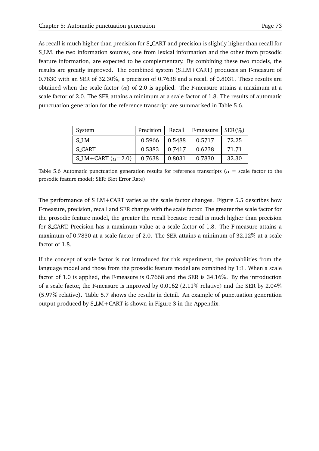As recall is much higher than precision for S CART and precision is slightly higher than recall for S LM, the two information sources, one from lexical information and the other from prosodic feature information, are expected to be complementary. By combining these two models, the results are greatly improved. The combined system (S LM+CART) produces an F-measure of 0.7830 with an SER of 32.30 , a precision of 0.7638 and a recall of 0.8031. These results are obtained when the scale factor ( $\alpha$ ) of 2.0 is applied. The F-measure attains a maximum at a scale factor of 2.0. The SER attains a minimum at a scale factor of 1.8. The results of automatic punctuation generation for the reference transcript are summarised in Table 5.6.

| System                   | Precision |        | Recall   F-measure   $SER(\%)$ |       |
|--------------------------|-----------|--------|--------------------------------|-------|
| S_LM                     | 0.5966    | 0.5488 | 0.5717                         | 72.25 |
| S_CART                   | 0.5383    | 0.7417 | 0.6238                         | 71.71 |
| S_LM+CART $(\alpha=2.0)$ | 0.7638    | 0.8031 | 0.7830                         | 32.30 |

Table 5.6 Automatic punctuation generation results for reference transcripts ( $\alpha$  = scale factor to the prosodic feature model; SER: Slot Error Rate)

The performance of SLM+CART varies as the scale factor changes. Figure 5.5 describes how F-measure, precision, recall and SER change with the scale factor. The greater the scale factor for the prosodic feature model, the greater the recall because recall is much higher than precision for S CART. Precision has a maximum value at a scale factor of 1.8. The F-measure attains a maximum of 0.7830 at a scale factor of 2.0. The SER attains a minimum of 32.12 at a scale factor of 1.8.

If the concept of scale factor is not introduced for this experiment, the probabilities from the language model and those from the prosodic feature model are combined by 1:1. When a scale factor of 1.0 is applied, the F-measure is 0.7668 and the SER is 34.16 . By the introduction of a scale factor, the F-measure is improved by 0.0162 (2.11% relative) and the SER by 2.04% (5.97 relative). Table 5.7 shows the results in detail. An example of punctuation generation output produced by S LM+CART is shown in Figure 3 in the Appendix.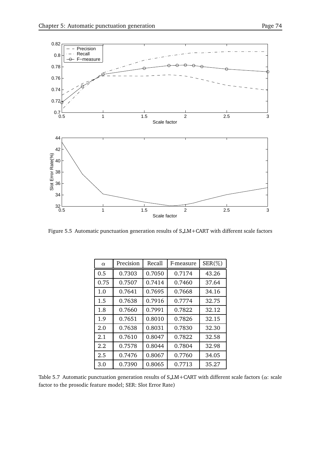

Figure 5.5 Automatic punctuation generation results of S LM+CART with different scale factors

| $\alpha$ | Precision | Recall | F-measure | $SER(\%)$ |
|----------|-----------|--------|-----------|-----------|
| 0.5      | 0.7303    | 0.7050 | 0.7174    | 43.26     |
| 0.75     | 0.7507    | 0.7414 | 0.7460    | 37.64     |
| 1.0      | 0.7641    | 0.7695 | 0.7668    | 34.16     |
| 1.5      | 0.7638    | 0.7916 | 0.7774    | 32.75     |
| 1.8      | 0.7660    | 0.7991 | 0.7822    | 32.12     |
| 1.9      | 0.7651    | 0.8010 | 0.7826    | 32.15     |
| 2.0      | 0.7638    | 0.8031 | 0.7830    | 32.30     |
| 2.1      | 0.7610    | 0.8047 | 0.7822    | 32.58     |
| 2.2      | 0.7578    | 0.8044 | 0.7804    | 32.98     |
| 2.5      | 0.7476    | 0.8067 | 0.7760    | 34.05     |
| 3.0      | 0.7390    | 0.8065 | 0.7713    | 35.27     |

Table 5.7 Automatic punctuation generation results of S\_LM+CART with different scale factors ( $\alpha$ : scale factor to the prosodic feature model; SER: Slot Error Rate)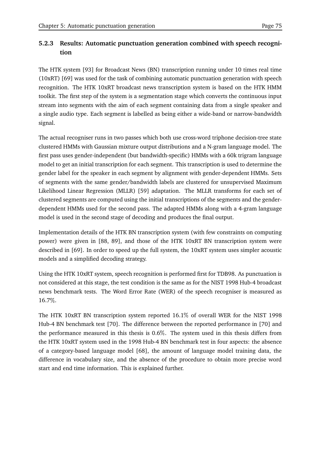# **5.2.3 Results: Automatic punctuation generation combined with speech recognition**

The HTK system [93] for Broadcast News (BN) transcription running under 10 times real time (10xRT) [69] was used for the task of combining automatic punctuation generation with speech recognition. The HTK 10xRT broadcast news transcription system is based on the HTK HMM toolkit. The first step of the system is a segmentation stage which converts the continuous input stream into segments with the aim of each segment containing data from a single speaker and a single audio type. Each segment is labelled as being either a wide-band or narrow-bandwidth signal.

The actual recogniser runs in two passes which both use cross-word triphone decision-tree state clustered HMMs with Gaussian mixture output distributions and a N-gram language model. The first pass uses gender-independent (but bandwidth-specific) HMMs with a 60k trigram language model to get an initial transcription for each segment. This transcription is used to determine the gender label for the speaker in each segment by alignment with gender-dependent HMMs. Sets of segments with the same gender/bandwidth labels are clustered for unsupervised Maximum Likelihood Linear Regression (MLLR) [59] adaptation. The MLLR transforms for each set of clustered segments are computed using the initial transcriptions of the segments and the genderdependent HMMs used for the second pass. The adapted HMMs along with a 4-gram language model is used in the second stage of decoding and produces the final output.

Implementation details of the HTK BN transcription system (with few constraints on computing power) were given in [88, 89], and those of the HTK 10xRT BN transcription system were described in [69]. In order to speed up the full system, the 10xRT system uses simpler acoustic models and a simplified decoding strategy.

Using the HTK 10xRT system, speech recognition is performed first for TDB98. As punctuation is not considered at this stage, the test condition is the same as for the NIST 1998 Hub-4 broadcast news benchmark tests. The Word Error Rate (WER) of the speech recogniser is measured as 16.7 .

The HTK 10xRT BN transcription system reported  $16.1\%$  of overall WER for the NIST 1998 Hub-4 BN benchmark test [70]. The difference between the reported performance in [70] and the performance measured in this thesis is 0.6 . The system used in this thesis differs from the HTK 10xRT system used in the 1998 Hub-4 BN benchmark test in four aspects: the absence of a category-based language model [68], the amount of language model training data, the difference in vocabulary size, and the absence of the procedure to obtain more precise word start and end time information. This is explained further.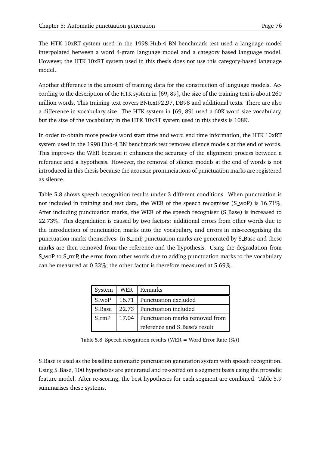The HTK 10xRT system used in the 1998 Hub-4 BN benchmark test used a language model interpolated between a word 4-gram language model and a category based language model. However, the HTK 10xRT system used in this thesis does not use this category-based language model.

Another difference is the amount of training data for the construction of language models. According to the description of the HTK system in [69, 89], the size of the training text is about 260 million words. This training text covers BNtext92 97, DB98 and additional texts. There are also a difference in vocabulary size. The HTK system in [69, 89] used a 60K word size vocabulary, but the size of the vocabulary in the HTK 10xRT system used in this thesis is 108K.

In order to obtain more precise word start time and word end time information, the HTK 10xRT system used in the 1998 Hub-4 BN benchmark test removes silence models at the end of words. This improves the WER because it enhances the accuracy of the alignment process between a reference and a hypothesis. However, the removal of silence models at the end of words is not introduced in this thesis because the acoustic pronunciations of punctuation marks are registered as silence.

Table 5.8 shows speech recognition results under 3 different conditions. When punctuation is not included in training and test data, the WER of the speech recogniser (S woP) is 16.71 . After including punctuation marks, the WER of the speech recogniser (S Base) is increased to 22.73 . This degradation is caused by two factors: additional errors from other words due to the introduction of punctuation marks into the vocabulary, and errors in mis-recognising the punctuation marks themselves. In S\_rmP, punctuation marks are generated by S\_Base and these marks are then removed from the reference and the hypothesis. Using the degradation from S woP to S rmP, the error from other words due to adding punctuation marks to the vocabulary can be measured at 0.33%; the other factor is therefore measured at 5.69%.  $\,$ 

|             | System   WER   Remarks               |
|-------------|--------------------------------------|
| S_woP       | 16.71 Punctuation excluded           |
| S_Base      | 22.73 Punctuation included           |
| $S$ _rm $P$ | 17.04 Punctuation marks removed from |
|             | reference and S_Base's result        |

Table 5.8 Speech recognition results (WER = Word Error Rate  $(\%)$ )

S Base is used as the baseline automatic punctuation generation system with speech recognition. Using S Base, 100 hypotheses are generated and re-scored on a segment basis using the prosodic feature model. After re-scoring, the best hypotheses for each segment are combined. Table 5.9 summarises these systems.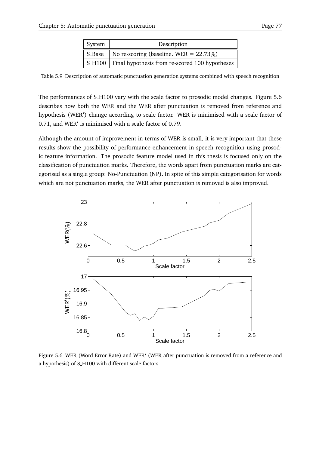| System | Description                                             |
|--------|---------------------------------------------------------|
|        | S_Base   No re-scoring (baseline. WER = $22.73\%$ )     |
|        | S_H100   Final hypothesis from re-scored 100 hypotheses |

Table 5.9 Description of automatic punctuation generation systems combined with speech recognition

The performances of S\_H100 vary with the scale factor to prosodic model changes. Figure 5.6 describes how both the WER and the WER after punctuation is removed from reference and hypothesis (WER') change according to scale factor. WER is minimised with a scale factor of 0.71, and WER' is minimised with a scale factor of 0.79.

Although the amount of improvement in terms of WER is small, it is very important that these results show the possibility of performance enhancement in speech recognition using prosodic feature information. The prosodic feature model used in this thesis is focused only on the classification of punctuation marks. Therefore, the words apart from punctuation marks are categorised as a single group: No-Punctuation (NP). In spite of this simple categorisation for words which are not punctuation marks, the WER after punctuation is removed is also improved.



Figure 5.6 WER (Word Error Rate) and WER (WER after punctuation is removed from a reference and a hypothesis) of S H100 with different scale factors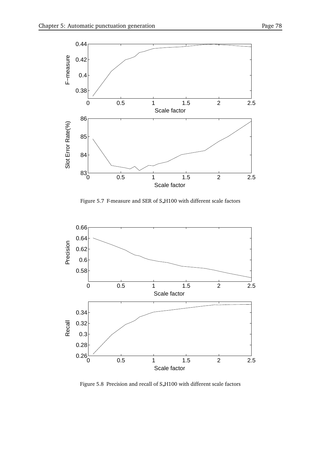

Figure 5.7 F-measure and SER of S H100 with different scale factors



Figure 5.8 Precision and recall of S H100 with different scale factors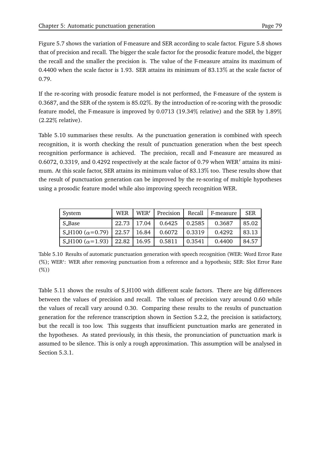Figure 5.7 shows the variation of F-measure and SER according to scale factor. Figure 5.8 shows that of precision and recall. The bigger the scale factor for the prosodic feature model, the bigger the recall and the smaller the precision is. The value of the F-measure attains its maximum of 0.4400 when the scale factor is 1.93. SER attains its minimum of 83.13 at the scale factor of 0.79.

If the re-scoring with prosodic feature model is not performed, the F-measure of the system is 0.3687, and the SER of the system is 85.02 . By the introduction of re-scoring with the prosodic feature model, the F-measure is improved by 0.0713 (19.34% relative) and the SER by 1.89% (2.22 relative).

Table 5.10 summarises these results. As the punctuation generation is combined with speech recognition, it is worth checking the result of punctuation generation when the best speech recognition performance is achieved. The precision, recall and F-measure are measured as 0.6072, 0.3319, and 0.4292 respectively at the scale factor of 0.79 when WER attains its minimum. At this scale factor, SER attains its minimum value of 83.13 too. These results show that the result of punctuation generation can be improved by the re-scoring of multiple hypotheses using a prosodic feature model while also improving speech recognition WER.

| System                                                    | <b>WER</b> | WER'          | Precision |                    | Recall F-measure | <b>SER</b> |
|-----------------------------------------------------------|------------|---------------|-----------|--------------------|------------------|------------|
| S_Base                                                    |            | $22.73$ 17.04 | 0.6425    | $\mid 0.2585 \mid$ | 0.3687           | 85.02      |
| $\vert$ S_H100 ( $\alpha$ =0.79)   22.57   16.84   0.6072 |            |               |           | $ 0.3319\rangle$   | 0.4292           | 83.13      |
| S_H100 ( $\alpha$ =1.93)   22.82   16.95                  |            |               | 0.5811    | $\mid 0.3541 \mid$ | 0.4400           | 84.57      |

Table 5.10 Results of automatic punctuation generation with speech recognition (WER: Word Error Rate (%); WER': WER after removing punctuation from a reference and a hypothesis; SER: Slot Error Rate  $(\%)$ 

Table 5.11 shows the results of S H100 with different scale factors. There are big differences between the values of precision and recall. The values of precision vary around 0.60 while the values of recall vary around 0.30. Comparing these results to the results of punctuation generation for the reference transcription shown in Section 5.2.2, the precision is satisfactory, but the recall is too low. This suggests that insufficient punctuation marks are generated in the hypotheses. As stated previously, in this thesis, the pronunciation of punctuation mark is assumed to be silence. This is only a rough approximation. This assumption will be analysed in Section 5.3.1.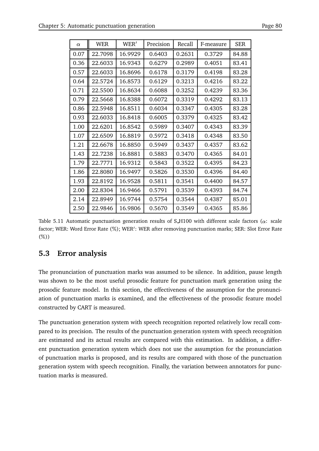| $\alpha$ | <b>WER</b> | WER'    | Precision | Recall | F-measure | <b>SER</b> |
|----------|------------|---------|-----------|--------|-----------|------------|
| 0.07     | 22.7098    | 16.9929 | 0.6403    | 0.2631 | 0.3729    | 84.88      |
| 0.36     | 22.6033    | 16.9343 | 0.6279    | 0.2989 | 0.4051    | 83.41      |
| 0.57     | 22.6033    | 16.8696 | 0.6178    | 0.3179 | 0.4198    | 83.28      |
| 0.64     | 22.5724    | 16.8573 | 0.6129    | 0.3213 | 0.4216    | 83.22      |
| 0.71     | 22.5500    | 16.8634 | 0.6088    | 0.3252 | 0.4239    | 83.36      |
| 0.79     | 22.5668    | 16.8388 | 0.6072    | 0.3319 | 0.4292    | 83.13      |
| 0.86     | 22.5948    | 16.8511 | 0.6034    | 0.3347 | 0.4305    | 83.28      |
| 0.93     | 22.6033    | 16.8418 | 0.6005    | 0.3379 | 0.4325    | 83.42      |
| 1.00     | 22.6201    | 16.8542 | 0.5989    | 0.3407 | 0.4343    | 83.39      |
| 1.07     | 22.6509    | 16.8819 | 0.5972    | 0.3418 | 0.4348    | 83.50      |
| 1.21     | 22.6678    | 16.8850 | 0.5949    | 0.3437 | 0.4357    | 83.62      |
| 1.43     | 22.7238    | 16.8881 | 0.5883    | 0.3470 | 0.4365    | 84.01      |
| 1.79     | 22.7771    | 16.9312 | 0.5843    | 0.3522 | 0.4395    | 84.23      |
| 1.86     | 22.8080    | 16.9497 | 0.5826    | 0.3530 | 0.4396    | 84.40      |
| 1.93     | 22.8192    | 16.9528 | 0.5811    | 0.3541 | 0.4400    | 84.57      |
| 2.00     | 22.8304    | 16.9466 | 0.5791    | 0.3539 | 0.4393    | 84.74      |
| 2.14     | 22.8949    | 16.9744 | 0.5754    | 0.3544 | 0.4387    | 85.01      |
| 2.50     | 22.9846    | 16.9806 | 0.5670    | 0.3549 | 0.4365    | 85.86      |

Table 5.11 Automatic punctuation generation results of S<sub>H100</sub> with different scale factors ( $\alpha$ : scale factor; WER: Word Error Rate (%); WER': WER after removing punctuation marks; SER: Slot Error Rate  $(\%)$ 

# **5.3 Error analysis**

The pronunciation of punctuation marks was assumed to be silence. In addition, pause length was shown to be the most useful prosodic feature for punctuation mark generation using the prosodic feature model. In this section, the effectiveness of the assumption for the pronunciation of punctuation marks is examined, and the effectiveness of the prosodic feature model constructed by CART is measured.

The punctuation generation system with speech recognition reported relatively low recall compared to its precision. The results of the punctuation generation system with speech recognition are estimated and its actual results are compared with this estimation. In addition, a different punctuation generation system which does not use the assumption for the pronunciation of punctuation marks is proposed, and its results are compared with those of the punctuation generation system with speech recognition. Finally, the variation between annotators for punctuation marks is measured.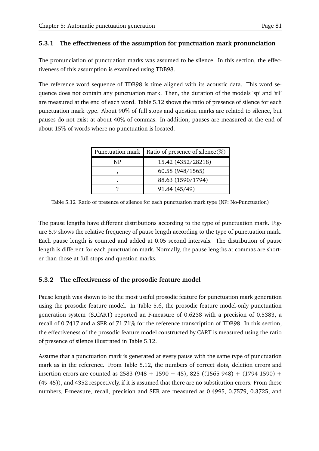#### **5.3.1 The effectiveness of the assumption for punctuation mark pronunciation**

The pronunciation of punctuation marks was assumed to be silence. In this section, the effectiveness of this assumption is examined using TDB98.

The reference word sequence of TDB98 is time aligned with its acoustic data. This word sequence does not contain any punctuation mark. Then, the duration of the models 'sp' and 'sil' are measured at the end of each word. Table 5.12 shows the ratio of presence of silence for each punctuation mark type. About 90% of full stops and question marks are related to silence, but pauses do not exist at about 40% of commas. In addition, pauses are measured at the end of about 15 of words where no punctuation is located.

| Punctuation mark | Ratio of presence of silence( $\%$ ) |
|------------------|--------------------------------------|
| NP               | 15.42 (4352/28218)                   |
|                  | 60.58 (948/1565)                     |
|                  | 88.63 (1590/1794)                    |
|                  | 91.84 (45/49)                        |

Table 5.12 Ratio of presence of silence for each punctuation mark type (NP: No-Punctuation)

The pause lengths have different distributions according to the type of punctuation mark. Figure 5.9 shows the relative frequency of pause length according to the type of punctuation mark. Each pause length is counted and added at 0.05 second intervals. The distribution of pause length is different for each punctuation mark. Normally, the pause lengths at commas are shorter than those at full stops and question marks.

# **5.3.2 The effectiveness of the prosodic feature model**

Pause length was shown to be the most useful prosodic feature for punctuation mark generation using the prosodic feature model. In Table 5.6, the prosodic feature model-only punctuation generation system (S CART) reported an F-measure of 0.6238 with a precision of 0.5383, a recall of 0.7417 and a SER of 71.71% for the reference transcription of TDB98. In this section, the effectiveness of the prosodic feature model constructed by CART is measured using the ratio of presence of silence illustrated in Table 5.12.

Assume that a punctuation mark is generated at every pause with the same type of punctuation mark as in the reference. From Table 5.12, the numbers of correct slots, deletion errors and insertion errors are counted as  $2583 (948 + 1590 + 45)$ ,  $825 ((1565-948) + (1794-1590) +$ (49-45)), and 4352 respectively, if it is assumed that there are no substitution errors. From these numbers, F-measure, recall, precision and SER are measured as 0.4995, 0.7579, 0.3725, and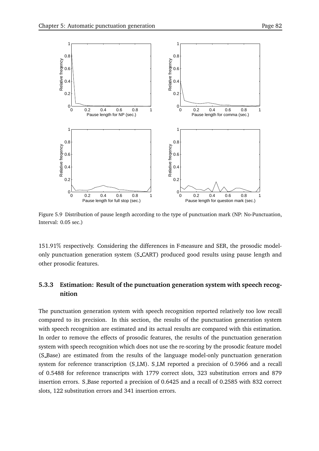

Figure 5.9 Distribution of pause length according to the type of punctuation mark (NP: No-Punctuation, Interval: 0.05 sec.)

151.91% respectively. Considering the differences in F-measure and SER, the prosodic modelonly punctuation generation system (S CART) produced good results using pause length and other prosodic features.

# **5.3.3 Estimation: Result of the punctuation generation system with speech recognition**

The punctuation generation system with speech recognition reported relatively too low recall compared to its precision. In this section, the results of the punctuation generation system with speech recognition are estimated and its actual results are compared with this estimation. In order to remove the effects of prosodic features, the results of the punctuation generation system with speech recognition which does not use the re-scoring by the prosodic feature model (S Base) are estimated from the results of the language model-only punctuation generation system for reference transcription (SLM). SLM reported a precision of 0.5966 and a recall of 0.5488 for reference transcripts with 1779 correct slots, 323 substitution errors and 879 insertion errors. S Base reported a precision of 0.6425 and a recall of 0.2585 with 832 correct slots, 122 substitution errors and 341 insertion errors.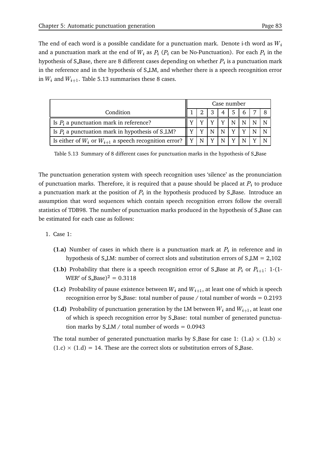The end of each word is a possible candidate for a punctuation mark. Denote i-th word as  $W_i$ and a punctuation mark at the end of  $W_i$  as  $P_i$  ( $P_i$  can be No-Punctuation). For each  $P_i$  in the hypothesis of S<sub>-</sub>Base, there are 8 different cases depending on whether  $P_i$  is a punctuation mark in the reference and in the hypothesis of S LM, and whether there is a speech recognition error in  $W_i$  and  $W_{i+1}$ . Table 5.13 summarises these 8 cases.

|                                                                               |  |  |    |                | Case number    |      |  |
|-------------------------------------------------------------------------------|--|--|----|----------------|----------------|------|--|
| Condition                                                                     |  |  | -3 | $\overline{4}$ | <sup>1</sup> 5 | $-6$ |  |
| Is $P_i$ a punctuation mark in reference?                                     |  |  |    |                | N              |      |  |
| Is $P_i$ a punctuation mark in hypothesis of S_LM?                            |  |  |    |                | $\mathbf{v}$   |      |  |
| Is either of $W_i$ or $W_{i+1}$ a speech recognition error? $\parallel$ Y   N |  |  | v  |                |                |      |  |

Table 5.13 Summary of 8 different cases for punctuation marks in the hypothesis of S Base

The punctuation generation system with speech recognition uses 'silence' as the pronunciation of punctuation marks. Therefore, it is required that a pause should be placed at  $P_i$  to produce a punctuation mark at the position of  $P_i$  in the hypothesis produced by S\_Base. Introduce an assumption that word sequences which contain speech recognition errors follow the overall statistics of TDB98. The number of punctuation marks produced in the hypothesis of S Base can be estimated for each case as follows:

- 1. Case 1:
	- **(1.a)** Number of cases in which there is a punctuation mark at  $P_i$  in reference and in hypothesis of S $\text{\textperp}$ M: number of correct slots and substitution errors of S $\text{\textperp}$ M = 2,102
	- **(1.b)** Probability that there is a speech recognition error of S Base at  $P_i$  or  $P_{i+1}$ : 1-(1-WER' of  $S_B = 0.3118$
	- **(1.c)** Probability of pause existence between  $W_i$  and  $W_{i+1}$ , at least one of which is speech recognition error by S\_Base: total number of pause  $/$  total number of words = 0.2193
	- **(1.d)** Probability of punctuation generation by the LM between  $W_i$  and  $W_{i+1}$ , at least one of which is speech recognition error by S Base: total number of generated punctuation marks by  $S \perp M /$  total number of words = 0.0943

The total number of generated punctuation marks by S\_Base for case 1:  $(1.a) \times (1.b) \times$  $(1.c) \times (1.d) = 14$ . These are the correct slots or substitution errors of S Base.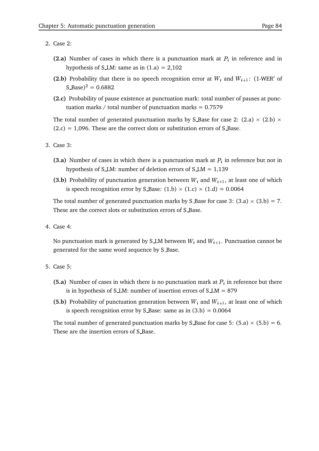- 2. Case 2:
	- **(2.a)** Number of cases in which there is a punctuation mark at  $P_i$  in reference and in hypothesis of SLM: same as in  $(1.a) = 2,102$
	- **(2.b)** Probability that there is no speech recognition error at  $W_i$  and  $W_{i+1}$ : (1-WER' of  $(S\_{Base})^2 = 0.6882$
	- **(2.c)** Probability of pause existence at punctuation mark: total number of pauses at punctuation marks / total number of punctuation marks  $= 0.7579$

The total number of generated punctuation marks by S Base for case 2: (2.a)  $\times$  (2.b)  $\times$  $(2.c) = 1,096$ . These are the correct slots or substitution errors of S Base.

- 3. Case 3:
	- **(3.a)** Number of cases in which there is a punctuation mark at  $P_i$  in reference but not in hypothesis of S<sub>LM</sub>: number of deletion errors of S<sub>LM</sub> =  $1,139$
	- **(3.b)** Probability of punctuation generation between  $W_i$  and  $W_{i+1}$ , at least one of which is speech recognition error by S\_Base:  $(1.b) \times (1.c) \times (1.d) = 0.0064$

The total number of generated punctuation marks by S\_Base for case 3:  $(3.a) \times (3.b) = 7.$ These are the correct slots or substitution errors of S Base.

4. Case 4:

No punctuation mark is generated by S.LM between  $W_i$  and  $W_{i+1}$ . Punctuation cannot be generated for the same word sequence by S Base.

- 5. Case 5:
	- **(5.a)** Number of cases in which there is no punctuation mark at  $P_i$  in reference but there is in hypothesis of S<sub>LM</sub>: number of insertion errors of  $S$ <sub>LM</sub> = 879
	- **(5.b)** Probability of punctuation generation between  $W_i$  and  $W_{i+1}$ , at least one of which is speech recognition error by S\_Base: same as in  $(3.b) = 0.0064$

The total number of generated punctuation marks by S\_Base for case 5:  $(5.a) \times (5.b) = 6$ . These are the insertion errors of S Base.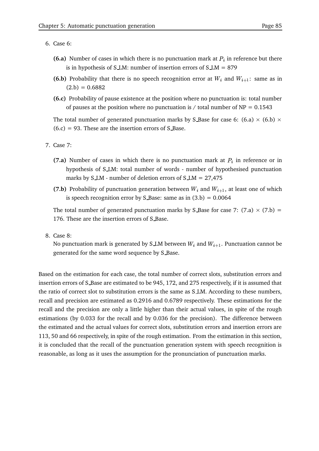- 6. Case 6:
	- **(6.a)** Number of cases in which there is no punctuation mark at  $P_i$  in reference but there is in hypothesis of S $\text{\textperp}$ M: number of insertion errors of S $\text{\textperp}$ M = 879
	- **(6.b)** Probability that there is no speech recognition error at  $W_i$  and  $W_{i+1}$ : same as in  $(2.b) = 0.6882$
	- **(6.c)** Probability of pause existence at the position where no punctuation is: total number of pauses at the position where no punctuation is / total number of  $NP = 0.1543$

The total number of generated punctuation marks by S Base for case 6:  $(6.a) \times (6.b) \times$  $(6.c) = 93$ . These are the insertion errors of S\_Base.

- 7. Case 7:
	- **(7.a)** Number of cases in which there is no punctuation mark at  $P_i$  in reference or in hypothesis of S LM: total number of words - number of hypothesised punctuation marks by S $LM$  - number of deletion errors of S $LM = 27,475$
	- **(7.b)** Probability of punctuation generation between  $W_i$  and  $W_{i+1}$ , at least one of which is speech recognition error by S Base: same as in  $(3.b) = 0.0064$

The total number of generated punctuation marks by S Base for case 7:  $(7.a) \times (7.b) =$ 176. These are the insertion errors of S Base.

8. Case 8:

No punctuation mark is generated by S LM between  $W_i$  and  $W_{i+1}$ . Punctuation cannot be generated for the same word sequence by S Base.

Based on the estimation for each case, the total number of correct slots, substitution errors and insertion errors of S Base are estimated to be 945, 172, and 275 respectively, if it is assumed that the ratio of correct slot to substitution errors is the same as S LM. According to these numbers, recall and precision are estimated as 0.2916 and 0.6789 respectively. These estimations for the recall and the precision are only a little higher than their actual values, in spite of the rough estimations (by 0.033 for the recall and by 0.036 for the precision). The difference between the estimated and the actual values for correct slots, substitution errors and insertion errors are 113, 50 and 66 respectively, in spite of the rough estimation. From the estimation in this section, it is concluded that the recall of the punctuation generation system with speech recognition is reasonable, as long as it uses the assumption for the pronunciation of punctuation marks.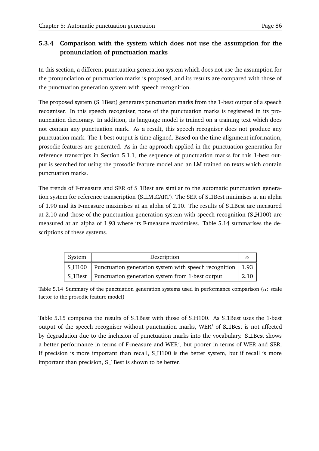# **5.3.4 Comparison with the system which does not use the assumption for the pronunciation of punctuation marks**

In this section, a different punctuation generation system which does not use the assumption for the pronunciation of punctuation marks is proposed, and its results are compared with those of the punctuation generation system with speech recognition.

The proposed system (S\_1Best) generates punctuation marks from the 1-best output of a speech recogniser. In this speech recogniser, none of the punctuation marks is registered in its pronunciation dictionary. In addition, its language model is trained on a training text which does not contain any punctuation mark. As a result, this speech recogniser does not produce any punctuation mark. The 1-best output is time aligned. Based on the time alignment information, prosodic features are generated. As in the approach applied in the punctuation generation for reference transcripts in Section 5.1.1, the sequence of punctuation marks for this 1-best output is searched for using the prosodic feature model and an LM trained on texts which contain punctuation marks.

The trends of F-measure and SER of S<sub>-1</sub>Best are similar to the automatic punctuation generation system for reference transcription (S LM CART). The SER of S 1Best minimises at an alpha of 1.90 and its F-measure maximises at an alpha of 2.10. The results of S 1Best are measured at 2.10 and those of the punctuation generation system with speech recognition (S H100) are measured at an alpha of 1.93 where its F-measure maximises. Table 5.14 summarises the descriptions of these systems.

| System | Description                                                            |      |  |  |
|--------|------------------------------------------------------------------------|------|--|--|
|        | S_H100    Punctuation generation system with speech recognition   1.93 |      |  |  |
|        | S_1Best   Punctuation generation system from 1-best output             | 2.10 |  |  |

Table 5.14 Summary of the punctuation generation systems used in performance comparison ( $\alpha$ : scale factor to the prosodic feature model)

Table 5.15 compares the results of S 1Best with those of S H100. As S 1Best uses the 1-best output of the speech recogniser without punctuation marks, WER' of S<sub>-1</sub>Best is not affected by degradation due to the inclusion of punctuation marks into the vocabulary. S 1Best shows a better performance in terms of F-measure and WER', but poorer in terms of WER and SER. If precision is more important than recall, S H100 is the better system, but if recall is more important than precision, S 1Best is shown to be better.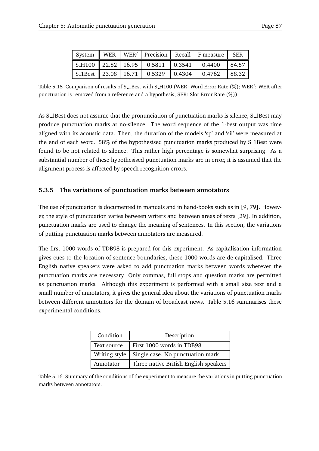|  |  | System WER   WER'   Precision   Recall   F-measure   SER                                              |       |
|--|--|-------------------------------------------------------------------------------------------------------|-------|
|  |  | $\vert$ S_H100 $\vert$ 22.82 $\vert$ 16.95 $\vert$ 0.5811 $\vert$ 0.3541 $\vert$ 0.4400 $\vert$ 84.57 |       |
|  |  | $\sqrt{\text{S-1Best}}$ 23.08   16.71   0.5329   0.4304   0.4762                                      | 88.32 |

Table 5.15 Comparison of results of S\_1Best with S\_H100 (WER: Word Error Rate (%); WER′: WER after punctuation is removed from a reference and a hypothesis; SER: Slot Error Rate  $(\%)$  )

As S 1Best does not assume that the pronunciation of punctuation marks is silence, S 1Best may produce punctuation marks at no-silence. The word sequence of the 1-best output was time aligned with its acoustic data. Then, the duration of the models 'sp' and 'sil' were measured at the end of each word. 58% of the hypothesised punctuation marks produced by S\_1Best were found to be not related to silence. This rather high percentage is somewhat surprising. As a substantial number of these hypothesised punctuation marks are in error, it is assumed that the alignment process is affected by speech recognition errors.

#### **5.3.5 The variations of punctuation marks between annotators**

The use of punctuation is documented in manuals and in hand-books such as in [9, 79]. However, the style of punctuation varies between writers and between areas of texts [29]. In addition, punctuation marks are used to change the meaning of sentences. In this section, the variations of putting punctuation marks between annotators are measured.

The first 1000 words of TDB98 is prepared for this experiment. As capitalisation information gives cues to the location of sentence boundaries, these 1000 words are de-capitalised. Three English native speakers were asked to add punctuation marks between words wherever the punctuation marks are necessary. Only commas, full stops and question marks are permitted as punctuation marks. Although this experiment is performed with a small size text and a small number of annotators, it gives the general idea about the variations of punctuation marks between different annotators for the domain of broadcast news. Table 5.16 summarises these experimental conditions.

| Condition<br>Description |                                       |  |
|--------------------------|---------------------------------------|--|
| Text source              | First 1000 words in TDB98             |  |
| Writing style            | Single case. No punctuation mark      |  |
| Annotator                | Three native British English speakers |  |

Table 5.16 Summary of the conditions of the experiment to measure the variations in putting punctuation marks between annotators.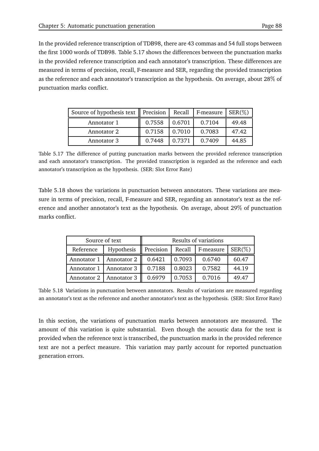In the provided reference transcription of TDB98, there are 43 commas and 54 full stops between the first 1000 words of TDB98. Table 5.17 shows the differences between the punctuation marks in the provided reference transcription and each annotator's transcription. These differences are measured in terms of precision, recall, F-measure and SER, regarding the provided transcription as the reference and each annotator's transcription as the hypothesis. On average, about 28 of punctuation marks conflict.

| Source of hypothesis text   Precision |        | Recall | F-measure   $SER(\%)$ |       |
|---------------------------------------|--------|--------|-----------------------|-------|
| Annotator 1                           | 0.7558 | 0.6701 | 0.7104                | 49.48 |
| Annotator 2                           | 0.7158 | 0.7010 | 0.7083                | 47.42 |
| Annotator 3                           | 0.7448 | 0.7371 | 0.7409                | 44.85 |

Table 5.17 The difference of putting punctuation marks between the provided reference transcription and each annotator's transcription. The provided transcription is regarded as the reference and each annotator's transcription as the hypothesis. (SER: Slot Error Rate)

Table 5.18 shows the variations in punctuation between annotators. These variations are measure in terms of precision, recall, F-measure and SER, regarding an annotator's text as the reference and another annotator's text as the hypothesis. On average, about 29 of punctuation marks conflict.

|           | Source of text            | Results of variations |        |                    |            |  |  |
|-----------|---------------------------|-----------------------|--------|--------------------|------------|--|--|
| Reference | Hypothesis                | Precision             |        | Recall   F-measure | $SER(\% )$ |  |  |
|           | Annotator 1   Annotator 2 | 0.6421                | 0.7093 | 0.6740             | 60.47      |  |  |
|           | Annotator 1   Annotator 3 | 0.7188                | 0.8023 | 0.7582             | 44.19      |  |  |
|           | Annotator 2   Annotator 3 | 0.6979                | 0.7053 | 0.7016             | 49.47      |  |  |

Table 5.18 Variations in punctuation between annotators. Results of variations are measured regarding an annotator's text as the reference and another annotator's text as the hypothesis. (SER: Slot Error Rate)

In this section, the variations of punctuation marks between annotators are measured. The amount of this variation is quite substantial. Even though the acoustic data for the text is provided when the reference text is transcribed, the punctuation marks in the provided reference text are not a perfect measure. This variation may partly account for reported punctuation generation errors.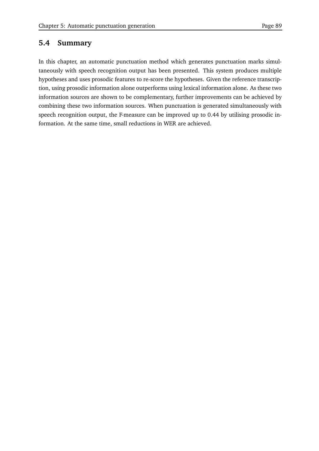## **5.4 Summary**

In this chapter, an automatic punctuation method which generates punctuation marks simultaneously with speech recognition output has been presented. This system produces multiple hypotheses and uses prosodic features to re-score the hypotheses. Given the reference transcription, using prosodic information alone outperforms using lexical information alone. As these two information sources are shown to be complementary, further improvements can be achieved by combining these two information sources. When punctuation is generated simultaneously with speech recognition output, the F-measure can be improved up to 0.44 by utilising prosodic information. At the same time, small reductions in WER are achieved.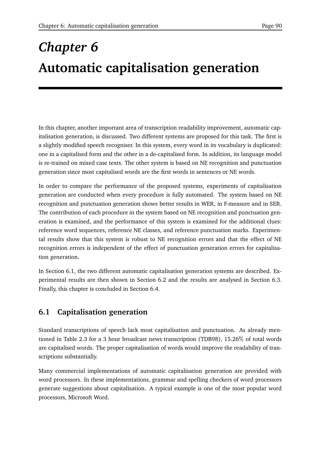# *Chapter 6* **Automatic capitalisation generation**

In this chapter, another important area of transcription readability improvement, automatic capitalisation generation, is discussed. Two different systems are proposed for this task. The first is a slightly modified speech recogniser. In this system, every word in its vocabulary is duplicated: one in a capitalised form and the other in a de-capitalised form. In addition, its language model is re-trained on mixed case texts. The other system is based on NE recognition and punctuation generation since most capitalised words are the first words in sentences or NE words.

In order to compare the performance of the proposed systems, experiments of capitalisation generation are conducted when every procedure is fully automated. The system based on NE recognition and punctuation generation shows better results in WER, in F-measure and in SER. The contribution of each procedure in the system based on NE recognition and punctuation generation is examined, and the performance of this system is examined for the additional clues: reference word sequences, reference NE classes, and reference punctuation marks. Experimental results show that this system is robust to NE recognition errors and that the effect of NE recognition errors is independent of the effect of punctuation generation errors for capitalisation generation.

In Section 6.1, the two different automatic capitalisation generation systems are described. Experimental results are then shown in Section 6.2 and the results are analysed in Section 6.3. Finally, this chapter is concluded in Section 6.4.

# **6.1 Capitalisation generation**

Standard transcriptions of speech lack most capitalisation and punctuation. As already mentioned in Table 2.3 for a 3 hour broadcast news transcription (TDB98), 15.26 of total words are capitalised words. The proper capitalisation of words would improve the readability of transcriptions substantially.

Many commercial implementations of automatic capitalisation generation are provided with word processors. In these implementations, grammar and spelling checkers of word processors generate suggestions about capitalisation. A typical example is one of the most popular word processors, Microsoft Word.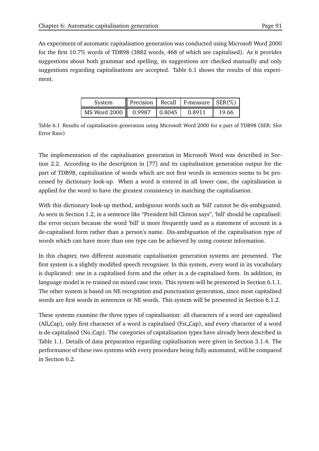An experiment of automatic capitalisation generation was conducted using Microsoft Word 2000 for the first 10.7 words of TDB98 (3882 words, 468 of which are capitalised). As it provides suggestions about both grammar and spelling, its suggestions are checked manually and only suggestions regarding capitalisations are accepted. Table 6.1 shows the results of this experiment.

| System                                    |  | Precision   Recall   F-measure   SER $(\%)$ |       |
|-------------------------------------------|--|---------------------------------------------|-------|
| MS Word 2000    0.9987   0.8045    0.8911 |  |                                             | 19.66 |

Table 6.1 Results of capitalisation generation using Microsoft Word 2000 for a part of TDB98 (SER: Slot Error Rate)

The implementation of the capitalisation generation in Microsoft Word was described in Section 2.2. According to the description in [77] and its capitalisation generation output for the part of TDB98, capitalisation of words which are not first words in sentences seems to be processed by dictionary look-up. When a word is entered in all lower case, the capitalisation is applied for the word to have the greatest consistency in matching the capitalisation.

With this dictionary look-up method, ambiguous words such as 'bill' cannot be dis-ambiguated. As seen in Section 1.2, in a sentence like "President bill Clinton says", 'bill' should be capitalised: the error occurs because the word 'bill' is more frequently used as a statement of account in a de-capitalised form rather than a person's name. Dis-ambiguation of the capitalisation type of words which can have more than one type can be achieved by using context information.

In this chapter, two different automatic capitalisation generation systems are presented. The first system is a slightly modified speech recogniser. In this system, every word in its vocabulary is duplicated: one in a capitalised form and the other in a de-capitalised form. In addition, its language model is re-trained on mixed case texts. This system will be presented in Section 6.1.1. The other system is based on NE recognition and punctuation generation, since most capitalised words are first words in sentences or NE words. This system will be presented in Section 6.1.2.

These systems examine the three types of capitalisation: all characters of a word are capitalised (All Cap), only first character of a word is capitalised (Fst Cap), and every character of a word is de-capitalised (No Cap). The categories of capitalisation types have already been described in Table 1.1. Details of data preparation regarding capitalisation were given in Section 3.1.4. The performance of these two systems with every procedure being fully automated, will be compared in Section 6.2.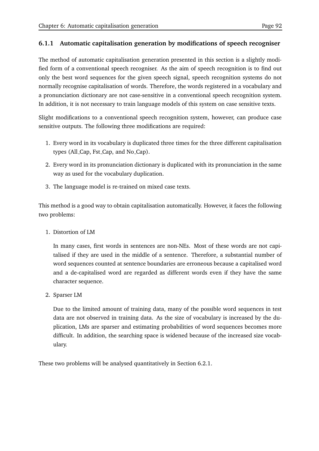#### **6.1.1 Automatic capitalisation generation by modifications of speech recogniser**

The method of automatic capitalisation generation presented in this section is a slightly modified form of a conventional speech recogniser. As the aim of speech recognition is to find out only the best word sequences for the given speech signal, speech recognition systems do not normally recognise capitalisation of words. Therefore, the words registered in a vocabulary and a pronunciation dictionary are not case-sensitive in a conventional speech recognition system. In addition, it is not necessary to train language models of this system on case sensitive texts.

Slight modifications to a conventional speech recognition system, however, can produce case sensitive outputs. The following three modifications are required:

- 1. Every word in its vocabulary is duplicated three times for the three different capitalisation types (All Cap, Fst Cap, and No Cap).
- 2. Every word in its pronunciation dictionary is duplicated with its pronunciation in the same way as used for the vocabulary duplication.
- 3. The language model is re-trained on mixed case texts.

This method is a good way to obtain capitalisation automatically. However, it faces the following two problems:

1. Distortion of LM

In many cases, first words in sentences are non-NEs. Most of these words are not capitalised if they are used in the middle of a sentence. Therefore, a substantial number of word sequences counted at sentence boundaries are erroneous because a capitalised word and a de-capitalised word are regarded as different words even if they have the same character sequence.

2. Sparser LM

Due to the limited amount of training data, many of the possible word sequences in test data are not observed in training data. As the size of vocabulary is increased by the duplication, LMs are sparser and estimating probabilities of word sequences becomes more difficult. In addition, the searching space is widened because of the increased size vocabulary.

These two problems will be analysed quantitatively in Section 6.2.1.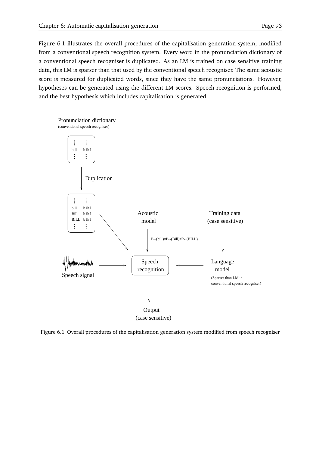Figure 6.1 illustrates the overall procedures of the capitalisation generation system, modified from a conventional speech recognition system. Every word in the pronunciation dictionary of a conventional speech recogniser is duplicated. As an LM is trained on case sensitive training data, this LM is sparser than that used by the conventional speech recogniser. The same acoustic score is measured for duplicated words, since they have the same pronunciations. However, hypotheses can be generated using the different LM scores. Speech recognition is performed, and the best hypothesis which includes capitalisation is generated.



Figure 6.1 Overall procedures of the capitalisation generation system modified from speech recogniser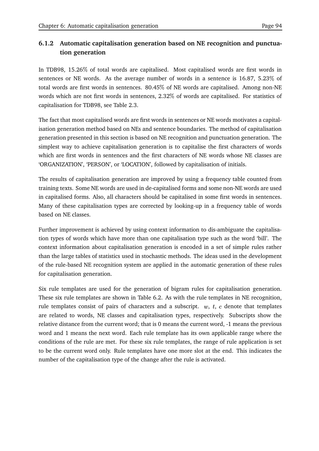# **6.1.2 Automatic capitalisation generation based on NE recognition and punctuation generation**

In TDB98, 15.26% of total words are capitalised. Most capitalised words are first words in sentences or NE words. As the average number of words in a sentence is 16.87, 5.23 of total words are first words in sentences. 80.45 of NE words are capitalised. Among non-NE words which are not first words in sentences, 2.32 of words are capitalised. For statistics of capitalisation for TDB98, see Table 2.3.

The fact that most capitalised words are first words in sentences or NE words motivates a capitalisation generation method based on NEs and sentence boundaries. The method of capitalisation generation presented in this section is based on NE recognition and punctuation generation. The simplest way to achieve capitalisation generation is to capitalise the first characters of words which are first words in sentences and the first characters of NE words whose NE classes are 'ORGANIZATION', 'PERSON', or 'LOCATION', followed by capitalisation of initials.

The results of capitalisation generation are improved by using a frequency table counted from training texts. Some NE words are used in de-capitalised forms and some non-NE words are used in capitalised forms. Also, all characters should be capitalised in some first words in sentences. Many of these capitalisation types are corrected by looking-up in a frequency table of words based on NE classes.

Further improvement is achieved by using context information to dis-ambiguate the capitalisation types of words which have more than one capitalisation type such as the word 'bill'. The context information about capitalisation generation is encoded in a set of simple rules rather than the large tables of statistics used in stochastic methods. The ideas used in the development of the rule-based NE recognition system are applied in the automatic generation of these rules for capitalisation generation.

Six rule templates are used for the generation of bigram rules for capitalisation generation. These six rule templates are shown in Table 6.2. As with the rule templates in NE recognition, rule templates consist of pairs of characters and a subscript.  $w, t, c$  denote that templates are related to words, NE classes and capitalisation types, respectively. Subscripts show the relative distance from the current word; that is 0 means the current word, -1 means the previous word and 1 means the next word. Each rule template has its own applicable range where the conditions of the rule are met. For these six rule templates, the range of rule application is set to be the current word only. Rule templates have one more slot at the end. This indicates the number of the capitalisation type of the change after the rule is activated.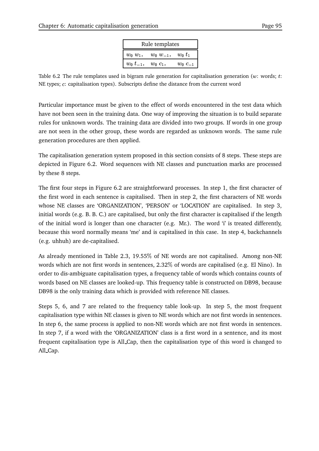|                                | Rule templates           |                |  |  |  |  |  |  |  |
|--------------------------------|--------------------------|----------------|--|--|--|--|--|--|--|
| $w_0$ $w_1$ ,                  | $w_0 w_{-1}$ , $w_0 t_1$ |                |  |  |  |  |  |  |  |
| $w_0$ $t_{-1}$ , $w_0$ $c_1$ , |                          | $w_0$ $c_{-1}$ |  |  |  |  |  |  |  |

Table 6.2 The rule templates used in bigram rule generation for capitalisation generation ( $w$ : words;  $t$ : NE types;  $c$ : capitalisation types). Subscripts define the distance from the current word

Particular importance must be given to the effect of words encountered in the test data which have not been seen in the training data. One way of improving the situation is to build separate rules for unknown words. The training data are divided into two groups. If words in one group are not seen in the other group, these words are regarded as unknown words. The same rule generation procedures are then applied.

The capitalisation generation system proposed in this section consists of 8 steps. These steps are depicted in Figure 6.2. Word sequences with NE classes and punctuation marks are processed by these 8 steps.

The first four steps in Figure 6.2 are straightforward processes. In step 1, the first character of the first word in each sentence is capitalised. Then in step 2, the first characters of NE words whose NE classes are 'ORGANIZATION', 'PERSON' or 'LOCATION' are capitalised. In step 3, initial words (e.g. B. B. C.) are capitalised, but only the first character is capitalised if the length of the initial word is longer than one character (e.g. Mr.). The word 'i' is treated differently, because this word normally means 'me' and is capitalised in this case. In step 4, backchannels (e.g. uhhuh) are de-capitalised.

As already mentioned in Table 2.3, 19.55 of NE words are not capitalised. Among non-NE words which are not first words in sentences, 2.32 of words are capitalised (e.g. El Nino). In order to dis-ambiguate capitalisation types, a frequency table of words which contains counts of words based on NE classes are looked-up. This frequency table is constructed on DB98, because DB98 is the only training data which is provided with reference NE classes.

Steps 5, 6, and 7 are related to the frequency table look-up. In step 5, the most frequent capitalisation type within NE classes is given to NE words which are not first words in sentences. In step 6, the same process is applied to non-NE words which are not first words in sentences. In step 7, if a word with the 'ORGANIZATION' class is a first word in a sentence, and its most frequent capitalisation type is All Cap, then the capitalisation type of this word is changed to All Cap.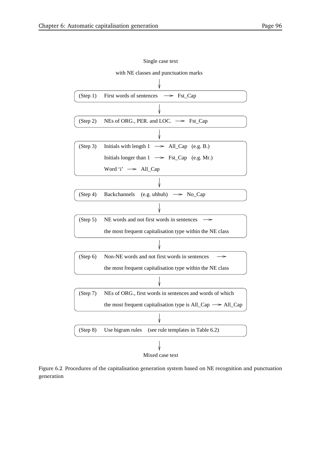

#### Single case text

Figure 6.2 Procedures of the capitalisation generation system based on NE recognition and punctuation generation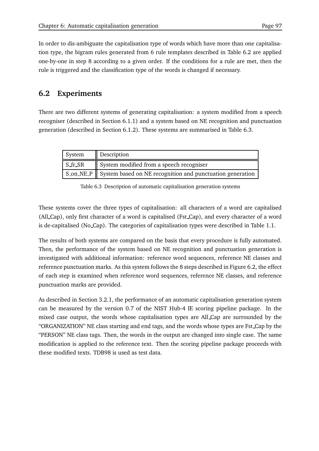In order to dis-ambiguate the capitalisation type of words which have more than one capitalisation type, the bigram rules generated from 6 rule templates described in Table 6.2 are applied one-by-one in step 8 according to a given order. If the conditions for a rule are met, then the rule is triggered and the classification type of the words is changed if necessary.

# **6.2 Experiments**

There are two different systems of generating capitalisation: a system modified from a speech recogniser (described in Section 6.1.1) and a system based on NE recognition and punctuation generation (described in Section 6.1.2). These systems are summarised in Table 6.3.

| System  | Description                                                                                 |
|---------|---------------------------------------------------------------------------------------------|
| S fr SR | System modified from a speech recogniser                                                    |
|         | $\parallel$ S_on_NE_P $\parallel$ System based on NE recognition and punctuation generation |

Table 6.3 Description of automatic capitalisation generation systems

These systems cover the three types of capitalisation: all characters of a word are capitalised (All Cap), only first character of a word is capitalised (Fst Cap), and every character of a word is de-capitalised (No Cap). The categories of capitalisation types were described in Table 1.1.

The results of both systems are compared on the basis that every procedure is fully automated. Then, the performance of the system based on NE recognition and punctuation generation is investigated with additional information: reference word sequences, reference NE classes and reference punctuation marks. As this system follows the 8 steps described in Figure 6.2, the effect of each step is examined when reference word sequences, reference NE classes, and reference punctuation marks are provided.

As described in Section 3.2.1, the performance of an automatic capitalisation generation system can be measured by the version 0.7 of the NIST Hub-4 IE scoring pipeline package. In the mixed case output, the words whose capitalisation types are All Cap are surrounded by the "ORGANIZATION" NE class starting and end tags, and the words whose types are Fst Cap by the "PERSON" NE class tags. Then, the words in the output are changed into single case. The same modification is applied to the reference text. Then the scoring pipeline package proceeds with these modified texts. TDB98 is used as test data.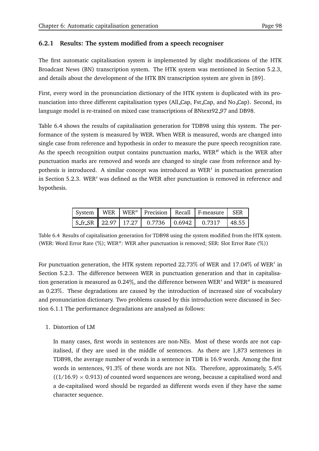#### **6.2.1 Results: The system modified from a speech recogniser**

The first automatic capitalisation system is implemented by slight modifications of the HTK Broadcast News (BN) transcription system. The HTK system was mentioned in Section 5.2.3, and details about the development of the HTK BN transcription system are given in [89].

First, every word in the pronunciation dictionary of the HTK system is duplicated with its pronunciation into three different capitalisation types (All Cap, Fst Cap, and No Cap). Second, its language model is re-trained on mixed case transcriptions of BNtext92 97 and DB98.

Table 6.4 shows the results of capitalisation generation for TDB98 using this system. The performance of the system is measured by WER. When WER is measured, words are changed into single case from reference and hypothesis in order to measure the pure speech recognition rate. As the speech recognition output contains punctuation marks, WER" which is the WER after punctuation marks are removed and words are changed to single case from reference and hypothesis is introduced. A similar concept was introduced as WER' in punctuation generation in Section 5.2.3. WER' was defined as the WER after punctuation is removed in reference and hypothesis.

|  |  | System    WER   WER"   Precision   Recall   F-measure   SER    |  |
|--|--|----------------------------------------------------------------|--|
|  |  | $\vert$ S_fr_SR $\vert$ 22.97 17.27 0.7736 0.6942 0.7317 48.55 |  |

Table 6.4 Results of capitalisation generation for TDB98 using the system modified from the HTK system. (WER: Word Error Rate (%); WER": WER after punctuation is removed; SER: Slot Error Rate (%))

For punctuation generation, the HTK system reported 22.73 of WER and 17.04 of WER in Section 5.2.3. The difference between WER in punctuation generation and that in capitalisation generation is measured as 0.24%, and the difference between WER $^\prime$  and WER $^{\prime\prime}$  is measured as 0.23 . These degradations are caused by the introduction of increased size of vocabulary and pronunciation dictionary. Two problems caused by this introduction were discussed in Section 6.1.1 The performance degradations are analysed as follows:

#### 1. Distortion of LM

In many cases, first words in sentences are non-NEs. Most of these words are not capitalised, if they are used in the middle of sentences. As there are 1,873 sentences in TDB98, the average number of words in a sentence in TDB is 16.9 words. Among the first words in sentences, 91.3 $\%$  of these words are not NEs. Therefore, approximately, 5.4 $\%$  $((1/16.9) \times 0.913)$  of counted word sequences are wrong, because a capitalised word and a de-capitalised word should be regarded as different words even if they have the same character sequence.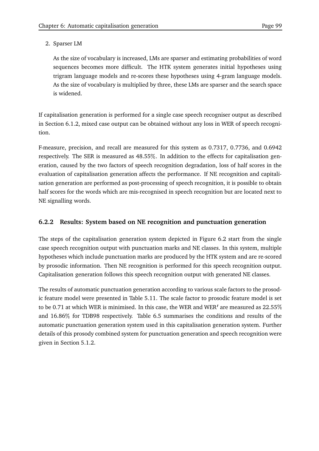#### 2. Sparser LM

As the size of vocabulary is increased, LMs are sparser and estimating probabilities of word sequences becomes more difficult. The HTK system generates initial hypotheses using trigram language models and re-scores these hypotheses using 4-gram language models. As the size of vocabulary is multiplied by three, these LMs are sparser and the search space is widened.

If capitalisation generation is performed for a single case speech recogniser output as described in Section 6.1.2, mixed case output can be obtained without any loss in WER of speech recognition.

F-measure, precision, and recall are measured for this system as 0.7317, 0.7736, and 0.6942 respectively. The SER is measured as 48.55 . In addition to the effects for capitalisation generation, caused by the two factors of speech recognition degradation, loss of half scores in the evaluation of capitalisation generation affects the performance. If NE recognition and capitalisation generation are performed as post-processing of speech recognition, it is possible to obtain half scores for the words which are mis-recognised in speech recognition but are located next to NE signalling words.

# **6.2.2 Results: System based on NE recognition and punctuation generation**

The steps of the capitalisation generation system depicted in Figure 6.2 start from the single case speech recognition output with punctuation marks and NE classes. In this system, multiple hypotheses which include punctuation marks are produced by the HTK system and are re-scored by prosodic information. Then NE recognition is performed for this speech recognition output. Capitalisation generation follows this speech recognition output with generated NE classes.

The results of automatic punctuation generation according to various scale factors to the prosodic feature model were presented in Table 5.11. The scale factor to prosodic feature model is set to be 0.71 at which WER is minimised. In this case, the WER and WER' are measured as 22.55% and 16.86 for TDB98 respectively. Table 6.5 summarises the conditions and results of the automatic punctuation generation system used in this capitalisation generation system. Further details of this prosody combined system for punctuation generation and speech recognition were given in Section 5.1.2.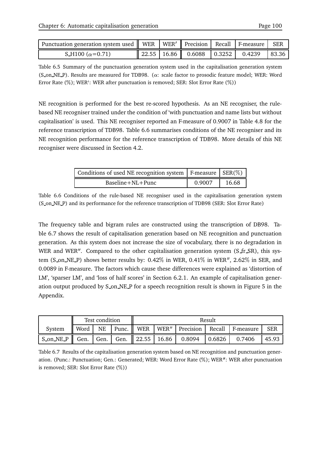| Punctuation generation system used    WER   WER'    Precision   Recall   F-measure   SER |  |                                            |  |       |
|------------------------------------------------------------------------------------------|--|--------------------------------------------|--|-------|
| S_H100 $(\alpha = 0.71)$                                                                 |  | 22.55   16.86    0.6088   0.3252    0.4239 |  | 83.36 |

Table 6.5 Summary of the punctuation generation system used in the capitalisation generation system (S\_on\_NE\_P). Results are measured for TDB98. ( $\alpha$ : scale factor to prosodic feature model; WER: Word Error Rate (%); WER': WER after punctuation is removed; SER: Slot Error Rate (%))

NE recognition is performed for the best re-scored hypothesis. As an NE recogniser, the rulebased NE recogniser trained under the condition of 'with punctuation and name lists but without capitalisation' is used. This NE recogniser reported an F-measure of 0.9007 in Table 4.8 for the reference transcription of TDB98. Table 6.6 summarises conditions of the NE recogniser and its NE recognition performance for the reference transcription of TDB98. More details of this NE recogniser were discussed in Section 4.2.

| Conditions of used NE recognition system $\mid$ F-measure $\mid$ SER(%) |        |       |
|-------------------------------------------------------------------------|--------|-------|
| $Baseline + NL + Punc$                                                  | 0.9007 | 16.68 |

Table 6.6 Conditions of the rule-based NE recogniser used in the capitalisation generation system (S on NE P) and its performance for the reference transcription of TDB98 (SER: Slot Error Rate)

The frequency table and bigram rules are constructed using the transcription of DB98. Table 6.7 shows the result of capitalisation generation based on NE recognition and punctuation generation. As this system does not increase the size of vocabulary, there is no degradation in WER and WER". Compared to the other capitalisation generation system  $(S$  fr  $SR)$ , this system (S\_on\_NE\_P) shows better results by: 0.42% in WER, 0.41% in WER", 2.62% in SER, and 0.0089 in F-measure. The factors which cause these differences were explained as 'distortion of LM', 'sparser LM', and 'loss of half scores' in Section 6.2.1. An example of capitalisation generation output produced by S on NE P for a speech recognition result is shown in Figure 5 in the Appendix.

|                                       |               | Test condition |  | Result |                                               |  |                                                      |            |  |
|---------------------------------------|---------------|----------------|--|--------|-----------------------------------------------|--|------------------------------------------------------|------------|--|
| System                                | NE<br>   Word |                |  |        |                                               |  | Punc.    WER   WER"   Precision   Recall   F-measure | <b>SER</b> |  |
| $S_{\text{on}}$ NE P $\parallel$ Gen. |               |                |  |        | Gen.   Gen.   22.55   16.86   0.8094   0.6826 |  | 0.7406                                               | 45.93      |  |

Table 6.7 Results of the capitalisation generation system based on NE recognition and punctuation generation. (Punc.: Punctuation; Gen.: Generated; WER: Word Error Rate (%); WER'': WER after punctuation is removed; SER: Slot Error Rate (%))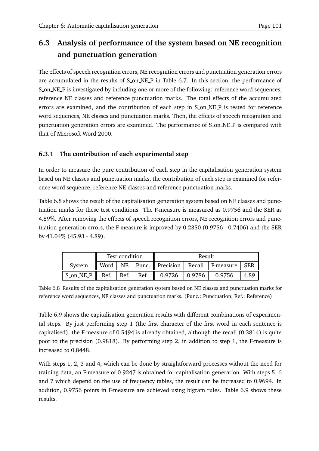# **6.3 Analysis of performance of the system based on NE recognition and punctuation generation**

The effects of speech recognition errors, NE recognition errors and punctuation generation errors are accumulated in the results of S\_on\_NE\_P in Table 6.7. In this section, the performance of S on NE P is investigated by including one or more of the following: reference word sequences, reference NE classes and reference punctuation marks. The total effects of the accumulated errors are examined, and the contribution of each step in S on NE P is tested for reference word sequences, NE classes and punctuation marks. Then, the effects of speech recognition and punctuation generation errors are examined. The performance of S on NE P is compared with that of Microsoft Word 2000.

#### **6.3.1 The contribution of each experimental step**

In order to measure the pure contribution of each step in the capitalisation generation system based on NE classes and punctuation marks, the contribution of each step is examined for reference word sequence, reference NE classes and reference punctuation marks.

Table 6.8 shows the result of the capitalisation generation system based on NE classes and punctuation marks for these test conditions. The F-measure is measured as 0.9756 and the SER as 4.89 . After removing the effects of speech recognition errors, NE recognition errors and punctuation generation errors, the F-measure is improved by 0.2350 (0.9756 - 0.7406) and the SER by 41.04 (45.93 - 4.89).

|           |      | Test condition       |      | Result |                                                           |  |  |  |  |
|-----------|------|----------------------|------|--------|-----------------------------------------------------------|--|--|--|--|
| System    |      |                      |      |        | Word   NE   Punc.    Precision   Recall   F-measure   SER |  |  |  |  |
| S_on_NE_P | Ref. | $\vert$ Ref. $\vert$ | Ref. |        | $0.9726$ 0.9786 0.9756                                    |  |  |  |  |

Table 6.8 Results of the capitalisation generation system based on NE classes and punctuation marks for reference word sequences, NE classes and punctuation marks. (Punc.: Punctuation; Ref.: Reference)

Table 6.9 shows the capitalisation generation results with different combinations of experimental steps. By just performing step 1 (the first character of the first word in each sentence is capitalised), the F-measure of 0.5494 is already obtained, although the recall (0.3814) is quite poor to the precision (0.9818). By performing step 2, in addition to step 1, the F-measure is increased to 0.8448.

With steps 1, 2, 3 and 4, which can be done by straightforward processes without the need for training data, an F-measure of 0.9247 is obtained for capitalisation generation. With steps 5, 6 and 7 which depend on the use of frequency tables, the result can be increased to 0.9694. In addition, 0.9756 points in F-measure are achieved using bigram rules. Table 6.9 shows these results.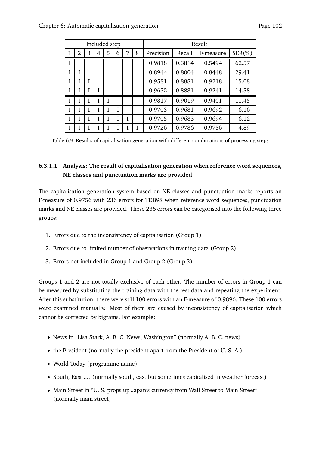|   |                |   | Included step |   |   |   |   |           |        | Result    |           |
|---|----------------|---|---------------|---|---|---|---|-----------|--------|-----------|-----------|
| 1 | $\overline{2}$ | 3 | 4             | 5 | 6 | 7 | 8 | Precision | Recall | F-measure | $SER(\%)$ |
| I |                |   |               |   |   |   |   | 0.9818    | 0.3814 | 0.5494    | 62.57     |
| I |                |   |               |   |   |   |   | 0.8944    | 0.8004 | 0.8448    | 29.41     |
| I |                |   |               |   |   |   |   | 0.9581    | 0.8881 | 0.9218    | 15.08     |
| T |                |   |               |   |   |   |   | 0.9632    | 0.8881 | 0.9241    | 14.58     |
| I |                | I |               |   |   |   |   | 0.9817    | 0.9019 | 0.9401    | 11.45     |
| I |                |   |               |   | I |   |   | 0.9703    | 0.9681 | 0.9692    | 6.16      |
| I |                | I |               |   |   | I |   | 0.9705    | 0.9683 | 0.9694    | 6.12      |
| I |                |   |               |   |   |   |   | 0.9726    | 0.9786 | 0.9756    | 4.89      |

Table 6.9 Results of capitalisation generation with different combinations of processing steps

#### **6.3.1.1 Analysis: The result of capitalisation generation when reference word sequences, NE classes and punctuation marks are provided**

The capitalisation generation system based on NE classes and punctuation marks reports an F-measure of 0.9756 with 236 errors for TDB98 when reference word sequences, punctuation marks and NE classes are provided. These 236 errors can be categorised into the following three groups:

- 1. Errors due to the inconsistency of capitalisation (Group 1)
- 2. Errors due to limited number of observations in training data (Group 2)
- 3. Errors not included in Group 1 and Group 2 (Group 3)

Groups 1 and 2 are not totally exclusive of each other. The number of errors in Group 1 can be measured by substituting the training data with the test data and repeating the experiment. After this substitution, there were still 100 errors with an F-measure of 0.9896. These 100 errors were examined manually. Most of them are caused by inconsistency of capitalisation which cannot be corrected by bigrams. For example:

- News in "Lisa Stark, A. B. C. News, Washington" (normally A. B. C. news)
- the President (normally the president apart from the President of U. S. A.)
- World Today (programme name)
- South, East .... (normally south, east but sometimes capitalised in weather forecast)
- Main Street in "U. S. props up Japan's currency from Wall Street to Main Street" (normally main street)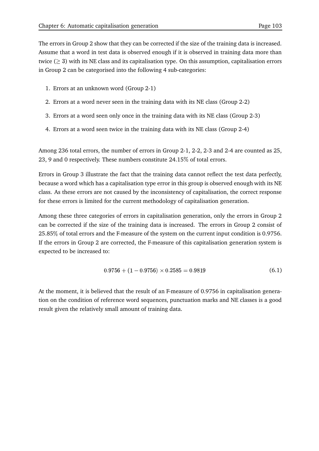The errors in Group 2 show that they can be corrected if the size of the training data is increased. Assume that a word in test data is observed enough if it is observed in training data more than twice ( $\geq$  3) with its NE class and its capitalisation type. On this assumption, capitalisation errors in Group 2 can be categorised into the following 4 sub-categories:

- 1. Errors at an unknown word (Group 2-1)
- 2. Errors at a word never seen in the training data with its NE class (Group 2-2)
- 3. Errors at a word seen only once in the training data with its NE class (Group 2-3)
- 4. Errors at a word seen twice in the training data with its NE class (Group 2-4)

Among 236 total errors, the number of errors in Group 2-1, 2-2, 2-3 and 2-4 are counted as 25, 23, 9 and 0 respectively. These numbers constitute 24.15 of total errors.

Errors in Group 3 illustrate the fact that the training data cannot reflect the test data perfectly, because a word which has a capitalisation type error in this group is observed enough with its NE class. As these errors are not caused by the inconsistency of capitalisation, the correct response for these errors is limited for the current methodology of capitalisation generation.

Among these three categories of errors in capitalisation generation, only the errors in Group 2 can be corrected if the size of the training data is increased. The errors in Group 2 consist of 25.85 of total errors and the F-measure of the system on the current input condition is 0.9756. If the errors in Group 2 are corrected, the F-measure of this capitalisation generation system is expected to be increased to:

$$
0.9756 + (1 - 0.9756) \times 0.2585 = 0.9819 \tag{6.1}
$$

At the moment, it is believed that the result of an F-measure of 0.9756 in capitalisation generation on the condition of reference word sequences, punctuation marks and NE classes is a good result given the relatively small amount of training data.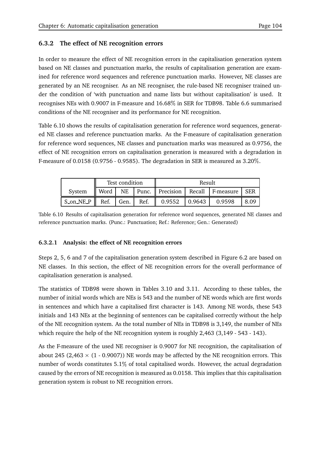#### **6.3.2 The effect of NE recognition errors**

In order to measure the effect of NE recognition errors in the capitalisation generation system based on NE classes and punctuation marks, the results of capitalisation generation are examined for reference word sequences and reference punctuation marks. However, NE classes are generated by an NE recogniser. As an NE recogniser, the rule-based NE recogniser trained under the condition of 'with punctuation and name lists but without capitalisation' is used. It recognises NEs with 0.9007 in F-measure and 16.68 in SER for TDB98. Table 6.6 summarised conditions of the NE recogniser and its performance for NE recognition.

Table 6.10 shows the results of capitalisation generation for reference word sequences, generated NE classes and reference punctuation marks. As the F-measure of capitalisation generation for reference word sequences, NE classes and punctuation marks was measured as 0.9756, the effect of NE recognition errors on capitalisation generation is measured with a degradation in F-measure of 0.0158 (0.9756 - 0.9585). The degradation in SER is measured as 3.20 .

|        |                                                             | Test condition | Result |  |                                                           |      |  |  |
|--------|-------------------------------------------------------------|----------------|--------|--|-----------------------------------------------------------|------|--|--|
| System |                                                             |                |        |  | Word   NE   Punc.    Precision   Recall   F-measure   SER |      |  |  |
|        | S_on_NE_P    Ref.   Gen.   Ref.    0.9552   0.9643   0.9598 |                |        |  |                                                           | 8.09 |  |  |

Table 6.10 Results of capitalisation generation for reference word sequences, generated NE classes and reference punctuation marks. (Punc.: Punctuation; Ref.: Reference; Gen.: Generated)

#### **6.3.2.1 Analysis: the effect of NE recognition errors**

Steps 2, 5, 6 and 7 of the capitalisation generation system described in Figure 6.2 are based on NE classes. In this section, the effect of NE recognition errors for the overall performance of capitalisation generation is analysed.

The statistics of TDB98 were shown in Tables 3.10 and 3.11. According to these tables, the number of initial words which are NEs is 543 and the number of NE words which are first words in sentences and which have a capitalised first character is 143. Among NE words, these 543 initials and 143 NEs at the beginning of sentences can be capitalised correctly without the help of the NE recognition system. As the total number of NEs in TDB98 is 3,149, the number of NEs which require the help of the NE recognition system is roughly 2,463 (3,149 - 543 - 143).

As the F-measure of the used NE recogniser is 0.9007 for NE recognition, the capitalisation of about 245 (2,463  $\times$  (1 - 0.9007)) NE words may be affected by the NE recognition errors. This number of words constitutes 5.1% of total capitalised words. However, the actual degradation caused by the errors of NE recognition is measured as 0.0158. This implies that this capitalisation generation system is robust to NE recognition errors.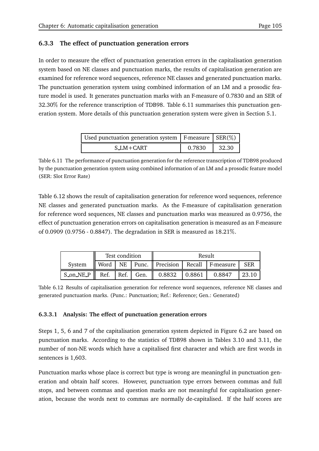#### **6.3.3 The effect of punctuation generation errors**

In order to measure the effect of punctuation generation errors in the capitalisation generation system based on NE classes and punctuation marks, the results of capitalisation generation are examined for reference word sequences, reference NE classes and generated punctuation marks. The punctuation generation system using combined information of an LM and a prosodic feature model is used. It generates punctuation marks with an F-measure of 0.7830 and an SER of 32.30 for the reference transcription of TDB98. Table 6.11 summarises this punctuation generation system. More details of this punctuation generation system were given in Section 5.1.

| Used punctuation generation system   F-measure $ $ SER(%) |        |       |
|-----------------------------------------------------------|--------|-------|
| S LM+CART                                                 | 0.7830 | 32.30 |

Table 6.11 The performance of punctuation generation for the reference transcription of TDB98 produced by the punctuation generation system using combined information of an LM and a prosodic feature model (SER: Slot Error Rate)

Table 6.12 shows the result of capitalisation generation for reference word sequences, reference NE classes and generated punctuation marks. As the F-measure of capitalisation generation for reference word sequences, NE classes and punctuation marks was measured as 0.9756, the effect of punctuation generation errors on capitalisation generation is measured as an F-measure of 0.0909 (0.9756 - 0.8847). The degradation in SER is measured as 18.21 .

|                                                                                       | Test condition |  |  | Result |  |                                                           |                       |
|---------------------------------------------------------------------------------------|----------------|--|--|--------|--|-----------------------------------------------------------|-----------------------|
| Svstem                                                                                |                |  |  |        |  | Word   NE   Punc.    Precision   Recall   F-measure   SER |                       |
| $\vert$ S_on_NE_P $\vert$ Ref. Ref. Gen. $\vert$ 0.8832 $\vert$ 0.8861 $\vert$ 0.8847 |                |  |  |        |  |                                                           | $\vert$ 23.10 $\vert$ |

Table 6.12 Results of capitalisation generation for reference word sequences, reference NE classes and generated punctuation marks. (Punc.: Punctuation; Ref.: Reference; Gen.: Generated)

#### **6.3.3.1 Analysis: The effect of punctuation generation errors**

Steps 1, 5, 6 and 7 of the capitalisation generation system depicted in Figure 6.2 are based on punctuation marks. According to the statistics of TDB98 shown in Tables 3.10 and 3.11, the number of non-NE words which have a capitalised first character and which are first words in sentences is 1,603.

Punctuation marks whose place is correct but type is wrong are meaningful in punctuation generation and obtain half scores. However, punctuation type errors between commas and full stops, and between commas and question marks are not meaningful for capitalisation generation, because the words next to commas are normally de-capitalised. If the half scores are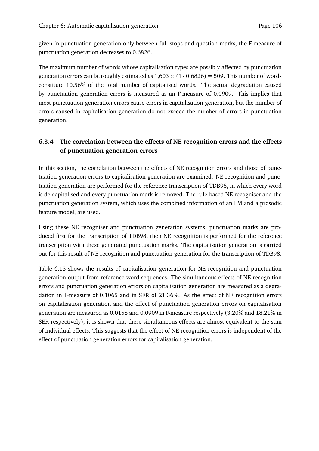given in punctuation generation only between full stops and question marks, the F-measure of punctuation generation decreases to 0.6826.

The maximum number of words whose capitalisation types are possibly affected by punctuation generation errors can be roughly estimated as  $1{,}603 \times (1$  -  $0.6826)$  = 509. This number of words constitute 10.56% of the total number of capitalised words. The actual degradation caused by punctuation generation errors is measured as an F-measure of 0.0909. This implies that most punctuation generation errors cause errors in capitalisation generation, but the number of errors caused in capitalisation generation do not exceed the number of errors in punctuation generation.

# **6.3.4 The correlation between the effects of NE recognition errors and the effects of punctuation generation errors**

In this section, the correlation between the effects of NE recognition errors and those of punctuation generation errors to capitalisation generation are examined. NE recognition and punctuation generation are performed for the reference transcription of TDB98, in which every word is de-capitalised and every punctuation mark is removed. The rule-based NE recogniser and the punctuation generation system, which uses the combined information of an LM and a prosodic feature model, are used.

Using these NE recogniser and punctuation generation systems, punctuation marks are produced first for the transcription of TDB98, then NE recognition is performed for the reference transcription with these generated punctuation marks. The capitalisation generation is carried out for this result of NE recognition and punctuation generation for the transcription of TDB98.

Table 6.13 shows the results of capitalisation generation for NE recognition and punctuation generation output from reference word sequences. The simultaneous effects of NE recognition errors and punctuation generation errors on capitalisation generation are measured as a degradation in F-measure of 0.1065 and in SER of 21.36 . As the effect of NE recognition errors on capitalisation generation and the effect of punctuation generation errors on capitalisation generation are measured as 0.0158 and 0.0909 in F-measure respectively (3.20% and 18.21% in SER respectively), it is shown that these simultaneous effects are almost equivalent to the sum of individual effects. This suggests that the effect of NE recognition errors is independent of the effect of punctuation generation errors for capitalisation generation.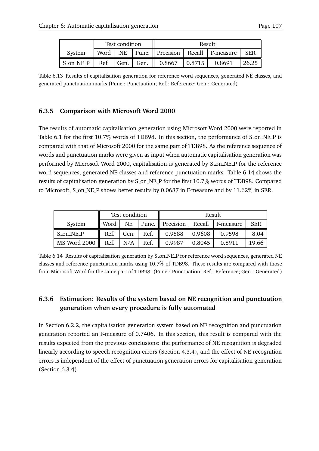|           | Test condition |  |                | Result                             |  |                                                           |       |
|-----------|----------------|--|----------------|------------------------------------|--|-----------------------------------------------------------|-------|
| System    |                |  |                |                                    |  | Word   NE   Punc.    Precision   Recall   F-measure   SER |       |
| S_on_NE_P |                |  | Ref. Gen. Gen. | $0.8667$ $\mid 0.8715 \mid 0.8691$ |  |                                                           | 26.25 |

Table 6.13 Results of capitalisation generation for reference word sequences, generated NE classes, and generated punctuation marks (Punc.: Punctuation; Ref.: Reference; Gen.: Generated)

#### **6.3.5 Comparison with Microsoft Word 2000**

The results of automatic capitalisation generation using Microsoft Word 2000 were reported in Table 6.1 for the first 10.7% words of TDB98. In this section, the performance of S\_on\_NE\_P is compared with that of Microsoft 2000 for the same part of TDB98. As the reference sequence of words and punctuation marks were given as input when automatic capitalisation generation was performed by Microsoft Word 2000, capitalisation is generated by S on NE P for the reference word sequences, generated NE classes and reference punctuation marks. Table 6.14 shows the results of capitalisation generation by S\_on\_NE\_P for the first 10.7% words of TDB98. Compared to Microsoft, S\_on\_NE\_P shows better results by 0.0687 in F-measure and by 11.62% in SER.

|              | Test condition |      |      | Result            |        |                  |            |
|--------------|----------------|------|------|-------------------|--------|------------------|------------|
| System       | Word           | NE   |      | Punc.   Precision |        | Recall F-measure | <b>SER</b> |
| S_on_NE_P    | Ref.           | Gen. | Ref. | 0.9588            | 0.9608 | 0.9598           | 8.04       |
| MS Word 2000 | Ref.<br>Ш      | N/A  | Ref. | 0.9987            | 0.8045 | 0.8911           | 19.66      |

Table 6.14 Results of capitalisation generation by S\_on\_NE\_P for reference word sequences, generated NE classes and reference punctuation marks using 10.7 of TDB98. These results are compared with those from Microsoft Word for the same part of TDB98. (Punc.: Punctuation; Ref.: Reference; Gen.: Generated)

# **6.3.6 Estimation: Results of the system based on NE recognition and punctuation generation when every procedure is fully automated**

In Section 6.2.2, the capitalisation generation system based on NE recognition and punctuation generation reported an F-measure of 0.7406. In this section, this result is compared with the results expected from the previous conclusions: the performance of NE recognition is degraded linearly according to speech recognition errors (Section 4.3.4), and the effect of NE recognition errors is independent of the effect of punctuation generation errors for capitalisation generation (Section 6.3.4).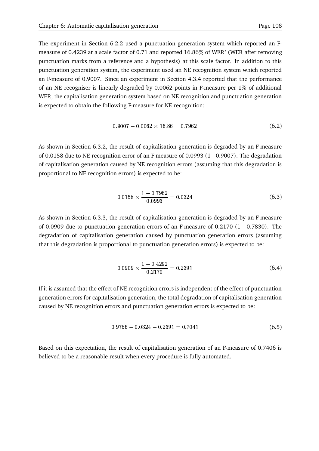The experiment in Section 6.2.2 used a punctuation generation system which reported an Fmeasure of 0.4239 at a scale factor of 0.71 and reported 16.86% of WER' (WER after removing punctuation marks from a reference and a hypothesis) at this scale factor. In addition to this punctuation generation system, the experiment used an NE recognition system which reported an F-measure of 0.9007. Since an experiment in Section 4.3.4 reported that the performance of an NE recogniser is linearly degraded by 0.0062 points in F-measure per 1% of additional WER, the capitalisation generation system based on NE recognition and punctuation generation is expected to obtain the following F-measure for NE recognition:

$$
0.9007 - 0.0062 \times 16.86 = 0.7962 \tag{6.2}
$$

As shown in Section 6.3.2, the result of capitalisation generation is degraded by an F-measure of 0.0158 due to NE recognition error of an F-measure of 0.0993 (1 - 0.9007). The degradation of capitalisation generation caused by NE recognition errors (assuming that this degradation is proportional to NE recognition errors) is expected to be:

$$
0.0158 \times \frac{1 - 0.7962}{0.0993} = 0.0324
$$
\n(6.3)

As shown in Section 6.3.3, the result of capitalisation generation is degraded by an F-measure of 0.0909 due to punctuation generation errors of an F-measure of 0.2170 (1 - 0.7830). The degradation of capitalisation generation caused by punctuation generation errors (assuming that this degradation is proportional to punctuation generation errors) is expected to be:

$$
0.0909 \times \frac{1 - 0.4292}{0.2170} = 0.2391
$$
\n(6.4)

If it is assumed that the effect of NE recognition errors is independent of the effect of punctuation generation errors for capitalisation generation, the total degradation of capitalisation generation caused by NE recognition errors and punctuation generation errors is expected to be:

$$
0.9756 - 0.0324 - 0.2391 = 0.7041 \tag{6.5}
$$

Based on this expectation, the result of capitalisation generation of an F-measure of 0.7406 is believed to be a reasonable result when every procedure is fully automated.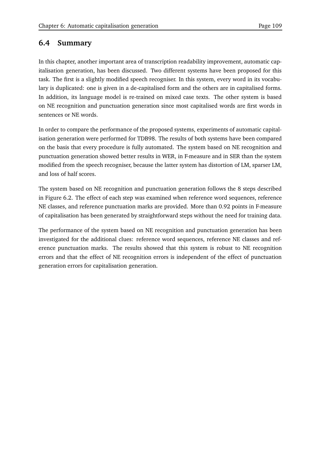# **6.4 Summary**

In this chapter, another important area of transcription readability improvement, automatic capitalisation generation, has been discussed. Two different systems have been proposed for this task. The first is a slightly modified speech recogniser. In this system, every word in its vocabulary is duplicated: one is given in a de-capitalised form and the others are in capitalised forms. In addition, its language model is re-trained on mixed case texts. The other system is based on NE recognition and punctuation generation since most capitalised words are first words in sentences or NE words.

In order to compare the performance of the proposed systems, experiments of automatic capitalisation generation were performed for TDB98. The results of both systems have been compared on the basis that every procedure is fully automated. The system based on NE recognition and punctuation generation showed better results in WER, in F-measure and in SER than the system modified from the speech recogniser, because the latter system has distortion of LM, sparser LM, and loss of half scores.

The system based on NE recognition and punctuation generation follows the 8 steps described in Figure 6.2. The effect of each step was examined when reference word sequences, reference NE classes, and reference punctuation marks are provided. More than 0.92 points in F-measure of capitalisation has been generated by straightforward steps without the need for training data.

The performance of the system based on NE recognition and punctuation generation has been investigated for the additional clues: reference word sequences, reference NE classes and reference punctuation marks. The results showed that this system is robust to NE recognition errors and that the effect of NE recognition errors is independent of the effect of punctuation generation errors for capitalisation generation.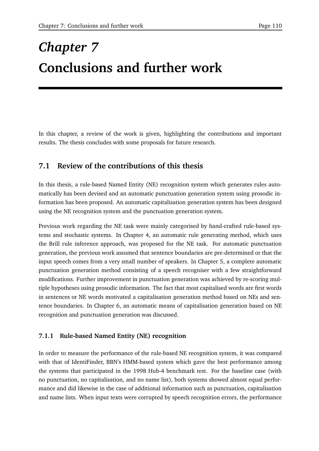# *Chapter 7* **Conclusions and further work**

In this chapter, a review of the work is given, highlighting the contributions and important results. The thesis concludes with some proposals for future research.

# **7.1 Review of the contributions of this thesis**

In this thesis, a rule-based Named Entity (NE) recognition system which generates rules automatically has been devised and an automatic punctuation generation system using prosodic information has been proposed. An automatic capitalisation generation system has been designed using the NE recognition system and the punctuation generation system.

Previous work regarding the NE task were mainly categorised by hand-crafted rule-based systems and stochastic systems. In Chapter 4, an automatic rule generating method, which uses the Brill rule inference approach, was proposed for the NE task. For automatic punctuation generation, the previous work assumed that sentence boundaries are pre-determined or that the input speech comes from a very small number of speakers. In Chapter 5, a complete automatic punctuation generation method consisting of a speech recogniser with a few straightforward modifications. Further improvement in punctuation generation was achieved by re-scoring multiple hypotheses using prosodic information. The fact that most capitalised words are first words in sentences or NE words motivated a capitalisation generation method based on NEs and sentence boundaries. In Chapter 6, an automatic means of capitalisation generation based on NE recognition and punctuation generation was discussed.

### **7.1.1 Rule-based Named Entity (NE) recognition**

In order to measure the performance of the rule-based NE recognition system, it was compared with that of IdentiFinder, BBN's HMM-based system which gave the best performance among the systems that participated in the 1998 Hub-4 benchmark test. For the baseline case (with no punctuation, no capitalisation, and no name list), both systems showed almost equal performance and did likewise in the case of additional information such as punctuation, capitalisation and name lists. When input texts were corrupted by speech recognition errors, the performance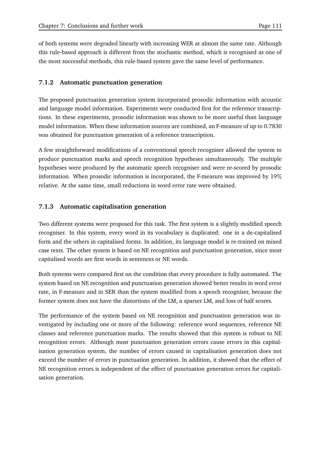of both systems were degraded linearly with increasing WER at almost the same rate. Although this rule-based approach is different from the stochastic method, which is recognised as one of the most successful methods, this rule-based system gave the same level of performance.

#### **7.1.2 Automatic punctuation generation**

The proposed punctuation generation system incorporated prosodic information with acoustic and language model information. Experiments were conducted first for the reference transcriptions. In these experiments, prosodic information was shown to be more useful than language model information. When these information sources are combined, an F-measure of up to 0.7830 was obtained for punctuation generation of a reference transcription.

A few straightforward modifications of a conventional speech recogniser allowed the system to produce punctuation marks and speech recognition hypotheses simultaneously. The multiple hypotheses were produced by the automatic speech recogniser and were re-scored by prosodic information. When prosodic information is incorporated, the F-measure was improved by 19 relative. At the same time, small reductions in word error rate were obtained.

#### **7.1.3 Automatic capitalisation generation**

Two different systems were proposed for this task. The first system is a slightly modified speech recogniser. In this system, every word in its vocabulary is duplicated: one in a de-capitalised form and the others in capitalised forms. In addition, its language model is re-trained on mixed case texts. The other system is based on NE recognition and punctuation generation, since most capitalised words are first words in sentences or NE words.

Both systems were compared first on the condition that every procedure is fully automated. The system based on NE recognition and punctuation generation showed better results in word error rate, in F-measure and in SER than the system modified from a speech recogniser, because the former system does not have the distortions of the LM, a sparser LM, and loss of half scores.

The performance of the system based on NE recognition and punctuation generation was investigated by including one or more of the following: reference word sequences, reference NE classes and reference punctuation marks. The results showed that this system is robust to NE recognition errors. Although most punctuation generation errors cause errors in this capitalisation generation system, the number of errors caused in capitalisation generation does not exceed the number of errors in punctuation generation. In addition, it showed that the effect of NE recognition errors is independent of the effect of punctuation generation errors for capitalisation generation.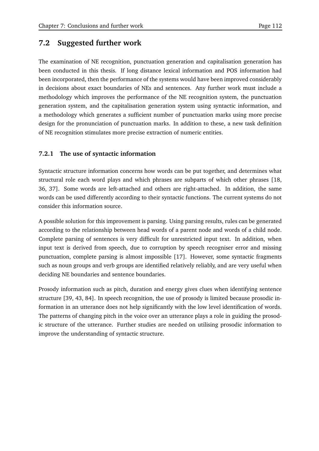# **7.2 Suggested further work**

The examination of NE recognition, punctuation generation and capitalisation generation has been conducted in this thesis. If long distance lexical information and POS information had been incorporated, then the performance of the systems would have been improved considerably in decisions about exact boundaries of NEs and sentences. Any further work must include a methodology which improves the performance of the NE recognition system, the punctuation generation system, and the capitalisation generation system using syntactic information, and a methodology which generates a sufficient number of punctuation marks using more precise design for the pronunciation of punctuation marks. In addition to these, a new task definition of NE recognition stimulates more precise extraction of numeric entities.

#### **7.2.1 The use of syntactic information**

Syntactic structure information concerns how words can be put together, and determines what structural role each word plays and which phrases are subparts of which other phrases [18, 36, 37]. Some words are left-attached and others are right-attached. In addition, the same words can be used differently according to their syntactic functions. The current systems do not consider this information source.

A possible solution for this improvement is parsing. Using parsing results, rules can be generated according to the relationship between head words of a parent node and words of a child node. Complete parsing of sentences is very difficult for unrestricted input text. In addition, when input text is derived from speech, due to corruption by speech recogniser error and missing punctuation, complete parsing is almost impossible [17]. However, some syntactic fragments such as noun groups and verb groups are identified relatively reliably, and are very useful when deciding NE boundaries and sentence boundaries.

Prosody information such as pitch, duration and energy gives clues when identifying sentence structure [39, 43, 84]. In speech recognition, the use of prosody is limited because prosodic information in an utterance does not help significantly with the low level identification of words. The patterns of changing pitch in the voice over an utterance plays a role in guiding the prosodic structure of the utterance. Further studies are needed on utilising prosodic information to improve the understanding of syntactic structure.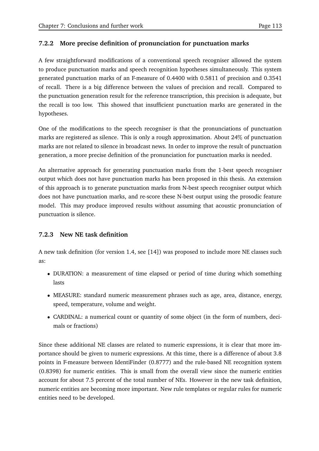## **7.2.2 More precise definition of pronunciation for punctuation marks**

A few straightforward modifications of a conventional speech recogniser allowed the system to produce punctuation marks and speech recognition hypotheses simultaneously. This system generated punctuation marks of an F-measure of 0.4400 with 0.5811 of precision and 0.3541 of recall. There is a big difference between the values of precision and recall. Compared to the punctuation generation result for the reference transcription, this precision is adequate, but the recall is too low. This showed that insufficient punctuation marks are generated in the hypotheses.

One of the modifications to the speech recogniser is that the pronunciations of punctuation marks are registered as silence. This is only a rough approximation. About 24 of punctuation marks are not related to silence in broadcast news. In order to improve the result of punctuation generation, a more precise definition of the pronunciation for punctuation marks is needed.

An alternative approach for generating punctuation marks from the 1-best speech recogniser output which does not have punctuation marks has been proposed in this thesis. An extension of this approach is to generate punctuation marks from N-best speech recogniser output which does not have punctuation marks, and re-score these N-best output using the prosodic feature model. This may produce improved results without assuming that acoustic pronunciation of punctuation is silence.

### **7.2.3 New NE task definition**

A new task definition (for version 1.4, see [14]) was proposed to include more NE classes such as:

- DURATION: a measurement of time elapsed or period of time during which something lasts
- MEASURE: standard numeric measurement phrases such as age, area, distance, energy, speed, temperature, volume and weight.
- CARDINAL: a numerical count or quantity of some object (in the form of numbers, decimals or fractions)

Since these additional NE classes are related to numeric expressions, it is clear that more importance should be given to numeric expressions. At this time, there is a difference of about 3.8 points in F-measure between IdentiFinder (0.8777) and the rule-based NE recognition system (0.8398) for numeric entities. This is small from the overall view since the numeric entities account for about 7.5 percent of the total number of NEs. However in the new task definition, numeric entities are becoming more important. New rule templates or regular rules for numeric entities need to be developed.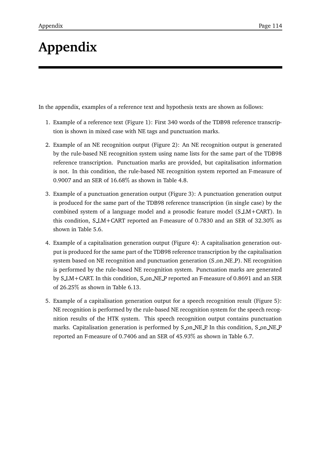# **Appendix**

In the appendix, examples of a reference text and hypothesis texts are shown as follows:

- 1. Example of a reference text (Figure 1): First 340 words of the TDB98 reference transcription is shown in mixed case with NE tags and punctuation marks.
- 2. Example of an NE recognition output (Figure 2): An NE recognition output is generated by the rule-based NE recognition system using name lists for the same part of the TDB98 reference transcription. Punctuation marks are provided, but capitalisation information is not. In this condition, the rule-based NE recognition system reported an F-measure of 0.9007 and an SER of 16.68 as shown in Table 4.8.
- 3. Example of a punctuation generation output (Figure 3): A punctuation generation output is produced for the same part of the TDB98 reference transcription (in single case) by the combined system of a language model and a prosodic feature model (S LM+CART). In this condition, S LM+CART reported an F-measure of 0.7830 and an SER of 32.30 as shown in Table 5.6.
- 4. Example of a capitalisation generation output (Figure 4): A capitalisation generation output is produced for the same part of the TDB98 reference transcription by the capitalisation system based on NE recognition and punctuation generation (S\_on\_NE\_P). NE recognition is performed by the rule-based NE recognition system. Punctuation marks are generated by S LM+CART. In this condition, S on NE P reported an F-measure of 0.8691 and an SER of 26.25 as shown in Table 6.13.
- 5. Example of a capitalisation generation output for a speech recognition result (Figure 5): NE recognition is performed by the rule-based NE recognition system for the speech recognition results of the HTK system. This speech recognition output contains punctuation marks. Capitalisation generation is performed by S\_on\_NE\_P. In this condition, S\_on\_NE\_P reported an F-measure of 0.7406 and an SER of 45.93 as shown in Table 6.7.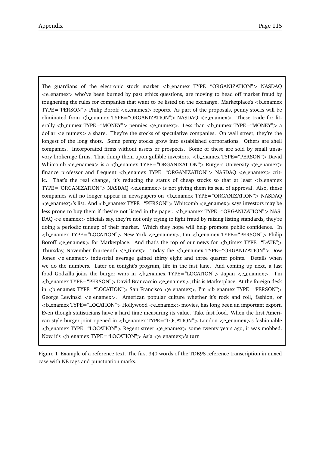The guardians of the electronic stock market <br/>b\_enamex TYPE="ORGANIZATION"> NASDAQ  $\leq$ e enamex  $>$  who've been burned by past ethics questions, are moving to head off market fraud by toughening the rules for companies that want to be listed on the exchange. Marketplace's <br/>b enamex  $TYPE="PERSON" > Philip Boroff < e{\text{-}}{enames} > reports.$  As part of the proposals, penny stocks will be eliminated from <br />b\_enamex TYPE="ORGANIZATION"> NASDAQ <e\_enamex>. These trade for literally <br/>b\_numex TYPE="MONEY"> pennies <e\_numex>. Less than <br/> <br/>b\_numex TYPE="MONEY"> a dollar  $\leq$ e\_numex a share. They're the stocks of speculative companies. On wall street, they're the longest of the long shots. Some penny stocks grow into established corporations. Others are shell companies. Incorporated firms without assets or prospects. Some of these are sold by small unsavory brokerage firms. That dump them upon gullible investors. <b\_enamex TYPE="PERSON"> David Whitcomb  $\leq$  e\_enamex is a  $\leq$  b\_enamex TYPE="ORGANIZATION" > Rutgers University  $\leq$  e\_enamex > finance professor and frequent <b\_enamex TYPE="ORGANIZATION"> NASDAQ <e\_enamex> crit-That's the real change, it's reducing the status of cheap stocks so that at least  $\lt$ b enamex  $TYPE = "ORGANIZATION" > NASDAQ < e$ -enamex $>$  is not giving them its seal of approval. Also, these companies will no longer appear in newspapers on  **enamex TYPE="ORGANIZATION"> NASDAQ**  $\leq$ e\_enamex $>$ 's list. And  $\leq$ b\_enamex TYPE="PERSON" $>$  Whitcomb  $\leq$ e\_enamex $>$  says investors may be less prone to buy them if they're not listed in the paper.  $\lt$ b\_enamex TYPE="ORGANIZATION"> NAS- $DAQ \leq$ e enamex  $>$  officials say, they're not only trying to fight fraud by raising listing standards, they're doing a periodic tuneup of their market. Which they hope will help promote public confidence. In **, I'm**  $**benamex** TYPE="PERSON" > Philip$ Boroff  $\leq$ e enamex for Marketplace. And that's the top of our news for  $\leq$ b timex TYPE="DATE"> Thursday, November fourteenth <e\_timex>. Today the <br/> <br/>b\_enamex TYPE="ORGANIZATION"> Dow Jones  $\leq$  e\_enamex industrial average gained thirty eight and three quarter points. Details when we do the numbers. Later on tonight's program, life in the fast lane. And coming up next, a fast food Godzilla joins the burger wars in  $\langle$ b\_enamex TYPE="LOCATION" > Japan  $\langle$ e\_enamex $\rangle$ . I'm  $$ in  **enamex TYPE="LOCATION"> San Francisco**  $**h**$  **enamex>, I'm**  $**h**$  **enamex TYPE="PERSON">** George Lewinski  $\leq$ e\_enamex $\geq$ . American popular culture whether it's rock and roll, fashion, or <b\_enamex TYPE="LOCATION"> Hollywood <e\_enamex> movies, has long been an important export. Even though statisticians have a hard time measuring its value. Take fast food. When the first American style burger joint opened in <b\_ enamex TYPE="LOCATION"> London <e\_ enamex>'s fashionable  $$ Now it's <b enamex TYPE="LOCATION"> Asia <e enamex>'s turn

Figure 1 Example of a reference text. The first 340 words of the TDB98 reference transcription in mixed case with NE tags and punctuation marks.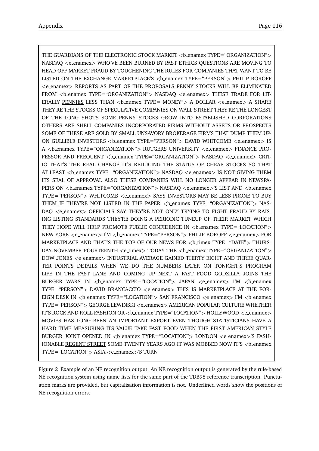THE GUARDIANS OF THE ELECTRONIC STOCK MARKET <br />b\_enamex TYPE="ORGANIZATION"> NASDAO <e\_enamex> WHO'VE BEEN BURNED BY PAST ETHICS OUESTIONS ARE MOVING TO HEAD OFF MARKET FRAUD BY TOUGHENING THE RULES FOR COMPANIES THAT WANT TO BE LISTED ON THE EXCHANGE MARKETPLACE'S <b enamex TYPE="PERSON"> PHILIP BOROFF <e\_enamex> REPORTS AS PART OF THE PROPOSALS PENNY STOCKS WILL BE ELIMINATED FROM <br />b enamex TYPE="ORGANIZATION"> NASDAQ <e enamex> THESE TRADE FOR LIT-ERALLY PENNIES LESS THAN <b\_numex TYPE="MONEY"> A DOLLAR <e\_numex> A SHARE THEY'RE THE STOCKS OF SPECULATIVE COMPANIES ON WALL STREET THEY'RE THE LONGEST OF THE LONG SHOTS SOME PENNY STOCKS GROW INTO ESTABLISHED CORPORATIONS OTHERS ARE SHELL COMPANIES INCORPORATED FIRMS WITHOUT ASSETS OR PROSPECTS SOME OF THESE ARE SOLD BY SMALL UNSAVORY BROKERAGE FIRMS THAT DUMP THEM UP-ON GULLIBLE INVESTORS <b\_enamex TYPE="PERSON"> DAVID WHITCOMB <e\_enamex> IS A <b\_enamex TYPE="ORGANIZATION"> RUTGERS UNIVERSITY <e\_enamex> FINANCE PRO-FESSOR AND FREQUENT <br />
benamex TYPE="ORGANIZATION"> NASDAQ <e\_enamex> CRIT-IC THAT'S THE REAL CHANGE IT'S REDUCING THE STATUS OF CHEAP STOCKS SO THAT AT LEAST <br />b\_enamex TYPE="ORGANIZATION"> NASDAQ <e\_enamex> IS NOT GIVING THEM ITS SEAL OF APPROVAL ALSO THESE COMPANIES WILL NO LONGER APPEAR IN NEWSPA-PERS ON  **enamex TYPE="ORGANIZATION"> NASDAO**  $**ch**$  **enamex>'S LIST AND**  $**ch**$  **enamex** TYPE="PERSON"> WHITCOMB <e\_enamex> SAYS INVESTORS MAY BE LESS PRONE TO BUY THEM IF THEY'RE NOT LISTED IN THE PAPER <benamex TYPE="ORGANIZATION"> NAS-DAQ <e\_enamex> OFFICIALS SAY THEY'RE NOT ONLY TRYING TO FIGHT FRAUD BY RAIS-ING LISTING STANDARDS THEY'RE DOING A PERIODIC TUNEUP OF THEIR MARKET WHICH THEY HOPE WILL HELP PROMOTE PUBLIC CONFIDENCE IN <br/>b\_enamex TYPE="LOCATION"> NEW YORK <e\_enamex> I'M <br />b\_enamex TYPE="PERSON"> PHILIP BOROFF <e\_enamex> FOR MARKETPLACE AND THAT'S THE TOP OF OUR NEWS FOR <br/>b timex TYPE="DATE"> THURS-DAY NOVEMBER FOURTEENTH <e\_timex> TODAY THE <br/>b\_enamex TYPE="ORGANIZATION"> DOW JONES <e\_enamex> INDUSTRIAL AVERAGE GAINED THIRTY EIGHT AND THREE QUAR-TER POINTS DETAILS WHEN WE DO THE NUMBERS LATER ON TONIGHT'S PROGRAM LIFE IN THE FAST LANE AND COMING UP NEXT A FAST FOOD GODZILLA JOINS THE BURGER WARS IN  $\lt$ b enamex TYPE="LOCATION"> JAPAN  $\lt$ e enamex I'M  $\lt$ b enamex TYPE="PERSON"> DAVID BRANCACCIO <e\_enamex> THIS IS MARKETPLACE AT THE FOR-EIGN DESK IN <br />b enamex TYPE="LOCATION"> SAN FRANCISCO <e enamex> I'M <br />b enamex TYPE="PERSON"> GEORGE LEWINSKI <e\_enamex> AMERICAN POPULAR CULTURE WHETHER IT'S ROCK AND ROLL FASHION OR <beta enamex TYPE="LOCATION"> HOLLYWOOD <e\_enamex> MOVIES HAS LONG BEEN AN IMPORTANT EXPORT EVEN THOUGH STATISTICIANS HAVE A HARD TIME MEASURING ITS VALUE TAKE FAST FOOD WHEN THE FIRST AMERICAN STYLE BURGER JOINT OPENED IN <br />b\_enamex TYPE="LOCATION"> LONDON <e\_enamex>'S FASH-IONABLE REGENT STREET SOME TWENTY YEARS AGO IT WAS MOBBED NOW IT'S <br/>b enamex  $TYPE = "LOCALTON" > ASIA < e$  enamex $>$ 'S TURN

Figure 2 Example of an NE recognition output. An NE recognition output is generated by the rule-based NE recognition system using name lists for the same part of the TDB98 reference transcription. Punctuation marks are provided, but capitalisation information is not. Underlined words show the positions of NE recognition errors.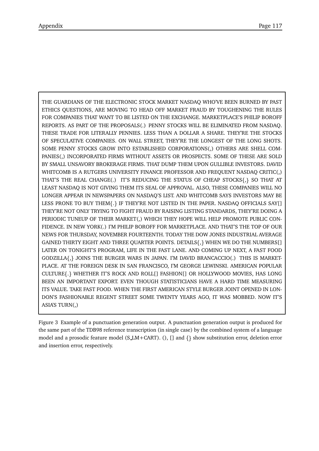THE GUARDIANS OF THE ELECTRONIC STOCK MARKET NASDAQ WHO'VE BEEN BURNED BY PAST ETHICS QUESTIONS, ARE MOVING TO HEAD OFF MARKET FRAUD BY TOUGHENING THE RULES FOR COMPANIES THAT WANT TO BE LISTED ON THE EXCHANGE. MARKETPLACE'S PHILIP BOROFF REPORTS. AS PART OF THE PROPOSALS(.) PENNY STOCKS WILL BE ELIMINATED FROM NASDAQ. THESE TRADE FOR LITERALLY PENNIES. LESS THAN A DOLLAR A SHARE. THEY'RE THE STOCKS OF SPECULATIVE COMPANIES. ON WALL STREET, THEY'RE THE LONGEST OF THE LONG SHOTS. SOME PENNY STOCKS GROW INTO ESTABLISHED CORPORATIONS(,) OTHERS ARE SHELL COM-PANIES(,) INCORPORATED FIRMS WITHOUT ASSETS OR PROSPECTS. SOME OF THESE ARE SOLD BY SMALL UNSAVORY BROKERAGE FIRMS. THAT DUMP THEM UPON GULLIBLE INVESTORS. DAVID WHITCOMB IS A RUTGERS UNIVERSITY FINANCE PROFESSOR AND FREQUENT NASDAQ CRITIC(,) THAT'S THE REAL CHANGE(.) IT'S REDUCING THE STATUS OF CHEAP STOCKS{,} SO THAT AT LEAST NASDAQ IS NOT GIVING THEM ITS SEAL OF APPROVAL. ALSO, THESE COMPANIES WILL NO LONGER APPEAR IN NEWSPAPERS ON NASDAQ'S LIST. AND WHITCOMB SAYS INVESTORS MAY BE LESS PRONE TO BUY THEM{.} IF THEY'RE NOT LISTED IN THE PAPER. NASDAQ OFFICIALS SAY[] THEY'RE NOT ONLY TRYING TO FIGHT FRAUD BY RAISING LISTING STANDARDS, THEY'RE DOING A PERIODIC TUNEUP OF THEIR MARKET(,) WHICH THEY HOPE WILL HELP PROMOTE PUBLIC CON-FIDENCE. IN NEW YORK(.) I'M PHILIP BOROFF FOR MARKETPLACE. AND THAT'S THE TOP OF OUR NEWS FOR THURSDAY, NOVEMBER FOURTEENTH. TODAY THE DOW JONES INDUSTRIAL AVERAGE GAINED THIRTY EIGHT AND THREE QUARTER POINTS. DETAILS $\{,\}$  WHEN WE DO THE NUMBERS[] LATER ON TONIGHT'S PROGRAM, LIFE IN THE FAST LANE. AND COMING UP NEXT, A FAST FOOD GODZILLA , JOINS THE BURGER WARS IN JAPAN. I'M DAVID BRANCACCIO(.) THIS IS MARKET-PLACE. AT THE FOREIGN DESK IN SAN FRANCISCO, I'M GEORGE LEWINSKI. AMERICAN POPULAR CULTURE . WHETHER IT'S ROCK AND ROLL[] FASHION[] OR HOLLYWOOD MOVIES, HAS LONG BEEN AN IMPORTANT EXPORT. EVEN THOUGH STATISTICIANS HAVE A HARD TIME MEASURING ITS VALUE. TAKE FAST FOOD. WHEN THE FIRST AMERICAN STYLE BURGER JOINT OPENED IN LON-DON'S FASHIONABLE REGENT STREET SOME TWENTY YEARS AGO, IT WAS MOBBED. NOW IT'S ASIA'S TURN(,)

Figure 3 Example of a punctuation generation output. A punctuation generation output is produced for the same part of the TDB98 reference transcription (in single case) by the combined system of a language model and a prosodic feature model (S\_LM+CART). (), [] and  $\{\}$  show substitution error, deletion error and insertion error, respectively.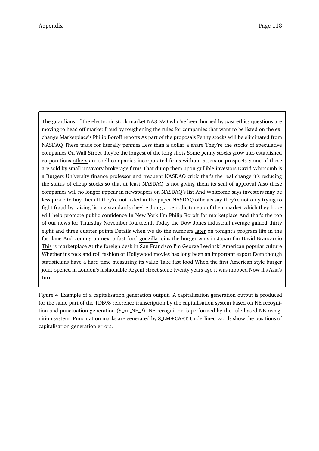The guardians of the electronic stock market NASDAQ who've been burned by past ethics questions are moving to head off market fraud by toughening the rules for companies that want to be listed on the exchange Marketplace's Philip Boroff reports As part of the proposals Penny stocks will be eliminated from NASDAQ These trade for literally pennies Less than a dollar a share They're the stocks of speculative companies On Wall Street they're the longest of the long shots Some penny stocks grow into established corporations others are shell companies incorporated firms without assets or prospects Some of these are sold by small unsavory brokerage firms That dump them upon gullible investors David Whitcomb is a Rutgers University finance professor and frequent NASDAQ critic that's the real change it's reducing the status of cheap stocks so that at least NASDAQ is not giving them its seal of approval Also these companies will no longer appear in newspapers on NASDAQ's list And Whitcomb says investors may be less prone to buy them If they're not listed in the paper NASDAQ officials say they're not only trying to fight fraud by raising listing standards they're doing a periodic tuneup of their market which they hope will help promote public confidence In New York I'm Philip Boroff for marketplace And that's the top of our news for Thursday November fourteenth Today the Dow Jones industrial average gained thirty eight and three quarter points Details when we do the numbers later on tonight's program life in the fast lane And coming up next a fast food godzilla joins the burger wars in Japan I'm David Brancaccio This is marketplace At the foreign desk in San Francisco I'm George Lewinski American popular culture Whether it's rock and roll fashion or Hollywood movies has long been an important export Even though statisticians have a hard time measuring its value Take fast food When the first American style burger joint opened in London's fashionable Regent street some twenty years ago it was mobbed Now it's Asia's turn

Figure 4 Example of a capitalisation generation output. A capitalisation generation output is produced for the same part of the TDB98 reference transcription by the capitalisation system based on NE recognition and punctuation generation (S\_on\_NE\_P). NE recognition is performed by the rule-based NE recognition system. Punctuation marks are generated by S LM+CART. Underlined words show the positions of capitalisation generation errors.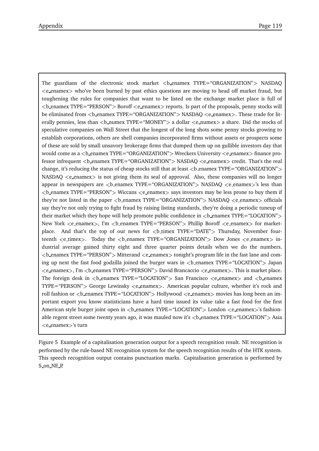The guardians of the electronic stock market  $\lt b$  enamex TYPE="ORGANIZATION" > NASDAQ e enamex who've been burned by past ethics questions are moving to head off market fraud, but toughening the rules for companies that want to be listed on the exchange market place is full of  $$ be eliminated from <br />b\_enamex TYPE="ORGANIZATION"> NASDAQ <e\_enamex>. These trade for literally pennies, less than <b numex TYPE="MONEY"> a dollar <e numex> a share. Did the stocks of speculative companies on Wall Street that the longest of the long shots some penny stocks growing to establish corporations, others are shell companies incorporated firms without assets or prospects some of these are sold by small unsavory brokerage firms that dumped them up on gullible investors day that would come as a <b\_enamex TYPE="ORGANIZATION"> Wreckers University <e\_enamex> finance professor infrequent <br enamex TYPE="ORGANIZATION"> NASDAQ <e\_enamex> credit. That's the real change, it's reducing the status of cheap stocks still that at least  $\langle$ b\_enamex TYPE="ORGANIZATION" $>$  $NASDAQ \leq$ e enamex $>$  is not giving them its seal of approval. Also, these companies will no longer appear in newspapers are  **enamex TYPE="ORGANIZATION"** $>$  **NASDAQ**  $**h**$  **enamex** $>$ **'s less than**  $$ they're not listed in the paper  **enamex TYPE="ORGANIZATION"> NASDAQ**  $**eh**$  **enamex**  $**of**$  **officials** say they're not only trying to fight fraud by raising listing standards, they're doing a periodic tuneup of their market which they hope will help promote public confidence in  $\langle$ b\_enamex TYPE="LOCATION" $\rangle$ New York <e\_enamex>, I'm <b\_enamex TYPE="PERSON"> Phillip Boroff <e\_enamex> for marketplace. And that's the top of our news for  **timex TYPE="DATE"** $>$  **Thursday, November four**teenth  $\langle$  e\_timex $\rangle$ . Today the  $\langle$  b\_enamex TYPE="ORGANIZATION" $\rangle$  Dow Jones  $\langle$  e\_enamex $\rangle$  industrial average gained thirty eight and three quarter points details when we do the numbers.  $$ ing up next the fast food godzilla joined the burger wars in  $\lt$ b\_enamex TYPE="LOCATION" $>$  Japan  $\leq$ e enamex $>$ , I'm  $\leq$  enamex TYPE="PERSON" $>$  David Brancaccio  $\leq$  enamex $>$ . This is market place. The foreign desk in  $\&$  enamex TYPE="LOCATION"> San Francisco  $\&$  e\_enamex and  $\&$  enamex TYPE="PERSON"> George Lewinsky <e\_enamex>. American popular culture, whether it's rock and roll fashion or  **enamex TYPE="LOCATION"** $>$  **Hollywood**  $**h**$  **enamex movies has long been an im**portant export you know statisticians have a hard time issued its value take a fast food for the first American style burger joint open in  $\&$  enamex TYPE="LOCATION" > London  $\&$  e.enamex >'s fashionable regent street some twenty years ago, it was mauled now it's <br/>b\_enamex TYPE="LOCATION"> Asia  $\langle$ e\_enamex $\rangle$ 's turn

Figure 5 Example of a capitalisation generation output for a speech recognition result. NE recognition is performed by the rule-based NE recognition system for the speech recognition results of the HTK system. This speech recognition output contains punctuation marks. Capitalisation generation is performed by S on NE P.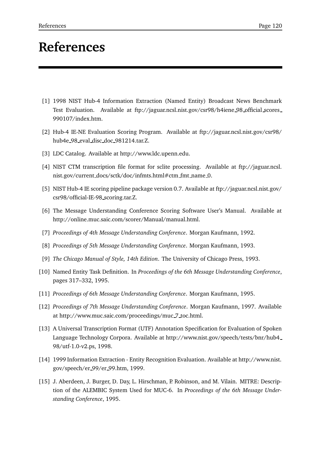# **References**

- [1] 1998 NIST Hub-4 Information Extraction (Named Entity) Broadcast News Benchmark Test Evaluation. Available at ftp://jaguar.ncsl.nist.gov/csr98/h4iene 98 official scores 990107/index.htm.
- [2] Hub-4 IE-NE Evaluation Scoring Program. Available at ftp://jaguar.ncsl.nist.gov/csr98/ hub4e 98 eval disc doc 981214.tar.Z.
- [3] LDC Catalog. Available at http://www.ldc.upenn.edu.
- [4] NIST CTM transcription file format for sclite processing. Available at ftp://jaguar.ncsl. nist.gov/current docs/sctk/doc/infmts.html#ctm fmt name 0.
- [5] NIST Hub-4 IE scoring pipeline package version 0.7. Available at ftp://jaguar.ncsl.nist.gov/ csr98/official-IE-98 scoring.tar.Z.
- [6] The Message Understanding Conference Scoring Software User's Manual. Available at http://online.muc.saic.com/scorer/Manual/manual.html.
- [7] *Proceedings of 4th Message Understanding Conference*. Morgan Kaufmann, 1992.
- [8] *Proceedings of 5th Message Understanding Conference*. Morgan Kaufmann, 1993.
- [9] *The Chicago Manual of Style, 14th Edition*. The University of Chicago Press, 1993.
- [10] Named Entity Task Definition. In *Proceedings of the 6th Message Understanding Conference*, pages 317–332, 1995.
- [11] *Proceedings of 6th Message Understanding Conference*. Morgan Kaufmann, 1995.
- [12] *Proceedings of 7th Message Understanding Conference*. Morgan Kaufmann, 1997. Available at http://www.muc.saic.com/proceedings/muc 7 toc.html.
- [13] A Universal Transcription Format (UTF) Annotation Specification for Evaluation of Spoken Language Technology Corpora. Available at http://www.nist.gov/speech/tests/bnr/hub4 98/utf-1.0-v2.ps, 1998.
- [14] 1999 Information Extraction Entity Recognition Evaluation. Available at http://www.nist. gov/speech/er 99/er 99.htm, 1999.
- [15] J. Aberdeen, J. Burger, D. Day, L. Hirschman, P. Robinson, and M. Vilain. MITRE: Description of the ALEMBIC System Used for MUC-6. In *Proceedings of the 6th Message Understanding Conference*, 1995.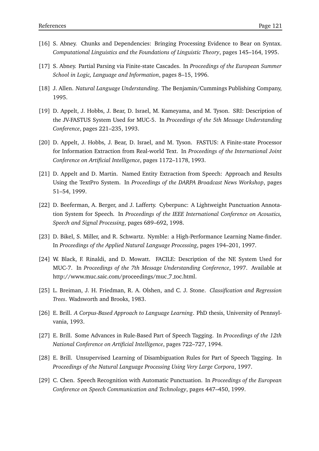- [16] S. Abney. Chunks and Dependencies: Bringing Processing Evidence to Bear on Syntax. *Computational Linguistics and the Foundations of Linguistic Theory*, pages 145–164, 1995.
- [17] S. Abney. Partial Parsing via Finite-state Cascades. In *Proceedings of the European Summer School in Logic, Language and Information*, pages 8–15, 1996.
- [18] J. Allen. *Natural Language Understanding*. The Benjamin/Cummings Publishing Company, 1995.
- [19] D. Appelt, J. Hobbs, J. Bear, D. Israel, M. Kameyama, and M. Tyson. SRI: Description of the JV-FASTUS System Used for MUC-5. In *Proceedings of the 5th Message Understanding Conference*, pages 221–235, 1993.
- [20] D. Appelt, J. Hobbs, J. Bear, D. Israel, and M. Tyson. FASTUS: A Finite-state Processor for Information Extraction from Real-world Text. In *Proceedings of the International Joint Conference on Artificial Intelligence*, pages 1172–1178, 1993.
- [21] D. Appelt and D. Martin. Named Entity Extraction from Speech: Approach and Results Using the TextPro System. In *Proceedings of the DARPA Broadcast News Workshop*, pages 51–54, 1999.
- [22] D. Beeferman, A. Berger, and J. Lafferty. Cyberpunc: A Lightweight Punctuation Annotation System for Speech. In *Proceedings of the IEEE International Conference on Acoustics, Speech and Signal Processing*, pages 689–692, 1998.
- [23] D. Bikel, S. Miller, and R. Schwartz. Nymble: a High-Performance Learning Name-finder. In *Proceedings of the Applied Natural Language Processing*, pages 194–201, 1997.
- [24] W. Black, F. Rinaldi, and D. Mowatt. FACILE: Description of the NE System Used for MUC-7. In *Proceedings of the 7th Message Understanding Conference*, 1997. Available at http://www.muc.saic.com/proceedings/muc 7 toc.html.
- [25] L. Breiman, J. H. Friedman, R. A. Olshen, and C. J. Stone. *Classification and Regression Trees*. Wadsworth and Brooks, 1983.
- [26] E. Brill. *A Corpus-Based Approach to Language Learning*. PhD thesis, University of Pennsylvania, 1993.
- [27] E. Brill. Some Advances in Rule-Based Part of Speech Tagging. In *Proceedings of the 12th National Conference on Artificial Intelligence*, pages 722–727, 1994.
- [28] E. Brill. Unsupervised Learning of Disambiguation Rules for Part of Speech Tagging. In *Proceedings of the Natural Language Processing Using Very Large Corpora*, 1997.
- [29] C. Chen. Speech Recognition with Automatic Punctuation. In *Proceedings of the European Conference on Speech Communication and Technology*, pages 447–450, 1999.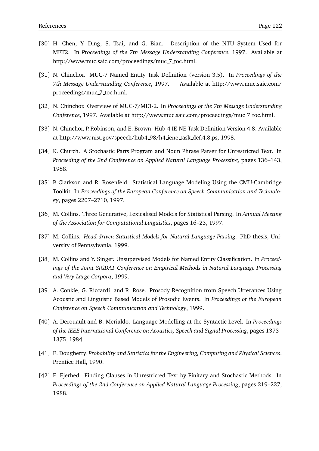- [30] H. Chen, Y. Ding, S. Tsai, and G. Bian. Description of the NTU System Used for MET2. In *Proceedings of the 7th Message Understanding Conference*, 1997. Available at http://www.muc.saic.com/proceedings/muc 7 toc.html.
- [31] N. Chinchor. MUC-7 Named Entity Task Definition (version 3.5). In *Proceedings of the 7th Message Understanding Conference*, 1997. Available at http://www.muc.saic.com/ proceedings/muc 7 toc.html.
- [32] N. Chinchor. Overview of MUC-7/MET-2. In *Proceedings of the 7th Message Understanding Conference*, 1997. Available at http://www.muc.saic.com/proceedings/muc 7 toc.html.
- [33] N. Chinchor, P. Robinson, and E. Brown. Hub-4 IE-NE Task Definition Version 4.8. Available at http://www.nist.gov/speech/hub4 98/h4 iene task def.4.8.ps, 1998.
- [34] K. Church. A Stochastic Parts Program and Noun Phrase Parser for Unrestricted Text. In *Proceeding of the 2nd Conference on Applied Natural Language Processing*, pages 136–143, 1988.
- [35] P. Clarkson and R. Rosenfeld. Statistical Language Modeling Using the CMU-Cambridge Toolkit. In *Proceedings of the European Conference on Speech Communication and Technology*, pages 2207–2710, 1997.
- [36] M. Collins. Three Generative, Lexicalised Models for Statistical Parsing. In *Annual Meeting of the Association for Computational Linguistics*, pages 16–23, 1997.
- [37] M. Collins. *Head-driven Statistical Models for Natural Language Parsing*. PhD thesis, University of Pennsylvania, 1999.
- [38] M. Collins and Y. Singer. Unsupervised Models for Named Entity Classification. In *Proceedings of the Joint SIGDAT Conference on Empirical Methods in Natural Language Processing and Very Large Corpora*, 1999.
- [39] A. Conkie, G. Riccardi, and R. Rose. Prosody Recognition from Speech Utterances Using Acoustic and Linguistic Based Models of Prosodic Events. In *Proceedings of the European Conference on Speech Communication and Technology*, 1999.
- [40] A. Derouault and B. Merialdo. Language Modelling at the Syntactic Level. In *Proceedings of the IEEE International Conference on Acoustics, Speech and Signal Processing*, pages 1373– 1375, 1984.
- [41] E. Dougherty. *Probability and Statistics for the Engineering, Computing and Physical Sciences*. Prentice Hall, 1990.
- [42] E. Ejerhed. Finding Clauses in Unrestricted Text by Finitary and Stochastic Methods. In *Proceedings of the 2nd Conference on Applied Natural Language Processing*, pages 219–227, 1988.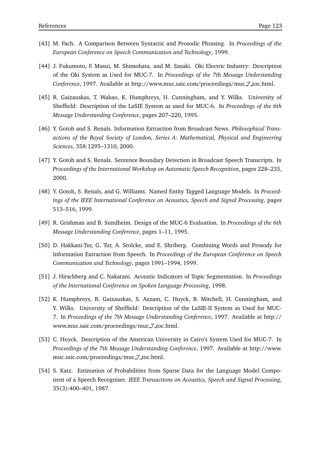- [43] M. Fach. A Comparison Between Syntactic and Prosodic Phrasing. In *Proceedings of the European Conference on Speech Communication and Technology*, 1999.
- [44] J. Fukumoto, F. Masui, M. Shimohata, and M. Sasaki. Oki Electric Industry: Description of the Oki System as Used for MUC-7. In *Proceedings of the 7th Message Understanding Conference*, 1997. Available at http://www.muc.saic.com/proceedings/muc 7 toc.html.
- [45] R. Gaizauskas, T. Wakao, K. Humphreys, H. Cunningham, and Y. Wilks. University of Sheffield: Description of the LaSIE System as used for MUC-6. In *Proceedings of the 6th Message Understanding Conference*, pages 207–220, 1995.
- [46] Y. Gotoh and S. Renals. Information Extraction from Broadcast News. *Philosophical Transactions of the Royal Society of London, Series A: Mathematical, Physical and Engineering Sciences*, 358:1295–1310, 2000.
- [47] Y. Gotoh and S. Renals. Sentence Boundary Detection in Broadcast Speech Transcripts. In *Proceedings of the International Workshop on Automatic Speech Recognition*, pages 228–235, 2000.
- [48] Y. Gotoh, S. Renals, and G. Williams. Named Entity Tagged Language Models. In *Proceedings of the IEEE International Conference on Acoustics, Speech and Signal Processing*, pages 513–516, 1999.
- [49] R. Grishman and B. Sundheim. Design of the MUC-6 Evaluation. In *Proceedings of the 6th Message Understanding Conference*, pages 1–11, 1995.
- [50] D. Hakkani-Tur, G. Tur, A. Stolcke, and E. Shriberg. Combining Words and Prosody for Information Extraction from Speech. In *Proceedings of the European Conference on Speech Communication and Technology*, pages 1991–1994, 1999.
- [51] J. Hirschberg and C. Nakatani. Acoustic Indicators of Topic Segmentation. In *Proceedings of the International Conference on Spoken Language Processing*, 1998.
- [52] K. Humphreys, R. Gaizauskas, S. Azzam, C. Huyck, B. Mitchell, H. Cunningham, and Y. Wilks. University of Sheffield: Description of the LaSIE-II System as Used for MUC-7. In *Proceedings of the 7th Message Understanding Conference*, 1997. Available at http:// www.muc.saic.com/proceedings/muc 7 toc.html.
- [53] C. Huyck. Description of the American University in Cairo's System Used for MUC-7. In *Proceedings of the 7th Message Understanding Conference*, 1997. Available at http://www. muc.saic.com/proceedings/muc 7 toc.html.
- [54] S. Katz. Estimation of Probabilities from Sparse Data for the Language Model Component of a Speech Recogniser. *IEEE Transactions on Acoustics, Speech and Signal Processing*, 35(3):400–401, 1987.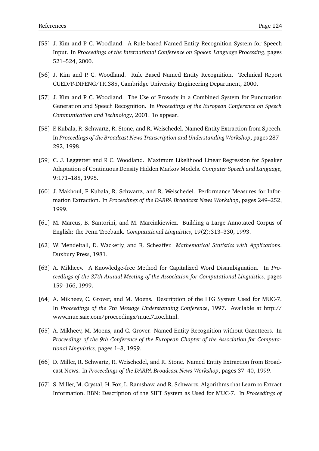- [55] J. Kim and P. C. Woodland. A Rule-based Named Entity Recognition System for Speech Input. In *Proceedings of the International Conference on Spoken Language Processing*, pages 521–524, 2000.
- [56] J. Kim and P. C. Woodland. Rule Based Named Entity Recognition. Technical Report CUED/F-INFENG/TR.385, Cambridge University Engineering Department, 2000.
- [57] J. Kim and P. C. Woodland. The Use of Prosody in a Combined System for Punctuation Generation and Speech Recognition. In *Proceedings of the European Conference on Speech Communication and Technology*, 2001. To appear.
- [58] F. Kubala, R. Schwartz, R. Stone, and R. Weischedel. Named Entity Extraction from Speech. In *Proceedings of the Broadcast News Transcription and Understanding Workshop*, pages 287– 292, 1998.
- [59] C. J. Leggetter and P. C. Woodland. Maximum Likelihood Linear Regression for Speaker Adaptation of Continuous Density Hidden Markov Models. *Computer Speech and Language*, 9:171–185, 1995.
- [60] J. Makhoul, F. Kubala, R. Schwartz, and R. Weischedel. Performance Measures for Information Extraction. In *Proceedings of the DARPA Broadcast News Workshop*, pages 249–252, 1999.
- [61] M. Marcus, B. Santorini, and M. Marcinkiewicz. Building a Large Annotated Corpus of English: the Penn Treebank. *Computational Linguistics*, 19(2):313–330, 1993.
- [62] W. Mendeltall, D. Wackerly, and R. Scheaffer. *Mathematical Statistics with Applications*. Duxbury Press, 1981.
- [63] A. Mikheev. A Knowledge-free Method for Capitalized Word Disambiguation. In *Proceedings of the 37th Annual Meeting of the Association for Computational Linguistics*, pages 159–166, 1999.
- [64] A. Mikheev, C. Grover, and M. Moens. Description of the LTG System Used for MUC-7. In *Proceedings of the 7th Message Understanding Conference*, 1997. Available at http:// www.muc.saic.com/proceedings/muc 7 toc.html.
- [65] A. Mikheev, M. Moens, and C. Grover. Named Entity Recognition without Gazetteers. In *Proceedings of the 9th Conference of the European Chapter of the Association for Computational Linguistics*, pages 1–8, 1999.
- [66] D. Miller, R. Schwartz, R. Weischedel, and R. Stone. Named Entity Extraction from Broadcast News. In *Proceedings of the DARPA Broadcast News Workshop*, pages 37–40, 1999.
- [67] S. Miller, M. Crystal, H. Fox, L. Ramshaw, and R. Schwartz. Algorithms that Learn to Extract Information. BBN: Description of the SIFT System as Used for MUC-7. In *Proceedings of*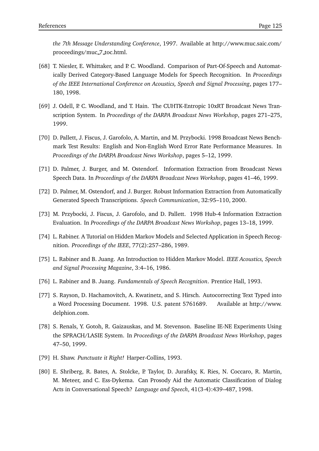*the 7th Message Understanding Conference*, 1997. Available at http://www.muc.saic.com/ proceedings/muc 7 toc.html.

- [68] T. Niesler, E. Whittaker, and P. C. Woodland. Comparison of Part-Of-Speech and Automatically Derived Category-Based Language Models for Speech Recognition. In *Proceedings of the IEEE International Conference on Acoustics, Speech and Signal Processing*, pages 177– 180, 1998.
- [69] J. Odell, P. C. Woodland, and T. Hain. The CUHTK-Entropic 10xRT Broadcast News Transcription System. In *Proceedings of the DARPA Broadcast News Workshop*, pages 271–275, 1999.
- [70] D. Pallett, J. Fiscus, J. Garofolo, A. Martin, and M. Przybocki. 1998 Broadcast News Benchmark Test Results: English and Non-English Word Error Rate Performance Measures. In *Proceedings of the DARPA Broadcast News Workshop*, pages 5–12, 1999.
- [71] D. Palmer, J. Burger, and M. Ostendorf. Information Extraction from Broadcast News Speech Data. In *Proceedings of the DARPA Broadcast News Workshop*, pages 41–46, 1999.
- [72] D. Palmer, M. Ostendorf, and J. Burger. Robust Information Extraction from Automatically Generated Speech Transcriptions. *Speech Communication*, 32:95–110, 2000.
- [73] M. Przybocki, J. Fiscus, J. Garofolo, and D. Pallett. 1998 Hub-4 Information Extraction Evaluation. In *Proceedings of the DARPA Broadcast News Workshop*, pages 13–18, 1999.
- [74] L. Rabiner. A Tutorial on Hidden Markov Models and Selected Application in Speech Recognition. *Proceedings of the IEEE*, 77(2):257–286, 1989.
- [75] L. Rabiner and B. Juang. An Introduction to Hidden Markov Model. *IEEE Acoustics, Speech and Signal Processing Magazine*, 3:4–16, 1986.
- [76] L. Rabiner and B. Juang. *Fundamentals of Speech Recognition*. Prentice Hall, 1993.
- [77] S. Rayson, D. Hachamovitch, A. Kwatinetz, and S. Hirsch. Autocorrecting Text Typed into a Word Processing Document. 1998. U.S. patent 5761689. Available at http://www. delphion.com.
- [78] S. Renals, Y. Gotoh, R. Gaizauskas, and M. Stevenson. Baseline IE-NE Experiments Using the SPRACH/LASIE System. In *Proceedings of the DARPA Broadcast News Workshop*, pages 47–50, 1999.
- [79] H. Shaw. *Punctuate it Right!* Harper-Collins, 1993.
- [80] E. Shriberg, R. Bates, A. Stolcke, P. Taylor, D. Jurafsky, K. Ries, N. Coccaro, R. Martin, M. Meteer, and C. Ess-Dykema. Can Prosody Aid the Automatic Classification of Dialog Acts in Conversational Speech? *Language and Speech*, 41(3-4):439–487, 1998.